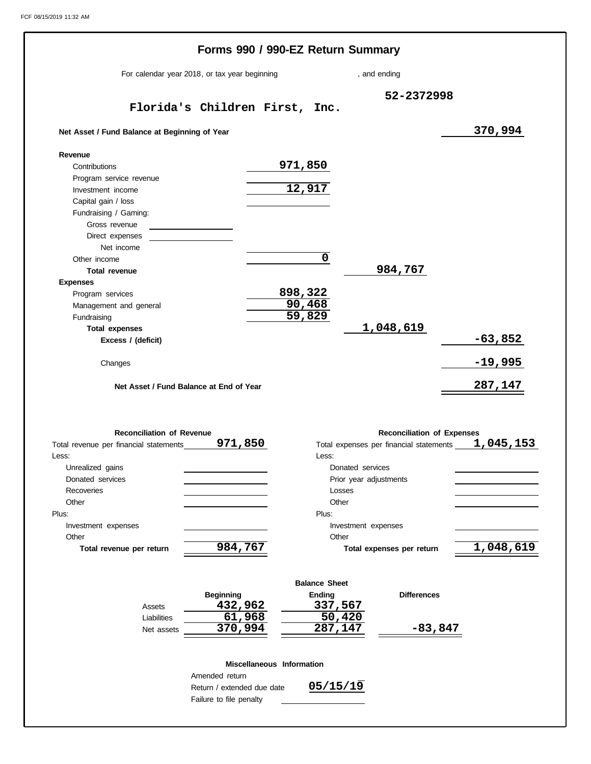|                                                          | Forms 990 / 990-EZ Return Summary                     |                               |                                                                              |                |
|----------------------------------------------------------|-------------------------------------------------------|-------------------------------|------------------------------------------------------------------------------|----------------|
| For calendar year 2018, or tax year beginning            | , and ending                                          |                               |                                                                              |                |
|                                                          |                                                       |                               | 52-2372998                                                                   |                |
|                                                          | Florida's Children First, Inc.                        |                               |                                                                              |                |
| Net Asset / Fund Balance at Beginning of Year            |                                                       |                               |                                                                              | 370,994        |
| Revenue                                                  |                                                       |                               |                                                                              |                |
| Contributions                                            |                                                       | 971,850                       |                                                                              |                |
| Program service revenue                                  |                                                       |                               |                                                                              |                |
| Investment income                                        |                                                       | 12,917                        |                                                                              |                |
| Capital gain / loss                                      |                                                       |                               |                                                                              |                |
| Fundraising / Gaming:                                    |                                                       |                               |                                                                              |                |
| Gross revenue                                            |                                                       |                               |                                                                              |                |
| Direct expenses                                          |                                                       |                               |                                                                              |                |
| Net income                                               |                                                       | $\overline{0}$                |                                                                              |                |
| Other income                                             |                                                       |                               |                                                                              |                |
| <b>Total revenue</b>                                     |                                                       |                               | 984,767                                                                      |                |
| <b>Expenses</b>                                          |                                                       |                               |                                                                              |                |
| Program services                                         |                                                       | 898,322                       |                                                                              |                |
| Management and general                                   |                                                       | 90,468<br>$\overline{59,829}$ |                                                                              |                |
| Fundraising                                              |                                                       |                               |                                                                              |                |
| <b>Total expenses</b>                                    |                                                       |                               | 1,048,619                                                                    |                |
| Excess / (deficit)                                       |                                                       |                               |                                                                              | $-63,852$      |
| Changes                                                  |                                                       |                               |                                                                              | $-19,995$      |
|                                                          | Net Asset / Fund Balance at End of Year               |                               |                                                                              | <u>287,147</u> |
| <b>Reconciliation of Revenue</b>                         | 971,850                                               |                               | <b>Reconciliation of Expenses</b><br>Total expenses per financial statements |                |
|                                                          |                                                       |                               | Less: <b>Example</b>                                                         |                |
| Unrealized gains                                         |                                                       |                               | Donated services                                                             |                |
| Donated services                                         |                                                       |                               | Prior year adjustments                                                       |                |
| Recoveries                                               |                                                       |                               | Losses                                                                       |                |
| Other                                                    |                                                       | Other                         |                                                                              |                |
|                                                          |                                                       | Plus:                         |                                                                              |                |
| Investment expenses                                      |                                                       |                               | Investment expenses                                                          |                |
| Other                                                    |                                                       | Other                         |                                                                              | 1,045,153      |
| Total revenue per return                                 | 984,767                                               |                               | Total expenses per return                                                    |                |
| Total revenue per financial statements<br>Less:<br>Plus: |                                                       | <b>Balance Sheet</b>          |                                                                              |                |
|                                                          | <b>Beginning</b>                                      | Ending                        | <b>Differences</b>                                                           |                |
| Assets                                                   | 432,962                                               | 337,567                       |                                                                              |                |
| Liabilities                                              | 61,968                                                |                               | 50,420                                                                       | 1,048,619      |
| Net assets                                               | 370,994                                               | 287,147                       | <u>-83,847</u>                                                               |                |
|                                                          | Miscellaneous Information<br>Amended return           |                               |                                                                              |                |
|                                                          | Return / extended due date<br>Failure to file penalty | 05/15/19                      |                                                                              |                |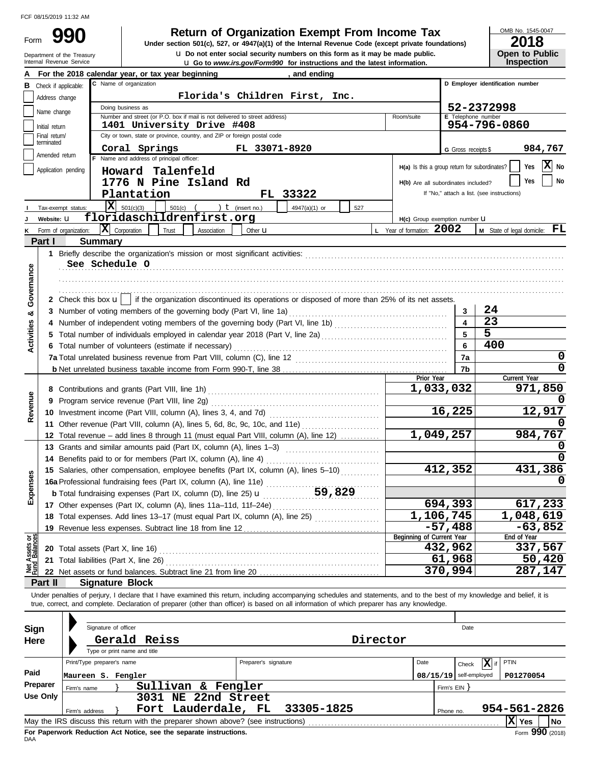Department of the Treasury<br>Internal Revenue Service Form

**u** Go to *www.irs.gov/Form990* for instructions and the latest information. **u** Do not enter social security numbers on this form as it may be made public. **990 1990 2018 Depending Solution Solution Solution Script Script Script Script Script Prom Income Tax 1947(a)(1)** of the Internal Revenue Code (except private foundations)

OMB No. 1545-0047

|  | Lv 1 v                |
|--|-----------------------|
|  | <b>Open to Public</b> |
|  | <b>Inspection</b>     |

|                                |                                 |                               | For the 2018 calendar year, or tax year beginning                                                                                                                                                                                                                                                                        |                      | and ending    |     |          |                                               |                          |                                                       |
|--------------------------------|---------------------------------|-------------------------------|--------------------------------------------------------------------------------------------------------------------------------------------------------------------------------------------------------------------------------------------------------------------------------------------------------------------------|----------------------|---------------|-----|----------|-----------------------------------------------|--------------------------|-------------------------------------------------------|
|                                |                                 | <b>B</b> Check if applicable: | C Name of organization                                                                                                                                                                                                                                                                                                   |                      |               |     |          |                                               |                          | D Employer identification number                      |
|                                | Address change                  |                               | Florida's Children First, Inc.                                                                                                                                                                                                                                                                                           |                      |               |     |          |                                               |                          |                                                       |
|                                | Name change                     |                               | Doing business as                                                                                                                                                                                                                                                                                                        |                      |               |     |          |                                               |                          | 52-2372998                                            |
|                                |                                 |                               | Number and street (or P.O. box if mail is not delivered to street address)<br>1401 University Drive #408                                                                                                                                                                                                                 |                      |               |     |          | Room/suite                                    | E Telephone number       | 954-796-0860                                          |
|                                | Initial return<br>Final return/ |                               | City or town, state or province, country, and ZIP or foreign postal code                                                                                                                                                                                                                                                 |                      |               |     |          |                                               |                          |                                                       |
|                                | terminated                      |                               |                                                                                                                                                                                                                                                                                                                          |                      |               |     |          |                                               |                          |                                                       |
|                                | Amended return                  |                               | Coral Springs<br>Name and address of principal officer:                                                                                                                                                                                                                                                                  | FL 33071-8920        |               |     |          |                                               | G Gross receipts \$      | 984,767                                               |
|                                |                                 | Application pending           |                                                                                                                                                                                                                                                                                                                          |                      |               |     |          | H(a) Is this a group return for subordinates? |                          | X No<br>Yes                                           |
|                                |                                 |                               | Howard Talenfeld                                                                                                                                                                                                                                                                                                         |                      |               |     |          |                                               |                          | No<br>Yes                                             |
|                                |                                 |                               | 1776 N Pine Island Rd                                                                                                                                                                                                                                                                                                    |                      |               |     |          | H(b) Are all subordinates included?           |                          |                                                       |
|                                |                                 |                               | Plantation                                                                                                                                                                                                                                                                                                               |                      | FL 33322      |     |          |                                               |                          | If "No," attach a list. (see instructions)            |
|                                |                                 | Tax-exempt status:            | X<br>501(c)(3)<br>$501(c)$ (                                                                                                                                                                                                                                                                                             | ) $t$ (insert no.)   | 4947(a)(1) or | 527 |          |                                               |                          |                                                       |
|                                | Website: U                      |                               | floridaschildrenfirst.org                                                                                                                                                                                                                                                                                                |                      |               |     |          | H(c) Group exemption number U                 |                          |                                                       |
| ĸ                              |                                 | Form of organization:         | $ \mathbf{X} $ Corporation<br>Trust<br>Association                                                                                                                                                                                                                                                                       | Other <b>u</b>       |               |     |          | L Year of formation: 2002                     |                          | M State of legal domicile: FL                         |
|                                | Part I                          |                               | <b>Summary</b>                                                                                                                                                                                                                                                                                                           |                      |               |     |          |                                               |                          |                                                       |
|                                |                                 |                               |                                                                                                                                                                                                                                                                                                                          |                      |               |     |          |                                               |                          |                                                       |
|                                |                                 |                               | See Schedule O                                                                                                                                                                                                                                                                                                           |                      |               |     |          |                                               |                          |                                                       |
|                                |                                 |                               |                                                                                                                                                                                                                                                                                                                          |                      |               |     |          |                                               |                          |                                                       |
| Governance                     |                                 |                               |                                                                                                                                                                                                                                                                                                                          |                      |               |     |          |                                               |                          |                                                       |
|                                |                                 |                               | 2 Check this box $\mathbf{u}$   if the organization discontinued its operations or disposed of more than 25% of its net assets.                                                                                                                                                                                          |                      |               |     |          |                                               |                          |                                                       |
| න්                             |                                 |                               | 3 Number of voting members of the governing body (Part VI, line 1a)                                                                                                                                                                                                                                                      |                      |               |     |          |                                               | 3                        | 24                                                    |
|                                |                                 |                               |                                                                                                                                                                                                                                                                                                                          |                      |               |     |          |                                               | $\overline{\mathbf{A}}$  | 23                                                    |
|                                | 5                               |                               |                                                                                                                                                                                                                                                                                                                          |                      |               |     |          |                                               | 5                        | $\overline{5}$                                        |
| <b>Activities</b>              |                                 |                               | 6 Total number of volunteers (estimate if necessary)                                                                                                                                                                                                                                                                     |                      |               |     |          |                                               | 6                        | 400                                                   |
|                                |                                 |                               | 7a Total unrelated business revenue from Part VIII, column (C), line 12                                                                                                                                                                                                                                                  |                      |               |     |          |                                               | 7a                       | 0                                                     |
|                                |                                 |                               |                                                                                                                                                                                                                                                                                                                          |                      |               |     |          |                                               | 7b                       | 0                                                     |
|                                |                                 |                               |                                                                                                                                                                                                                                                                                                                          |                      |               |     |          | Prior Year                                    |                          | Current Year                                          |
|                                |                                 |                               |                                                                                                                                                                                                                                                                                                                          |                      |               |     |          | 1,033,032                                     |                          | 971,850                                               |
|                                |                                 |                               | 9 Program service revenue (Part VIII, line 2g)                                                                                                                                                                                                                                                                           |                      |               |     |          |                                               |                          |                                                       |
| Revenue                        |                                 |                               | 10 Investment income (Part VIII, column (A), lines 3, 4, and 7d) [                                                                                                                                                                                                                                                       |                      |               |     |          |                                               | 16,225                   | 12,917                                                |
|                                |                                 |                               | 11 Other revenue (Part VIII, column (A), lines 5, 6d, 8c, 9c, 10c, and 11e)                                                                                                                                                                                                                                              |                      |               |     |          |                                               |                          |                                                       |
|                                |                                 |                               | 12 Total revenue - add lines 8 through 11 (must equal Part VIII, column (A), line 12)                                                                                                                                                                                                                                    |                      |               |     |          | 1,049,257                                     |                          | 984,767                                               |
|                                |                                 |                               | 13 Grants and similar amounts paid (Part IX, column (A), lines 1-3)                                                                                                                                                                                                                                                      |                      |               |     |          |                                               |                          |                                                       |
|                                |                                 |                               |                                                                                                                                                                                                                                                                                                                          |                      |               |     |          |                                               |                          |                                                       |
|                                |                                 |                               | 15 Salaries, other compensation, employee benefits (Part IX, column (A), lines 5-10)                                                                                                                                                                                                                                     |                      |               |     |          |                                               | 412,352                  | 431,386                                               |
|                                |                                 |                               | 15 Salaries, other components, Fig. 2.<br>16a Professional fundraising fees (Part IX, column (A), line 11e)<br>11 59,829                                                                                                                                                                                                 |                      |               |     |          |                                               |                          |                                                       |
| xpenses                        |                                 |                               | <b>b</b> Total fundraising expenses (Part IX, column (D), line 25) $\mathbf{u}$                                                                                                                                                                                                                                          |                      |               |     |          |                                               |                          |                                                       |
| ш                              |                                 |                               | 17 Other expenses (Part IX, column (A), lines 11a-11d, 11f-24e)                                                                                                                                                                                                                                                          |                      |               |     |          |                                               | 694,393                  | 617,233                                               |
|                                |                                 |                               | 18 Total expenses. Add lines 13-17 (must equal Part IX, column (A), line 25) [                                                                                                                                                                                                                                           |                      |               |     |          | 1,106,745                                     |                          | 1,048,619                                             |
|                                |                                 |                               | 19 Revenue less expenses. Subtract line 18 from line 12                                                                                                                                                                                                                                                                  |                      |               |     |          |                                               | $-57,488$                | $-63,852$                                             |
| Net Assets or<br>Fund Balances |                                 |                               |                                                                                                                                                                                                                                                                                                                          |                      |               |     |          | Beginning of Current Year                     |                          | End of Year                                           |
|                                |                                 |                               | 20 Total assets (Part X, line 16)                                                                                                                                                                                                                                                                                        |                      |               |     |          |                                               | 432,962                  | 337,567                                               |
|                                |                                 |                               | 21 Total liabilities (Part X, line 26)                                                                                                                                                                                                                                                                                   |                      |               |     |          |                                               | 61,968                   | 50,420                                                |
|                                |                                 |                               | 22 Net assets or fund balances. Subtract line 21 from line 20                                                                                                                                                                                                                                                            |                      |               |     |          |                                               | 370,994                  | 287,147                                               |
|                                | Part II                         |                               | <b>Signature Block</b>                                                                                                                                                                                                                                                                                                   |                      |               |     |          |                                               |                          |                                                       |
|                                |                                 |                               | Under penalties of perjury, I declare that I have examined this return, including accompanying schedules and statements, and to the best of my knowledge and belief, it is<br>true, correct, and complete. Declaration of preparer (other than officer) is based on all information of which preparer has any knowledge. |                      |               |     |          |                                               |                          |                                                       |
|                                |                                 |                               |                                                                                                                                                                                                                                                                                                                          |                      |               |     |          |                                               |                          |                                                       |
|                                |                                 |                               |                                                                                                                                                                                                                                                                                                                          |                      |               |     |          |                                               |                          |                                                       |
| Sign                           |                                 |                               | Signature of officer                                                                                                                                                                                                                                                                                                     |                      |               |     |          |                                               | Date                     |                                                       |
| Here                           |                                 |                               | Gerald Reiss                                                                                                                                                                                                                                                                                                             |                      |               |     | Director |                                               |                          |                                                       |
|                                |                                 |                               | Type or print name and title                                                                                                                                                                                                                                                                                             |                      |               |     |          |                                               |                          |                                                       |
|                                |                                 |                               | Print/Type preparer's name                                                                                                                                                                                                                                                                                               | Preparer's signature |               |     |          | Date                                          | Check                    | $\boxed{\mathbf{X}}$ if<br><b>PTIN</b>                |
| Paid                           |                                 |                               | Maureen S. Fengler                                                                                                                                                                                                                                                                                                       |                      |               |     |          |                                               | $08/15/19$ self-employed | P01270054                                             |
|                                | Preparer                        | Firm's name                   | Sullivan & Fengler                                                                                                                                                                                                                                                                                                       |                      |               |     |          |                                               | Firm's EIN               |                                                       |
|                                | <b>Use Only</b>                 |                               | 3031 NE 22nd Street                                                                                                                                                                                                                                                                                                      |                      |               |     |          |                                               |                          |                                                       |
|                                |                                 | Firm's address                | Fort Lauderdale, FL                                                                                                                                                                                                                                                                                                      |                      | 33305-1825    |     |          |                                               | Phone no.                | 954-561-2826                                          |
|                                |                                 |                               | May the IRS discuss this return with the preparer shown above? (see instructions)                                                                                                                                                                                                                                        |                      |               |     |          |                                               |                          | $ \overline{\mathrm{\mathbf{X}}} \,$ Yes<br><b>No</b> |

| Sign     |                                                                                                      | Signature of officer<br>Gerald Reiss<br>Type or print name and title |                    |  |                              |                                                                   |                                                                                   |  |  |                 |            | Date                     |  |            |                                         |
|----------|------------------------------------------------------------------------------------------------------|----------------------------------------------------------------------|--------------------|--|------------------------------|-------------------------------------------------------------------|-----------------------------------------------------------------------------------|--|--|-----------------|------------|--------------------------|--|------------|-----------------------------------------|
| Here     |                                                                                                      |                                                                      |                    |  |                              |                                                                   | Director                                                                          |  |  |                 |            |                          |  |            |                                         |
|          | Print/Type preparer's name                                                                           |                                                                      |                    |  | Preparer's signature<br>Date |                                                                   |                                                                                   |  |  | ∣X  if<br>Check |            | PTIN                     |  |            |                                         |
| Paid     |                                                                                                      |                                                                      | Maureen S. Fengler |  |                              |                                                                   |                                                                                   |  |  |                 |            | $08/15/19$ self-employed |  | P01270054  |                                         |
| Preparer | Firm's name                                                                                          |                                                                      |                    |  |                              | Sullivan & Fengler                                                |                                                                                   |  |  |                 | Firm's EIN |                          |  |            |                                         |
| Use Only | 3031 NE 22nd Street<br>Fort Lauderdale, FL 33305-1825<br>954-561-2826<br>Firm's address<br>Phone no. |                                                                      |                    |  |                              |                                                                   |                                                                                   |  |  |                 |            |                          |  |            |                                         |
|          |                                                                                                      |                                                                      |                    |  |                              |                                                                   | May the IRS discuss this return with the preparer shown above? (see instructions) |  |  |                 |            |                          |  | Ixl<br>Yes | No                                      |
|          |                                                                                                      |                                                                      |                    |  |                              | For Panorwork Poduction Act Notico, can the congrate instructions |                                                                                   |  |  |                 |            |                          |  |            | $F_{\text{max}}$ 000 $\mu_{\text{max}}$ |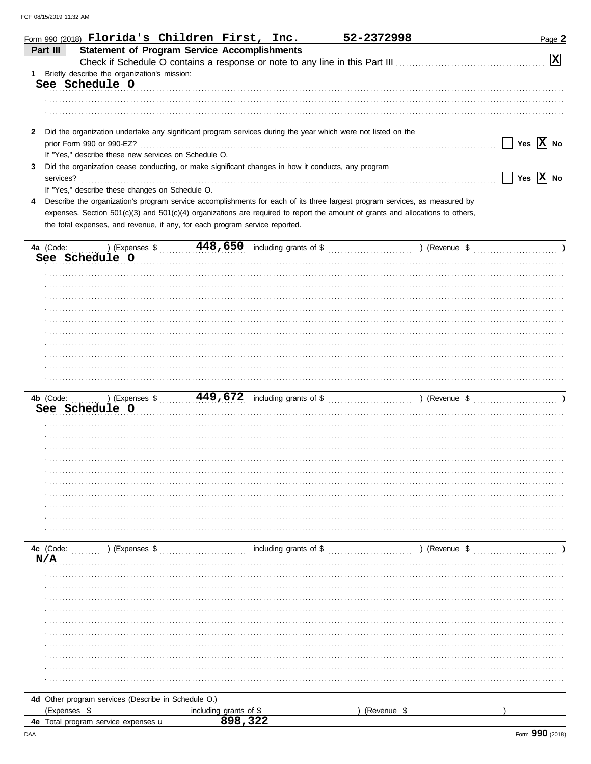|              | Form 990 (2018) Florida's Children First, Inc.                                                                                            |                        |                        | 52-2372998                                                                                                                     | Page 2                |
|--------------|-------------------------------------------------------------------------------------------------------------------------------------------|------------------------|------------------------|--------------------------------------------------------------------------------------------------------------------------------|-----------------------|
| Part III     | <b>Statement of Program Service Accomplishments</b>                                                                                       |                        |                        |                                                                                                                                |                       |
|              |                                                                                                                                           |                        |                        |                                                                                                                                | $\boxed{\mathbf{x}}$  |
| 1            | Briefly describe the organization's mission:                                                                                              |                        |                        |                                                                                                                                |                       |
|              | See Schedule O                                                                                                                            |                        |                        |                                                                                                                                |                       |
|              |                                                                                                                                           |                        |                        |                                                                                                                                |                       |
|              |                                                                                                                                           |                        |                        |                                                                                                                                |                       |
|              |                                                                                                                                           |                        |                        |                                                                                                                                |                       |
| $\mathbf{2}$ | Did the organization undertake any significant program services during the year which were not listed on the<br>prior Form 990 or 990-EZ? |                        |                        |                                                                                                                                | Yes $\overline{X}$ No |
|              | If "Yes," describe these new services on Schedule O.                                                                                      |                        |                        |                                                                                                                                |                       |
| 3            | Did the organization cease conducting, or make significant changes in how it conducts, any program                                        |                        |                        |                                                                                                                                |                       |
| services?    |                                                                                                                                           |                        |                        |                                                                                                                                | Yes $\overline{X}$ No |
|              | If "Yes," describe these changes on Schedule O.                                                                                           |                        |                        |                                                                                                                                |                       |
| 4            |                                                                                                                                           |                        |                        | Describe the organization's program service accomplishments for each of its three largest program services, as measured by     |                       |
|              |                                                                                                                                           |                        |                        | expenses. Section 501(c)(3) and 501(c)(4) organizations are required to report the amount of grants and allocations to others, |                       |
|              | the total expenses, and revenue, if any, for each program service reported.                                                               |                        |                        |                                                                                                                                |                       |
|              |                                                                                                                                           |                        |                        |                                                                                                                                |                       |
| 4a (Code:    |                                                                                                                                           |                        |                        |                                                                                                                                |                       |
|              | See Schedule O                                                                                                                            |                        |                        |                                                                                                                                |                       |
|              |                                                                                                                                           |                        |                        |                                                                                                                                |                       |
|              |                                                                                                                                           |                        |                        |                                                                                                                                |                       |
|              |                                                                                                                                           |                        |                        |                                                                                                                                |                       |
|              |                                                                                                                                           |                        |                        |                                                                                                                                |                       |
|              |                                                                                                                                           |                        |                        |                                                                                                                                |                       |
|              |                                                                                                                                           |                        |                        |                                                                                                                                |                       |
|              |                                                                                                                                           |                        |                        |                                                                                                                                |                       |
|              |                                                                                                                                           |                        |                        |                                                                                                                                |                       |
|              |                                                                                                                                           |                        |                        |                                                                                                                                |                       |
|              |                                                                                                                                           |                        |                        |                                                                                                                                |                       |
| 4b (Code:    |                                                                                                                                           |                        |                        |                                                                                                                                |                       |
|              | See Schedule O                                                                                                                            |                        |                        |                                                                                                                                |                       |
|              |                                                                                                                                           |                        |                        |                                                                                                                                |                       |
|              |                                                                                                                                           |                        |                        |                                                                                                                                |                       |
|              |                                                                                                                                           |                        |                        |                                                                                                                                |                       |
|              |                                                                                                                                           |                        |                        |                                                                                                                                |                       |
|              |                                                                                                                                           |                        |                        |                                                                                                                                |                       |
|              |                                                                                                                                           |                        |                        |                                                                                                                                |                       |
|              |                                                                                                                                           |                        |                        |                                                                                                                                |                       |
|              |                                                                                                                                           |                        |                        |                                                                                                                                |                       |
|              |                                                                                                                                           |                        |                        |                                                                                                                                |                       |
|              |                                                                                                                                           |                        |                        |                                                                                                                                |                       |
| 4c (Code:    | ) (Expenses \$                                                                                                                            |                        | including grants of \$ | ) (Revenue \$                                                                                                                  |                       |
| N/A          |                                                                                                                                           |                        |                        |                                                                                                                                |                       |
|              |                                                                                                                                           |                        |                        |                                                                                                                                |                       |
|              |                                                                                                                                           |                        |                        |                                                                                                                                |                       |
|              |                                                                                                                                           |                        |                        |                                                                                                                                |                       |
|              |                                                                                                                                           |                        |                        |                                                                                                                                |                       |
|              |                                                                                                                                           |                        |                        |                                                                                                                                |                       |
|              |                                                                                                                                           |                        |                        |                                                                                                                                |                       |
|              |                                                                                                                                           |                        |                        |                                                                                                                                |                       |
|              |                                                                                                                                           |                        |                        |                                                                                                                                |                       |
|              |                                                                                                                                           |                        |                        |                                                                                                                                |                       |
|              |                                                                                                                                           |                        |                        |                                                                                                                                |                       |
|              |                                                                                                                                           |                        |                        |                                                                                                                                |                       |
| (Expenses \$ | 4d Other program services (Describe in Schedule O.)                                                                                       |                        |                        | (Revenue \$                                                                                                                    |                       |
|              | 4e Total program service expenses u                                                                                                       | including grants of \$ | 898,322                |                                                                                                                                |                       |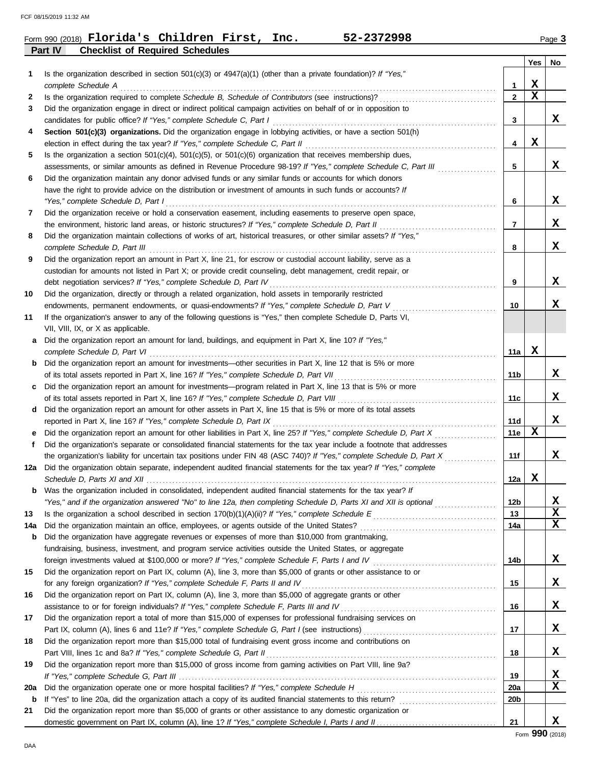FCF 08/15/2019 11:32 AM

|                | Form 990 (2018) $\blacksquare$ $\blacksquare$ $\blacksquare$ $\blacksquare$ $\blacksquare$ $\blacksquare$ $\blacksquare$ $\blacksquare$ $\blacksquare$ $\blacksquare$ $\blacksquare$ $\blacksquare$ |  | Inc. | 52-2372998 | Page 3 |
|----------------|-----------------------------------------------------------------------------------------------------------------------------------------------------------------------------------------------------|--|------|------------|--------|
| <b>Part IV</b> | <b>Checklist of Required Schedules</b>                                                                                                                                                              |  |      |            |        |

|     |                                                                                                                                                                                                                                |                 | Yes         | No          |
|-----|--------------------------------------------------------------------------------------------------------------------------------------------------------------------------------------------------------------------------------|-----------------|-------------|-------------|
| 1   | Is the organization described in section $501(c)(3)$ or $4947(a)(1)$ (other than a private foundation)? If "Yes,"                                                                                                              |                 |             |             |
|     | complete Schedule A example of the contract of the contract of the state of the contract of the contract of the contract of the contract of the contract of the contract of the contract of the contract of the contract of th | 1               | X           |             |
| 2   |                                                                                                                                                                                                                                | $\mathbf{2}$    | $\mathbf x$ |             |
| 3   | Did the organization engage in direct or indirect political campaign activities on behalf of or in opposition to                                                                                                               |                 |             |             |
|     |                                                                                                                                                                                                                                | 3               |             | X           |
| 4   | Section 501(c)(3) organizations. Did the organization engage in lobbying activities, or have a section 501(h)                                                                                                                  |                 |             |             |
|     | election in effect during the tax year? If "Yes," complete Schedule C, Part II                                                                                                                                                 | 4               | $\mathbf x$ |             |
| 5   | Is the organization a section $501(c)(4)$ , $501(c)(5)$ , or $501(c)(6)$ organization that receives membership dues,                                                                                                           |                 |             |             |
|     | assessments, or similar amounts as defined in Revenue Procedure 98-19? If "Yes," complete Schedule C, Part III                                                                                                                 | 5               |             | X           |
| 6   | Did the organization maintain any donor advised funds or any similar funds or accounts for which donors                                                                                                                        |                 |             |             |
|     | have the right to provide advice on the distribution or investment of amounts in such funds or accounts? If                                                                                                                    |                 |             |             |
|     | "Yes," complete Schedule D, Part I                                                                                                                                                                                             | 6               |             | x           |
| 7   | Did the organization receive or hold a conservation easement, including easements to preserve open space,                                                                                                                      |                 |             |             |
|     | the environment, historic land areas, or historic structures? If "Yes," complete Schedule D, Part II                                                                                                                           | 7               |             | x           |
| 8   | Did the organization maintain collections of works of art, historical treasures, or other similar assets? If "Yes,"                                                                                                            |                 |             |             |
|     |                                                                                                                                                                                                                                | 8               |             | x           |
| 9   | Did the organization report an amount in Part X, line 21, for escrow or custodial account liability, serve as a                                                                                                                |                 |             |             |
|     | custodian for amounts not listed in Part X; or provide credit counseling, debt management, credit repair, or                                                                                                                   |                 |             |             |
|     | debt negotiation services? If "Yes," complete Schedule D, Part IV                                                                                                                                                              | 9               |             | x           |
| 10  | Did the organization, directly or through a related organization, hold assets in temporarily restricted                                                                                                                        |                 |             | x           |
|     | endowments, permanent endowments, or quasi-endowments? If "Yes," complete Schedule D, Part V                                                                                                                                   | 10              |             |             |
| 11  | If the organization's answer to any of the following questions is "Yes," then complete Schedule D, Parts VI,                                                                                                                   |                 |             |             |
|     | VII, VIII, IX, or X as applicable.<br>Did the organization report an amount for land, buildings, and equipment in Part X, line 10? If "Yes,"                                                                                   |                 |             |             |
| a   |                                                                                                                                                                                                                                | 11a             | X           |             |
| b   | Did the organization report an amount for investments—other securities in Part X, line 12 that is 5% or more                                                                                                                   |                 |             |             |
|     |                                                                                                                                                                                                                                | 11 b            |             | x           |
| c   | Did the organization report an amount for investments—program related in Part X, line 13 that is 5% or more                                                                                                                    |                 |             |             |
|     |                                                                                                                                                                                                                                | 11c             |             | x           |
|     | d Did the organization report an amount for other assets in Part X, line 15 that is 5% or more of its total assets                                                                                                             |                 |             |             |
|     | reported in Part X, line 16? If "Yes," complete Schedule D, Part IX                                                                                                                                                            | 11d             |             | X           |
| е   | Did the organization report an amount for other liabilities in Part X, line 25? If "Yes," complete Schedule D, Part X                                                                                                          | 11e             | X           |             |
| f   | Did the organization's separate or consolidated financial statements for the tax year include a footnote that addresses                                                                                                        |                 |             |             |
|     | the organization's liability for uncertain tax positions under FIN 48 (ASC 740)? If "Yes," complete Schedule D, Part X                                                                                                         | 11f             |             | x           |
|     | 12a Did the organization obtain separate, independent audited financial statements for the tax year? If "Yes," complete                                                                                                        |                 |             |             |
|     |                                                                                                                                                                                                                                | 12a             | x           |             |
| b   | Was the organization included in consolidated, independent audited financial statements for the tax year? If                                                                                                                   |                 |             |             |
|     | "Yes," and if the organization answered "No" to line 12a, then completing Schedule D, Parts XI and XII is optional                                                                                                             | 12 <sub>b</sub> |             | X           |
| 13  |                                                                                                                                                                                                                                | 13              |             | $\mathbf x$ |
| 14a |                                                                                                                                                                                                                                | 14a             |             | $\mathbf x$ |
| b   | Did the organization have aggregate revenues or expenses of more than \$10,000 from grantmaking,                                                                                                                               |                 |             |             |
|     | fundraising, business, investment, and program service activities outside the United States, or aggregate                                                                                                                      |                 |             |             |
|     |                                                                                                                                                                                                                                | 14b             |             | X           |
| 15  | Did the organization report on Part IX, column (A), line 3, more than \$5,000 of grants or other assistance to or                                                                                                              |                 |             |             |
|     | for any foreign organization? If "Yes," complete Schedule F, Parts II and IV                                                                                                                                                   | 15              |             | X           |
| 16  | Did the organization report on Part IX, column (A), line 3, more than \$5,000 of aggregate grants or other                                                                                                                     |                 |             |             |
|     |                                                                                                                                                                                                                                | 16              |             | х           |
| 17  | Did the organization report a total of more than \$15,000 of expenses for professional fundraising services on                                                                                                                 |                 |             |             |
|     |                                                                                                                                                                                                                                | 17              |             | х           |
| 18  | Did the organization report more than \$15,000 total of fundraising event gross income and contributions on                                                                                                                    |                 |             |             |
|     | Part VIII, lines 1c and 8a? If "Yes," complete Schedule G, Part II                                                                                                                                                             | 18              |             | х           |
| 19  | Did the organization report more than \$15,000 of gross income from gaming activities on Part VIII, line 9a?                                                                                                                   |                 |             |             |
|     |                                                                                                                                                                                                                                | 19              |             | X           |
| 20a |                                                                                                                                                                                                                                | 20a             |             | X           |
| b   |                                                                                                                                                                                                                                | 20 <sub>b</sub> |             |             |
| 21  | Did the organization report more than \$5,000 of grants or other assistance to any domestic organization or                                                                                                                    |                 |             |             |
|     |                                                                                                                                                                                                                                | 21              |             | X           |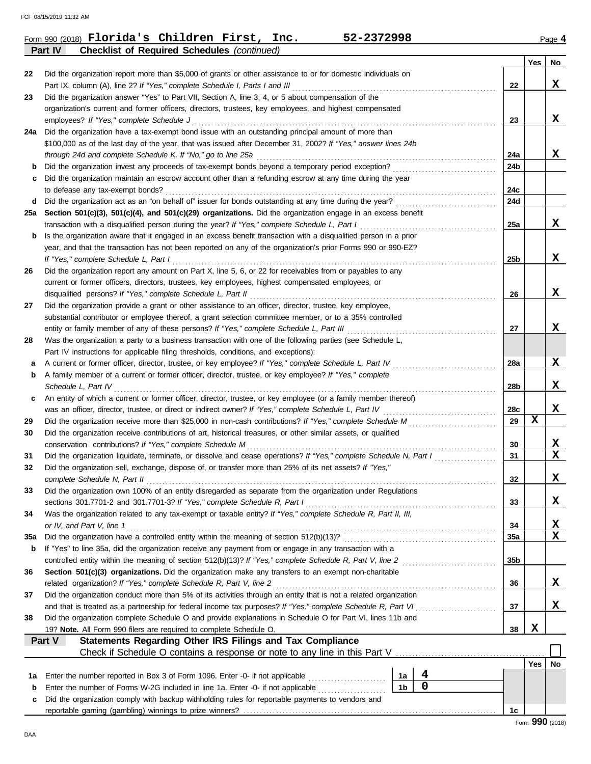|     | Part IV<br><b>Checklist of Required Schedules (continued)</b>                                                                                                                                                 |                 |     |                         |
|-----|---------------------------------------------------------------------------------------------------------------------------------------------------------------------------------------------------------------|-----------------|-----|-------------------------|
|     |                                                                                                                                                                                                               |                 | Yes | No                      |
| 22  | Did the organization report more than \$5,000 of grants or other assistance to or for domestic individuals on                                                                                                 |                 |     |                         |
|     | Part IX, column (A), line 2? If "Yes," complete Schedule I, Parts I and III                                                                                                                                   | 22              |     | x                       |
| 23  | Did the organization answer "Yes" to Part VII, Section A, line 3, 4, or 5 about compensation of the                                                                                                           |                 |     |                         |
|     | organization's current and former officers, directors, trustees, key employees, and highest compensated                                                                                                       |                 |     |                         |
|     | employees? If "Yes," complete Schedule J                                                                                                                                                                      | 23              |     | x                       |
| 24a | Did the organization have a tax-exempt bond issue with an outstanding principal amount of more than                                                                                                           |                 |     |                         |
|     | \$100,000 as of the last day of the year, that was issued after December 31, 2002? If "Yes," answer lines 24b                                                                                                 |                 |     |                         |
|     | through 24d and complete Schedule K. If "No," go to line 25a                                                                                                                                                  | 24a             |     | x                       |
| b   | Did the organization invest any proceeds of tax-exempt bonds beyond a temporary period exception?                                                                                                             | 24b             |     |                         |
| с   | Did the organization maintain an escrow account other than a refunding escrow at any time during the year                                                                                                     |                 |     |                         |
|     | to defease any tax-exempt bonds?                                                                                                                                                                              | 24c<br>24d      |     |                         |
| d   | Did the organization act as an "on behalf of" issuer for bonds outstanding at any time during the year?                                                                                                       |                 |     |                         |
| 25а | Section 501(c)(3), 501(c)(4), and 501(c)(29) organizations. Did the organization engage in an excess benefit<br>transaction with a disqualified person during the year? If "Yes," complete Schedule L, Part I | 25a             |     | X                       |
|     | Is the organization aware that it engaged in an excess benefit transaction with a disqualified person in a prior                                                                                              |                 |     |                         |
| b   | year, and that the transaction has not been reported on any of the organization's prior Forms 990 or 990-EZ?                                                                                                  |                 |     |                         |
|     | If "Yes," complete Schedule L, Part I                                                                                                                                                                         | 25 <sub>b</sub> |     | x                       |
| 26  | Did the organization report any amount on Part X, line 5, 6, or 22 for receivables from or payables to any                                                                                                    |                 |     |                         |
|     | current or former officers, directors, trustees, key employees, highest compensated employees, or                                                                                                             |                 |     |                         |
|     | disqualified persons? If "Yes," complete Schedule L, Part II                                                                                                                                                  | 26              |     | x                       |
| 27  | Did the organization provide a grant or other assistance to an officer, director, trustee, key employee,                                                                                                      |                 |     |                         |
|     | substantial contributor or employee thereof, a grant selection committee member, or to a 35% controlled                                                                                                       |                 |     |                         |
|     | entity or family member of any of these persons? If "Yes," complete Schedule L, Part III                                                                                                                      | 27              |     | x                       |
| 28  | Was the organization a party to a business transaction with one of the following parties (see Schedule L,                                                                                                     |                 |     |                         |
|     | Part IV instructions for applicable filing thresholds, conditions, and exceptions):                                                                                                                           |                 |     |                         |
| а   | A current or former officer, director, trustee, or key employee? If "Yes," complete Schedule L, Part IV                                                                                                       | 28a             |     | x                       |
| b   | A family member of a current or former officer, director, trustee, or key employee? If "Yes," complete                                                                                                        |                 |     |                         |
|     | Schedule L, Part IV                                                                                                                                                                                           | 28 <sub>b</sub> |     | x                       |
| c   | An entity of which a current or former officer, director, trustee, or key employee (or a family member thereof)                                                                                               |                 |     |                         |
|     | was an officer, director, trustee, or direct or indirect owner? If "Yes," complete Schedule L, Part IV                                                                                                        | 28c             |     | X                       |
| 29  | Did the organization receive more than \$25,000 in non-cash contributions? If "Yes," complete Schedule M                                                                                                      | 29              | X   |                         |
| 30  | Did the organization receive contributions of art, historical treasures, or other similar assets, or qualified                                                                                                |                 |     |                         |
|     | conservation contributions? If "Yes," complete Schedule M                                                                                                                                                     | 30              |     | X                       |
| 31  | Did the organization liquidate, terminate, or dissolve and cease operations? If "Yes," complete Schedule N, Part I                                                                                            | 31              |     | $\overline{\mathbf{x}}$ |
| 32  | Did the organization sell, exchange, dispose of, or transfer more than 25% of its net assets? If "Yes,"                                                                                                       |                 |     |                         |
|     | complete Schedule N, Part II                                                                                                                                                                                  | 32              |     | х                       |
| 33  | Did the organization own 100% of an entity disregarded as separate from the organization under Regulations                                                                                                    |                 |     |                         |
|     | sections 301.7701-2 and 301.7701-3? If "Yes," complete Schedule R, Part I                                                                                                                                     | 33              |     | x                       |
| 34  | Was the organization related to any tax-exempt or taxable entity? If "Yes," complete Schedule R, Part II, III,                                                                                                |                 |     |                         |
|     | or IV, and Part V, line 1                                                                                                                                                                                     | 34              |     | X,                      |
| 35a |                                                                                                                                                                                                               | <b>35a</b>      |     | $\overline{\mathbf{x}}$ |
| b   | If "Yes" to line 35a, did the organization receive any payment from or engage in any transaction with a                                                                                                       |                 |     |                         |
|     | controlled entity within the meaning of section 512(b)(13)? If "Yes," complete Schedule R, Part V, line 2                                                                                                     | 35b             |     |                         |
| 36  | Section 501(c)(3) organizations. Did the organization make any transfers to an exempt non-charitable                                                                                                          |                 |     |                         |
|     | related organization? If "Yes," complete Schedule R, Part V, line 2                                                                                                                                           | 36              |     | x                       |
| 37  | Did the organization conduct more than 5% of its activities through an entity that is not a related organization                                                                                              |                 |     |                         |
|     | and that is treated as a partnership for federal income tax purposes? If "Yes," complete Schedule R, Part VI                                                                                                  | 37              |     | x                       |
| 38  | Did the organization complete Schedule O and provide explanations in Schedule O for Part VI, lines 11b and                                                                                                    |                 |     |                         |
|     | 19? Note. All Form 990 filers are required to complete Schedule O.                                                                                                                                            | 38              | X   |                         |
|     | Statements Regarding Other IRS Filings and Tax Compliance<br>Part V                                                                                                                                           |                 |     |                         |
|     |                                                                                                                                                                                                               |                 |     |                         |
|     |                                                                                                                                                                                                               |                 | Yes | No                      |
| 1a  | 4<br>Enter the number reported in Box 3 of Form 1096. Enter -0- if not applicable<br>1a                                                                                                                       |                 |     |                         |
| b   | $\pmb{0}$<br>1 <sub>b</sub><br>Enter the number of Forms W-2G included in line 1a. Enter -0- if not applicable                                                                                                |                 |     |                         |
| c   | Did the organization comply with backup withholding rules for reportable payments to vendors and                                                                                                              |                 |     |                         |
|     |                                                                                                                                                                                                               | 1c              |     |                         |
|     |                                                                                                                                                                                                               |                 | Ω۵Ω |                         |

DAA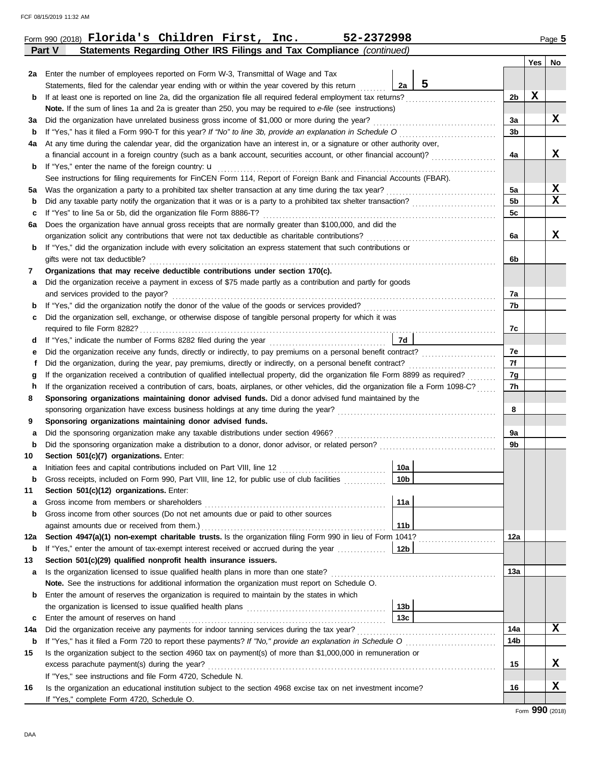|             |                                                                                                                                                                                                                                                                                       |                 |   |                      | Yes | No |  |  |  |
|-------------|---------------------------------------------------------------------------------------------------------------------------------------------------------------------------------------------------------------------------------------------------------------------------------------|-----------------|---|----------------------|-----|----|--|--|--|
|             | 2a Enter the number of employees reported on Form W-3, Transmittal of Wage and Tax                                                                                                                                                                                                    |                 |   |                      |     |    |  |  |  |
|             | Statements, filed for the calendar year ending with or within the year covered by this return                                                                                                                                                                                         | 2a              | 5 |                      |     |    |  |  |  |
| b           | If at least one is reported on line 2a, did the organization file all required federal employment tax returns?                                                                                                                                                                        |                 |   | 2b                   | x   |    |  |  |  |
|             | Note. If the sum of lines 1a and 2a is greater than 250, you may be required to e-file (see instructions)                                                                                                                                                                             |                 |   |                      |     |    |  |  |  |
| За          | Did the organization have unrelated business gross income of \$1,000 or more during the year?                                                                                                                                                                                         |                 |   | 3a                   |     | X  |  |  |  |
| b           |                                                                                                                                                                                                                                                                                       |                 |   | 3b                   |     |    |  |  |  |
| 4a          | At any time during the calendar year, did the organization have an interest in, or a signature or other authority over,                                                                                                                                                               |                 |   |                      |     |    |  |  |  |
|             | a financial account in a foreign country (such as a bank account, securities account, or other financial account)?                                                                                                                                                                    |                 |   | 4a                   |     | x  |  |  |  |
| b           | If "Yes," enter the name of the foreign country: $\mathbf u$                                                                                                                                                                                                                          |                 |   |                      |     |    |  |  |  |
|             | See instructions for filing requirements for FinCEN Form 114, Report of Foreign Bank and Financial Accounts (FBAR).                                                                                                                                                                   |                 |   |                      |     | X  |  |  |  |
| 5a          | Was the organization a party to a prohibited tax shelter transaction at any time during the tax year?                                                                                                                                                                                 |                 |   | 5a<br>5 <sub>b</sub> |     | X  |  |  |  |
| b<br>c      | If "Yes" to line 5a or 5b, did the organization file Form 8886-T?                                                                                                                                                                                                                     |                 |   | 5c                   |     |    |  |  |  |
| 6а          | Does the organization have annual gross receipts that are normally greater than \$100,000, and did the                                                                                                                                                                                |                 |   |                      |     |    |  |  |  |
|             | organization solicit any contributions that were not tax deductible as charitable contributions?                                                                                                                                                                                      |                 |   |                      |     |    |  |  |  |
| b           | If "Yes," did the organization include with every solicitation an express statement that such contributions or                                                                                                                                                                        |                 |   | 6a                   |     | X  |  |  |  |
|             | gifts were not tax deductible?                                                                                                                                                                                                                                                        |                 |   | 6b                   |     |    |  |  |  |
| 7           | Organizations that may receive deductible contributions under section 170(c).                                                                                                                                                                                                         |                 |   |                      |     |    |  |  |  |
| а           | Did the organization receive a payment in excess of \$75 made partly as a contribution and partly for goods                                                                                                                                                                           |                 |   |                      |     |    |  |  |  |
|             | and services provided to the payor?                                                                                                                                                                                                                                                   |                 |   | 7а                   |     |    |  |  |  |
| b           |                                                                                                                                                                                                                                                                                       |                 |   | 7b                   |     |    |  |  |  |
| c           | Did the organization sell, exchange, or otherwise dispose of tangible personal property for which it was                                                                                                                                                                              |                 |   |                      |     |    |  |  |  |
|             |                                                                                                                                                                                                                                                                                       |                 |   |                      |     |    |  |  |  |
| d           |                                                                                                                                                                                                                                                                                       | 7d              |   |                      |     |    |  |  |  |
| 7e<br>е     |                                                                                                                                                                                                                                                                                       |                 |   |                      |     |    |  |  |  |
| f           | Did the organization, during the year, pay premiums, directly or indirectly, on a personal benefit contract?                                                                                                                                                                          |                 |   |                      |     |    |  |  |  |
| g           | If the organization received a contribution of qualified intellectual property, did the organization file Form 8899 as required?                                                                                                                                                      |                 |   |                      |     |    |  |  |  |
| h           | If the organization received a contribution of cars, boats, airplanes, or other vehicles, did the organization file a Form 1098-C?                                                                                                                                                    |                 |   |                      |     |    |  |  |  |
| 8           | Sponsoring organizations maintaining donor advised funds. Did a donor advised fund maintained by the                                                                                                                                                                                  |                 |   |                      |     |    |  |  |  |
|             | sponsoring organization have excess business holdings at any time during the year?                                                                                                                                                                                                    |                 |   |                      |     |    |  |  |  |
| 9           | Sponsoring organizations maintaining donor advised funds.                                                                                                                                                                                                                             |                 |   |                      |     |    |  |  |  |
| а           | Did the sponsoring organization make any taxable distributions under section 4966?                                                                                                                                                                                                    |                 |   | 9a                   |     |    |  |  |  |
| b           |                                                                                                                                                                                                                                                                                       |                 |   | 9b                   |     |    |  |  |  |
| 10          | Section 501(c)(7) organizations. Enter:                                                                                                                                                                                                                                               |                 |   |                      |     |    |  |  |  |
| а           | Initiation fees and capital contributions included on Part VIII, line 12                                                                                                                                                                                                              | 10a             |   |                      |     |    |  |  |  |
| $\mathbf b$ | Gross receipts, included on Form 990, Part VIII, line 12, for public use of club facilities                                                                                                                                                                                           | 10 <sub>b</sub> |   |                      |     |    |  |  |  |
| 11          | Section 501(c)(12) organizations. Enter:                                                                                                                                                                                                                                              | 11a             |   |                      |     |    |  |  |  |
| а<br>b      | Gross income from other sources (Do not net amounts due or paid to other sources                                                                                                                                                                                                      |                 |   |                      |     |    |  |  |  |
|             | against amounts due or received from them.)                                                                                                                                                                                                                                           | 11 <sub>b</sub> |   |                      |     |    |  |  |  |
| 12a         | Section 4947(a)(1) non-exempt charitable trusts. Is the organization filing Form 990 in lieu of Form 1041?                                                                                                                                                                            |                 |   | 12a                  |     |    |  |  |  |
| b           | If "Yes," enter the amount of tax-exempt interest received or accrued during the year                                                                                                                                                                                                 | 12 <sub>b</sub> |   |                      |     |    |  |  |  |
| 13          | Section 501(c)(29) qualified nonprofit health insurance issuers.                                                                                                                                                                                                                      |                 |   |                      |     |    |  |  |  |
| а           | Is the organization licensed to issue qualified health plans in more than one state?                                                                                                                                                                                                  |                 |   | 13a                  |     |    |  |  |  |
|             | Note. See the instructions for additional information the organization must report on Schedule O.                                                                                                                                                                                     |                 |   |                      |     |    |  |  |  |
| b           | Enter the amount of reserves the organization is required to maintain by the states in which                                                                                                                                                                                          |                 |   |                      |     |    |  |  |  |
|             |                                                                                                                                                                                                                                                                                       | 13b             |   |                      |     |    |  |  |  |
| c           | Enter the amount of reserves on hand <b>constructs</b> and <b>constructs</b> and <b>constructs</b> and <b>constructs</b> and <b>constructs</b> and <b>constructs</b> and <b>constructs</b> and <b>constructs</b> and <b>constructs</b> and <b>constructs</b> and <b>constructs</b> an | 13 <sub>c</sub> |   |                      |     |    |  |  |  |
| 14a         |                                                                                                                                                                                                                                                                                       |                 |   | 14a                  |     | X  |  |  |  |
| b           | If "Yes," has it filed a Form 720 to report these payments? If "No," provide an explanation in Schedule O                                                                                                                                                                             |                 |   | 14b                  |     |    |  |  |  |
| 15          | Is the organization subject to the section 4960 tax on payment(s) of more than \$1,000,000 in remuneration or                                                                                                                                                                         |                 |   |                      |     |    |  |  |  |
|             |                                                                                                                                                                                                                                                                                       |                 |   | 15                   |     | X  |  |  |  |
|             | If "Yes," see instructions and file Form 4720, Schedule N.                                                                                                                                                                                                                            |                 |   |                      |     |    |  |  |  |
| 16          | Is the organization an educational institution subject to the section 4968 excise tax on net investment income?                                                                                                                                                                       |                 |   | 16                   |     | x  |  |  |  |
|             | If "Yes," complete Form 4720, Schedule O.                                                                                                                                                                                                                                             |                 |   |                      |     |    |  |  |  |
|             |                                                                                                                                                                                                                                                                                       |                 |   |                      | റററ |    |  |  |  |

**Part V Statements Regarding Other IRS Filings and Tax Compliance** *(continued)*

Form 990 (2018) Page **5 Florida's Children First, Inc. 52-2372998**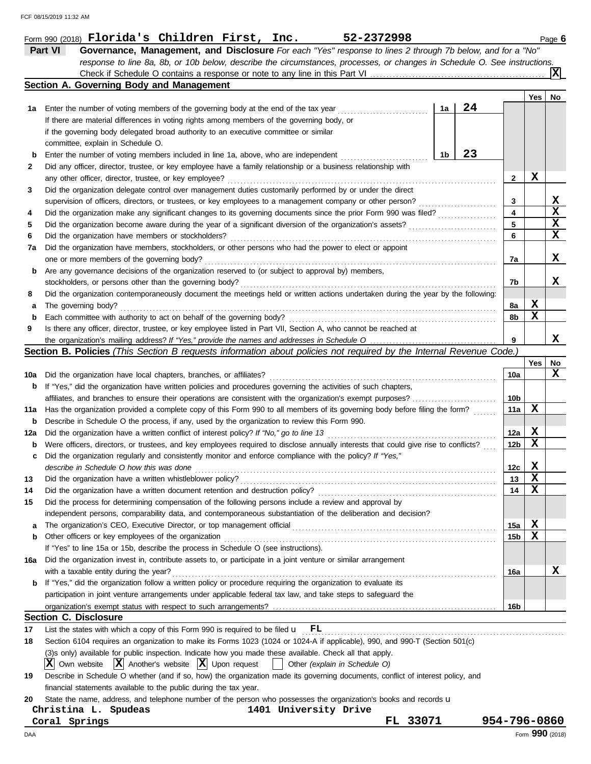|     | Form 990 (2018) $\blacksquare$ $\blacksquare$ $\blacksquare$ $\blacksquare$ $\blacksquare$ $\blacksquare$ $\blacksquare$ $\blacksquare$ $\blacksquare$ $\blacksquare$ $\blacksquare$ $\blacksquare$ $\blacksquare$ $\blacksquare$ $\blacksquare$<br>52-2372998 |                 |             | Page 6      |
|-----|----------------------------------------------------------------------------------------------------------------------------------------------------------------------------------------------------------------------------------------------------------------|-----------------|-------------|-------------|
|     | Part VI<br>Governance, Management, and Disclosure For each "Yes" response to lines 2 through 7b below, and for a "No"                                                                                                                                          |                 |             |             |
|     | response to line 8a, 8b, or 10b below, describe the circumstances, processes, or changes in Schedule O. See instructions.                                                                                                                                      |                 |             |             |
|     |                                                                                                                                                                                                                                                                |                 |             | x           |
|     | Section A. Governing Body and Management                                                                                                                                                                                                                       |                 |             |             |
|     |                                                                                                                                                                                                                                                                |                 | Yes         | No          |
| 1а  | 24<br>1a<br>Enter the number of voting members of the governing body at the end of the tax year                                                                                                                                                                |                 |             |             |
|     | If there are material differences in voting rights among members of the governing body, or                                                                                                                                                                     |                 |             |             |
|     | if the governing body delegated broad authority to an executive committee or similar                                                                                                                                                                           |                 |             |             |
|     | committee, explain in Schedule O.                                                                                                                                                                                                                              |                 |             |             |
| b   | 23<br>1b<br>Enter the number of voting members included in line 1a, above, who are independent                                                                                                                                                                 |                 |             |             |
| 2   | Did any officer, director, trustee, or key employee have a family relationship or a business relationship with                                                                                                                                                 |                 |             |             |
|     | any other officer, director, trustee, or key employee?                                                                                                                                                                                                         | 2               | X           |             |
| 3   | Did the organization delegate control over management duties customarily performed by or under the direct                                                                                                                                                      |                 |             |             |
|     | supervision of officers, directors, or trustees, or key employees to a management company or other person?                                                                                                                                                     | 3               |             | X           |
| 4   | Did the organization make any significant changes to its governing documents since the prior Form 990 was filed?                                                                                                                                               | 4               |             | $\mathbf x$ |
| 5   | Did the organization become aware during the year of a significant diversion of the organization's assets?                                                                                                                                                     | 5               |             | X           |
| 6   | Did the organization have members or stockholders?                                                                                                                                                                                                             | 6               |             | X           |
| 7a  | Did the organization have members, stockholders, or other persons who had the power to elect or appoint                                                                                                                                                        |                 |             |             |
|     | one or more members of the governing body?                                                                                                                                                                                                                     | 7a              |             | X           |
| b   | Are any governance decisions of the organization reserved to (or subject to approval by) members,                                                                                                                                                              |                 |             |             |
|     | stockholders, or persons other than the governing body?                                                                                                                                                                                                        | 7b              |             | x           |
| 8   | Did the organization contemporaneously document the meetings held or written actions undertaken during the year by the following:                                                                                                                              |                 |             |             |
| a   | The governing body?                                                                                                                                                                                                                                            | 8a              | х           |             |
| b   | Each committee with authority to act on behalf of the governing body?                                                                                                                                                                                          | 8b              | $\mathbf x$ |             |
| 9   | Is there any officer, director, trustee, or key employee listed in Part VII, Section A, who cannot be reached at                                                                                                                                               |                 |             |             |
|     |                                                                                                                                                                                                                                                                | 9               |             | X           |
|     | Section B. Policies (This Section B requests information about policies not required by the Internal Revenue Code.)                                                                                                                                            |                 |             |             |
|     |                                                                                                                                                                                                                                                                |                 | Yes         | No          |
| 10a | Did the organization have local chapters, branches, or affiliates?                                                                                                                                                                                             | 10a             |             | x           |
| b   | If "Yes," did the organization have written policies and procedures governing the activities of such chapters,                                                                                                                                                 |                 |             |             |
|     | affiliates, and branches to ensure their operations are consistent with the organization's exempt purposes?                                                                                                                                                    | 10b             |             |             |
| 11a | Has the organization provided a complete copy of this Form 990 to all members of its governing body before filing the form?                                                                                                                                    | 11a             | X           |             |
| b   | Describe in Schedule O the process, if any, used by the organization to review this Form 990.                                                                                                                                                                  |                 |             |             |
| 12a | Did the organization have a written conflict of interest policy? If "No," go to line 13                                                                                                                                                                        | 12a             | X           |             |
| b   | Were officers, directors, or trustees, and key employees required to disclose annually interests that could give rise to conflicts?                                                                                                                            | 12b             | X           |             |
| с   | Did the organization regularly and consistently monitor and enforce compliance with the policy? If "Yes,"                                                                                                                                                      |                 |             |             |
|     | describe in Schedule O how this was done                                                                                                                                                                                                                       | 12 <sub>c</sub> | X           |             |
| 13  | Did the organization have a written whistleblower policy?                                                                                                                                                                                                      | 13              | X           |             |
| 14  | Did the organization have a written document retention and destruction policy?                                                                                                                                                                                 | 14              | х           |             |
| 15  | Did the process for determining compensation of the following persons include a review and approval by                                                                                                                                                         |                 |             |             |
|     | independent persons, comparability data, and contemporaneous substantiation of the deliberation and decision?                                                                                                                                                  |                 |             |             |
| a   | The organization's CEO, Executive Director, or top management official                                                                                                                                                                                         | 15a             | X           |             |
| b   | Other officers or key employees of the organization                                                                                                                                                                                                            | 15 <sub>b</sub> | X           |             |
|     | If "Yes" to line 15a or 15b, describe the process in Schedule O (see instructions).                                                                                                                                                                            |                 |             |             |
| 16a | Did the organization invest in, contribute assets to, or participate in a joint venture or similar arrangement                                                                                                                                                 |                 |             |             |
|     | with a taxable entity during the year?                                                                                                                                                                                                                         | 16a             |             | х           |
| b   | If "Yes," did the organization follow a written policy or procedure requiring the organization to evaluate its                                                                                                                                                 |                 |             |             |
|     | participation in joint venture arrangements under applicable federal tax law, and take steps to safeguard the                                                                                                                                                  |                 |             |             |
|     |                                                                                                                                                                                                                                                                | 16b             |             |             |
|     | <b>Section C. Disclosure</b>                                                                                                                                                                                                                                   |                 |             |             |
| 17  | List the states with which a copy of this Form 990 is required to be filed $\mathbf{u}$ $\mathbf{FL}$                                                                                                                                                          |                 |             |             |
| 18  | Section 6104 requires an organization to make its Forms 1023 (1024 or 1024-A if applicable), 990, and 990-T (Section 501(c)                                                                                                                                    |                 |             |             |
|     | (3)s only) available for public inspection. Indicate how you made these available. Check all that apply.                                                                                                                                                       |                 |             |             |
|     | $ \mathbf{X} $ Own website $ \mathbf{X} $ Another's website $ \mathbf{X} $ Upon request<br>Other (explain in Schedule O)<br>$\mathbf{1}$                                                                                                                       |                 |             |             |
| 19  | Describe in Schedule O whether (and if so, how) the organization made its governing documents, conflict of interest policy, and                                                                                                                                |                 |             |             |
|     | financial statements available to the public during the tax year.                                                                                                                                                                                              |                 |             |             |
| 20  | State the name, address, and telephone number of the person who possesses the organization's books and records u                                                                                                                                               |                 |             |             |
|     | 1401 University Drive<br>Christina L. Spudeas                                                                                                                                                                                                                  |                 |             |             |
|     | FL 33071<br>Coral Springs                                                                                                                                                                                                                                      | 954-796-0860    |             |             |

DAA Form **990** (2018)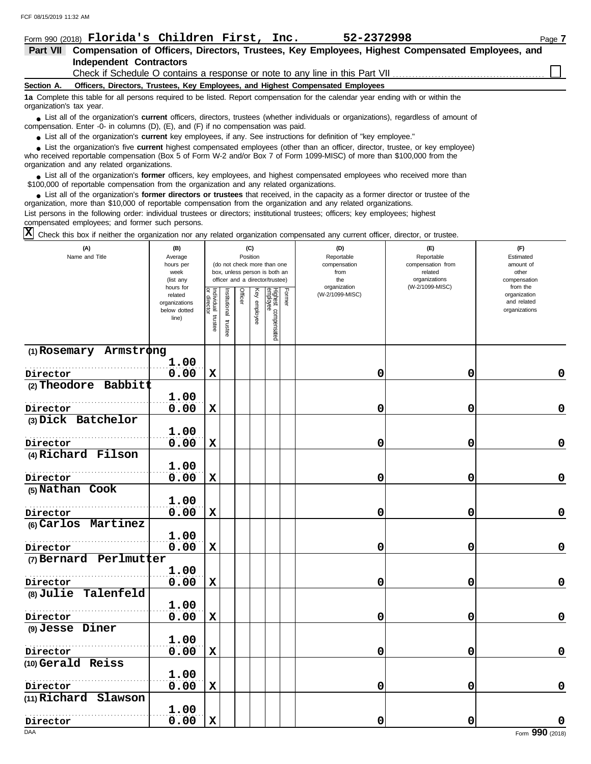|                          | Form 990 (2018) Florida's Children First, Inc.<br>52-2372998                                                                                                                                                                                                                                               | Page 7 |
|--------------------------|------------------------------------------------------------------------------------------------------------------------------------------------------------------------------------------------------------------------------------------------------------------------------------------------------------|--------|
| <b>Part VII</b>          | Compensation of Officers, Directors, Trustees, Key Employees, Highest Compensated Employees, and                                                                                                                                                                                                           |        |
|                          | <b>Independent Contractors</b>                                                                                                                                                                                                                                                                             |        |
|                          |                                                                                                                                                                                                                                                                                                            |        |
| Section A.               | Officers, Directors, Trustees, Key Employees, and Highest Compensated Employees                                                                                                                                                                                                                            |        |
| organization's tax year. | 1a Complete this table for all persons required to be listed. Report compensation for the calendar year ending with or within the                                                                                                                                                                          |        |
|                          | • List all of the organization's <b>current</b> officers, directors, trustees (whether individuals or organizations), regardless of amount of<br>compensation. Enter -0- in columns $(D)$ , $(E)$ , and $(F)$ if no compensation was paid.                                                                 |        |
|                          | • List all of the organization's current key employees, if any. See instructions for definition of "key employee."                                                                                                                                                                                         |        |
|                          | • List the organization's five current highest compensated employees (other than an officer, director, trustee, or key employee)<br>who received reportable compensation (Box 5 of Form W-2 and/or Box 7 of Form 1099-MISC) of more than \$100,000 from the<br>organization and any related organizations. |        |
|                          | • List all of the organization's former officers, key employees, and highest compensated employees who received more than<br>\$100,000 of reportable compensation from the organization and any related organizations.                                                                                     |        |
|                          |                                                                                                                                                                                                                                                                                                            |        |

List all of the organization's **former directors or trustees** that received, in the capacity as a former director or trustee of the ● List all of the organization's former directors or trustees that received, in the capacity as a former director organization, more than \$10,000 of reportable compensation from the organization and any related organizati List persons in the following order: individual trustees or directors; institutional trustees; officers; key employees; highest compensated employees; and former such persons.

 $\overline{X}$  Check this box if neither the organization nor any related organization compensated any current officer, director, or trustee.

| (A)<br>Name and Title     | (B)<br>Average<br>hours per<br>week<br>(list any<br>hours for |                                      | (C)<br>Position<br>(do not check more than one<br>box, unless person is both an<br>officer and a director/trustee) |         |              |                                           | (D)<br>Reportable<br>compensation<br>from<br>the<br>organization | (E)<br>Reportable<br>compensation from<br>related<br>organizations<br>(W-2/1099-MISC) | (F)<br>Estimated<br>amount of<br>other<br>compensation<br>from the |
|---------------------------|---------------------------------------------------------------|--------------------------------------|--------------------------------------------------------------------------------------------------------------------|---------|--------------|-------------------------------------------|------------------------------------------------------------------|---------------------------------------------------------------------------------------|--------------------------------------------------------------------|
|                           | related<br>organizations<br>below dotted<br>line)             | Individual<br>or director<br>trustee | nstitutional<br>trustee                                                                                            | Officer | Key employee | Former<br>Highest compensated<br>employee | (W-2/1099-MISC)                                                  |                                                                                       | organization<br>and related<br>organizations                       |
| $(1)$ Rosemary Armstrong  | 1.00                                                          |                                      |                                                                                                                    |         |              |                                           |                                                                  |                                                                                       |                                                                    |
| Director                  | 0.00                                                          | $\mathbf x$                          |                                                                                                                    |         |              |                                           | 0                                                                | 0                                                                                     | 0                                                                  |
| $(2)$ Theodore Babbitt    |                                                               |                                      |                                                                                                                    |         |              |                                           |                                                                  |                                                                                       |                                                                    |
|                           | 1.00                                                          |                                      |                                                                                                                    |         |              |                                           |                                                                  |                                                                                       |                                                                    |
| Director                  | 0.00                                                          | $\mathbf x$                          |                                                                                                                    |         |              |                                           | 0                                                                | 0                                                                                     | $\mathbf 0$                                                        |
| (3) Dick Batchelor        |                                                               |                                      |                                                                                                                    |         |              |                                           |                                                                  |                                                                                       |                                                                    |
|                           | 1.00                                                          |                                      |                                                                                                                    |         |              |                                           |                                                                  |                                                                                       |                                                                    |
| Director                  | 0.00                                                          | $\mathbf x$                          |                                                                                                                    |         |              |                                           | 0                                                                | 0                                                                                     | 0                                                                  |
| (4) Richard Filson        |                                                               |                                      |                                                                                                                    |         |              |                                           |                                                                  |                                                                                       |                                                                    |
|                           | 1.00                                                          |                                      |                                                                                                                    |         |              |                                           |                                                                  |                                                                                       |                                                                    |
| Director                  | 0.00                                                          | $\mathbf x$                          |                                                                                                                    |         |              |                                           | 0                                                                | 0                                                                                     | $\mathbf 0$                                                        |
| (5) Nathan Cook           |                                                               |                                      |                                                                                                                    |         |              |                                           |                                                                  |                                                                                       |                                                                    |
|                           | 1.00                                                          |                                      |                                                                                                                    |         |              |                                           |                                                                  |                                                                                       |                                                                    |
| Director                  | 0.00                                                          | $\mathbf x$                          |                                                                                                                    |         |              |                                           | 0                                                                | 0                                                                                     | $\mathbf 0$                                                        |
| (6) Carlos Martinez       |                                                               |                                      |                                                                                                                    |         |              |                                           |                                                                  |                                                                                       |                                                                    |
|                           | 1.00                                                          |                                      |                                                                                                                    |         |              |                                           |                                                                  |                                                                                       |                                                                    |
| Director                  | 0.00                                                          | $\mathbf x$                          |                                                                                                                    |         |              |                                           | 0                                                                | 0                                                                                     | $\mathbf 0$                                                        |
| $(7)$ Bernard Perlmutter  |                                                               |                                      |                                                                                                                    |         |              |                                           |                                                                  |                                                                                       |                                                                    |
|                           | 1.00                                                          |                                      |                                                                                                                    |         |              |                                           |                                                                  |                                                                                       |                                                                    |
| Director                  | 0.00                                                          | $\mathbf x$                          |                                                                                                                    |         |              |                                           | 0                                                                | 0                                                                                     | 0                                                                  |
| (8) Julie Talenfeld       |                                                               |                                      |                                                                                                                    |         |              |                                           |                                                                  |                                                                                       |                                                                    |
|                           | 1.00                                                          |                                      |                                                                                                                    |         |              |                                           |                                                                  |                                                                                       |                                                                    |
| Director                  | 0.00                                                          | $\mathbf x$                          |                                                                                                                    |         |              |                                           | 0                                                                | 0                                                                                     | 0                                                                  |
| (9) Jesse Diner           |                                                               |                                      |                                                                                                                    |         |              |                                           |                                                                  |                                                                                       |                                                                    |
|                           | 1.00                                                          |                                      |                                                                                                                    |         |              |                                           |                                                                  |                                                                                       |                                                                    |
| Director                  | 0.00                                                          | $\mathbf x$                          |                                                                                                                    |         |              |                                           | 0                                                                | 0                                                                                     | $\pmb{0}$                                                          |
| (10) Gerald Reiss         |                                                               |                                      |                                                                                                                    |         |              |                                           |                                                                  |                                                                                       |                                                                    |
|                           | 1.00                                                          |                                      |                                                                                                                    |         |              |                                           |                                                                  |                                                                                       |                                                                    |
| Director                  | 0.00                                                          | $\mathbf x$                          |                                                                                                                    |         |              |                                           | 0                                                                | 0                                                                                     | $\mathbf 0$                                                        |
| $(11)$ Richard<br>Slawson |                                                               |                                      |                                                                                                                    |         |              |                                           |                                                                  |                                                                                       |                                                                    |
|                           | 1.00                                                          |                                      |                                                                                                                    |         |              |                                           |                                                                  |                                                                                       |                                                                    |
| Director                  | 0.00                                                          | $\mathbf x$                          |                                                                                                                    |         |              |                                           | 0                                                                | 0                                                                                     | 0                                                                  |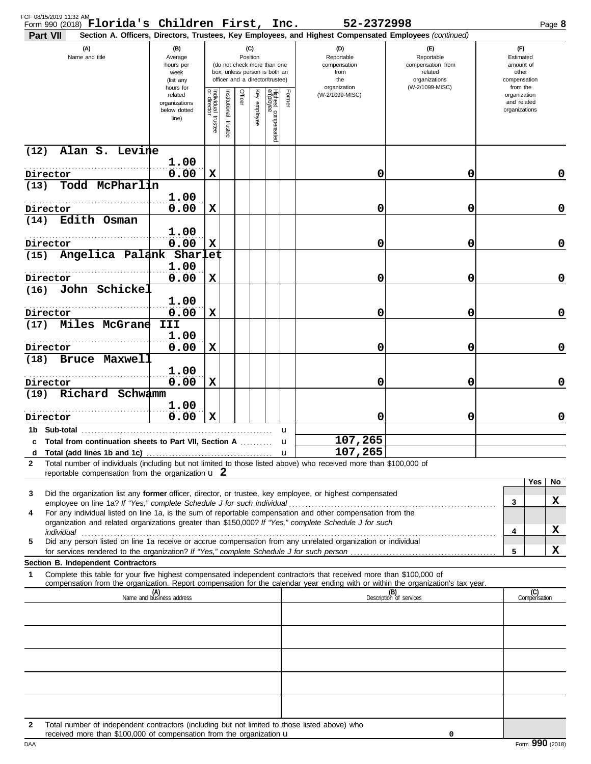| FCF 08/15/2019 11:32 AM<br>Form 990 (2018) Florida's Children First, Inc. $52-2372998$<br>Part VII                                                                                                                                                                                                                                                   |                                                                |                                      |                          |                 |                 |                                                                                                 |        | Section A. Officers, Directors, Trustees, Key Employees, and Highest Compensated Employees (continued) |                                                                               | Page 8                                                   |
|------------------------------------------------------------------------------------------------------------------------------------------------------------------------------------------------------------------------------------------------------------------------------------------------------------------------------------------------------|----------------------------------------------------------------|--------------------------------------|--------------------------|-----------------|-----------------|-------------------------------------------------------------------------------------------------|--------|--------------------------------------------------------------------------------------------------------|-------------------------------------------------------------------------------|----------------------------------------------------------|
| (A)<br>Name and title                                                                                                                                                                                                                                                                                                                                | (B)<br>Average<br>hours per<br>week<br>(list any               |                                      |                          | (C)<br>Position |                 | (do not check more than one<br>box, unless person is both an<br>officer and a director/trustee) |        | (D)<br>Reportable<br>compensation<br>from<br>the                                                       | $(\mathsf{F})$<br>Reportable<br>compensation from<br>related<br>organizations | (F)<br>Estimated<br>amount of<br>other<br>compensation   |
|                                                                                                                                                                                                                                                                                                                                                      | hours for<br>related<br>organizations<br>below dotted<br>line) | Individual<br>or director<br>trustee | Institutional<br>trustee | Officer         | Ķey<br>employee | Highest compensated<br>employee                                                                 | Former | organization<br>(W-2/1099-MISC)                                                                        | (W-2/1099-MISC)                                                               | from the<br>organization<br>and related<br>organizations |
| Alan S. Levine<br>(12)                                                                                                                                                                                                                                                                                                                               |                                                                |                                      |                          |                 |                 |                                                                                                 |        |                                                                                                        |                                                                               |                                                          |
| Director                                                                                                                                                                                                                                                                                                                                             | 1.00<br>0.00                                                   | X                                    |                          |                 |                 |                                                                                                 |        | 0                                                                                                      | 0                                                                             | 0                                                        |
| Todd McPharlin<br>(13)                                                                                                                                                                                                                                                                                                                               |                                                                |                                      |                          |                 |                 |                                                                                                 |        |                                                                                                        |                                                                               |                                                          |
| Director                                                                                                                                                                                                                                                                                                                                             | 1.00<br>0.00                                                   | х                                    |                          |                 |                 |                                                                                                 |        | 0                                                                                                      | 0                                                                             | 0                                                        |
| Edith Osman<br>(14)                                                                                                                                                                                                                                                                                                                                  | 1.00                                                           |                                      |                          |                 |                 |                                                                                                 |        |                                                                                                        |                                                                               |                                                          |
| Director<br>Angelica Palank Sharlet<br>(15)                                                                                                                                                                                                                                                                                                          | 0.00                                                           | х                                    |                          |                 |                 |                                                                                                 |        | 0                                                                                                      | 0                                                                             | 0                                                        |
|                                                                                                                                                                                                                                                                                                                                                      | 1.00                                                           |                                      |                          |                 |                 |                                                                                                 |        |                                                                                                        |                                                                               |                                                          |
| Director<br>John Schickel<br>(16)                                                                                                                                                                                                                                                                                                                    | 0.00                                                           | X                                    |                          |                 |                 |                                                                                                 |        | 0                                                                                                      | 0                                                                             | 0                                                        |
| Director                                                                                                                                                                                                                                                                                                                                             | 1.00<br>0.00                                                   | X                                    |                          |                 |                 |                                                                                                 |        | 0                                                                                                      | 0                                                                             | 0                                                        |
| Miles McGrane<br>(17)                                                                                                                                                                                                                                                                                                                                | III<br>1.00                                                    |                                      |                          |                 |                 |                                                                                                 |        |                                                                                                        |                                                                               |                                                          |
| Director                                                                                                                                                                                                                                                                                                                                             | 0.00                                                           | X                                    |                          |                 |                 |                                                                                                 |        | 0                                                                                                      | 0                                                                             | 0                                                        |
| <b>Bruce Maxwell</b><br>(18)                                                                                                                                                                                                                                                                                                                         | 1.00                                                           |                                      |                          |                 |                 |                                                                                                 |        |                                                                                                        |                                                                               |                                                          |
| Director                                                                                                                                                                                                                                                                                                                                             | 0.00                                                           | X                                    |                          |                 |                 |                                                                                                 |        | 0                                                                                                      | 0                                                                             | 0                                                        |
| Richard Schwamm<br>(19)                                                                                                                                                                                                                                                                                                                              | 1.00                                                           |                                      |                          |                 |                 |                                                                                                 |        |                                                                                                        |                                                                               |                                                          |
| Director                                                                                                                                                                                                                                                                                                                                             | 0.00                                                           | x                                    |                          |                 |                 |                                                                                                 |        | 0                                                                                                      | 0                                                                             | 0                                                        |
| c Total from continuation sheets to Part VII, Section A                                                                                                                                                                                                                                                                                              |                                                                |                                      |                          |                 |                 |                                                                                                 | u<br>u | 107,265                                                                                                |                                                                               |                                                          |
|                                                                                                                                                                                                                                                                                                                                                      |                                                                |                                      |                          |                 |                 |                                                                                                 |        | 107,265                                                                                                |                                                                               |                                                          |
| Total number of individuals (including but not limited to those listed above) who received more than \$100,000 of<br>2<br>reportable compensation from the organization $\mathbf u$ 2                                                                                                                                                                |                                                                |                                      |                          |                 |                 |                                                                                                 |        |                                                                                                        |                                                                               |                                                          |
| Did the organization list any former officer, director, or trustee, key employee, or highest compensated<br>3                                                                                                                                                                                                                                        |                                                                |                                      |                          |                 |                 |                                                                                                 |        |                                                                                                        |                                                                               | Yes<br>No                                                |
| employee on line 1a? If "Yes," complete Schedule J for such individual<br>For any individual listed on line 1a, is the sum of reportable compensation and other compensation from the<br>4                                                                                                                                                           |                                                                |                                      |                          |                 |                 |                                                                                                 |        |                                                                                                        |                                                                               | x<br>3                                                   |
| organization and related organizations greater than \$150,000? If "Yes," complete Schedule J for such                                                                                                                                                                                                                                                |                                                                |                                      |                          |                 |                 |                                                                                                 |        |                                                                                                        |                                                                               | X                                                        |
| individual with a construction of the construction of the construction of the construction of the construction of the construction of the construction of the construction of the construction of the construction of the cons<br>Did any person listed on line 1a receive or accrue compensation from any unrelated organization or individual<br>5 |                                                                |                                      |                          |                 |                 |                                                                                                 |        |                                                                                                        |                                                                               | 4                                                        |
| Section B. Independent Contractors                                                                                                                                                                                                                                                                                                                   |                                                                |                                      |                          |                 |                 |                                                                                                 |        |                                                                                                        |                                                                               | x<br>5                                                   |
| 1<br>Complete this table for your five highest compensated independent contractors that received more than \$100,000 of<br>compensation from the organization. Report compensation for the calendar year ending with or within the organization's tax year.                                                                                          |                                                                |                                      |                          |                 |                 |                                                                                                 |        |                                                                                                        |                                                                               |                                                          |
|                                                                                                                                                                                                                                                                                                                                                      | (A)<br>Name and business address                               |                                      |                          |                 |                 |                                                                                                 |        |                                                                                                        | (B)<br>Description of services                                                | (C)<br>Compensation                                      |
|                                                                                                                                                                                                                                                                                                                                                      |                                                                |                                      |                          |                 |                 |                                                                                                 |        |                                                                                                        |                                                                               |                                                          |
|                                                                                                                                                                                                                                                                                                                                                      |                                                                |                                      |                          |                 |                 |                                                                                                 |        |                                                                                                        |                                                                               |                                                          |
|                                                                                                                                                                                                                                                                                                                                                      |                                                                |                                      |                          |                 |                 |                                                                                                 |        |                                                                                                        |                                                                               |                                                          |
|                                                                                                                                                                                                                                                                                                                                                      |                                                                |                                      |                          |                 |                 |                                                                                                 |        |                                                                                                        |                                                                               |                                                          |
|                                                                                                                                                                                                                                                                                                                                                      |                                                                |                                      |                          |                 |                 |                                                                                                 |        |                                                                                                        |                                                                               |                                                          |
|                                                                                                                                                                                                                                                                                                                                                      |                                                                |                                      |                          |                 |                 |                                                                                                 |        |                                                                                                        |                                                                               |                                                          |
| Total number of independent contractors (including but not limited to those listed above) who<br>2<br>received more than \$100,000 of compensation from the organization u                                                                                                                                                                           |                                                                |                                      |                          |                 |                 |                                                                                                 |        |                                                                                                        | 0                                                                             |                                                          |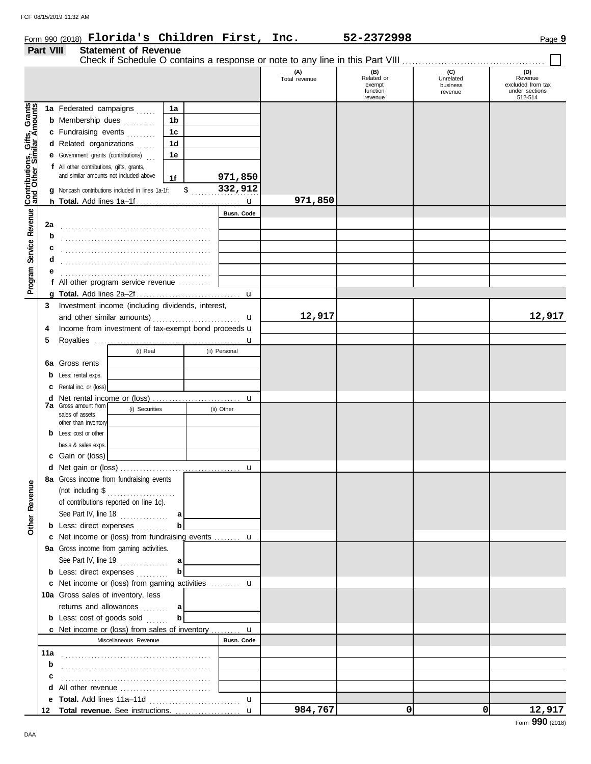### Form 990 (2018) Page **9**

|                                                                  | Part VIII                                       | <b>Statement of Revenue</b>                          |             |                    |                      |                                                    |                                         |                                                                  |
|------------------------------------------------------------------|-------------------------------------------------|------------------------------------------------------|-------------|--------------------|----------------------|----------------------------------------------------|-----------------------------------------|------------------------------------------------------------------|
|                                                                  |                                                 |                                                      |             |                    | (A)<br>Total revenue | (B)<br>Related or<br>exempt<br>function<br>revenue | (C)<br>Unrelated<br>business<br>revenue | (D)<br>Revenue<br>excluded from tax<br>under sections<br>512-514 |
|                                                                  |                                                 | 1a Federated campaigns                               | 1a          |                    |                      |                                                    |                                         |                                                                  |
| <b>Contributions, Gifts, Grants</b><br>and Other Similar Amounts |                                                 | <b>b</b> Membership dues<br>.                        | 1b          |                    |                      |                                                    |                                         |                                                                  |
|                                                                  |                                                 | c Fundraising events                                 | 1c          |                    |                      |                                                    |                                         |                                                                  |
|                                                                  |                                                 | d Related organizations                              | 1d          |                    |                      |                                                    |                                         |                                                                  |
|                                                                  |                                                 | <b>e</b> Government grants (contributions)           | 1e          |                    |                      |                                                    |                                         |                                                                  |
|                                                                  |                                                 | f All other contributions, gifts, grants,            |             |                    |                      |                                                    |                                         |                                                                  |
|                                                                  |                                                 | and similar amounts not included above               |             |                    |                      |                                                    |                                         |                                                                  |
|                                                                  |                                                 |                                                      | 1f          | 971,850<br>332,912 |                      |                                                    |                                         |                                                                  |
|                                                                  |                                                 | Noncash contributions included in lines 1a-1f:       |             | \$                 |                      |                                                    |                                         |                                                                  |
|                                                                  |                                                 |                                                      |             | $\mathbf u$        | 971,850              |                                                    |                                         |                                                                  |
| Service Revenue                                                  |                                                 |                                                      |             | Busn. Code         |                      |                                                    |                                         |                                                                  |
|                                                                  | 2a                                              |                                                      |             |                    |                      |                                                    |                                         |                                                                  |
|                                                                  | b                                               |                                                      |             |                    |                      |                                                    |                                         |                                                                  |
|                                                                  | с                                               |                                                      |             |                    |                      |                                                    |                                         |                                                                  |
|                                                                  | d                                               |                                                      |             |                    |                      |                                                    |                                         |                                                                  |
|                                                                  |                                                 |                                                      |             |                    |                      |                                                    |                                         |                                                                  |
| Program !                                                        |                                                 | All other program service revenue                    |             |                    |                      |                                                    |                                         |                                                                  |
|                                                                  |                                                 |                                                      |             |                    |                      |                                                    |                                         |                                                                  |
|                                                                  | 3                                               | Investment income (including dividends, interest,    |             |                    |                      |                                                    |                                         |                                                                  |
|                                                                  |                                                 |                                                      |             | u                  | 12,917               |                                                    |                                         | 12,917                                                           |
|                                                                  | 4                                               | Income from investment of tax-exempt bond proceeds u |             |                    |                      |                                                    |                                         |                                                                  |
|                                                                  | 5                                               |                                                      |             |                    |                      |                                                    |                                         |                                                                  |
|                                                                  |                                                 | (i) Real                                             |             | (ii) Personal      |                      |                                                    |                                         |                                                                  |
|                                                                  |                                                 | Gross rents                                          |             |                    |                      |                                                    |                                         |                                                                  |
|                                                                  | 6а                                              |                                                      |             |                    |                      |                                                    |                                         |                                                                  |
|                                                                  | b                                               | Less: rental exps.                                   |             |                    |                      |                                                    |                                         |                                                                  |
|                                                                  | c                                               | Rental inc. or (loss)                                |             |                    |                      |                                                    |                                         |                                                                  |
|                                                                  | d                                               | <b>7a</b> Gross amount from                          |             | u                  |                      |                                                    |                                         |                                                                  |
|                                                                  | (i) Securities<br>(ii) Other<br>sales of assets |                                                      |             |                    |                      |                                                    |                                         |                                                                  |
|                                                                  |                                                 | other than inventory                                 |             |                    |                      |                                                    |                                         |                                                                  |
|                                                                  |                                                 | <b>b</b> Less: cost or other                         |             |                    |                      |                                                    |                                         |                                                                  |
|                                                                  |                                                 | basis & sales exps.                                  |             |                    |                      |                                                    |                                         |                                                                  |
|                                                                  |                                                 | c Gain or (loss)                                     |             |                    |                      |                                                    |                                         |                                                                  |
|                                                                  |                                                 |                                                      |             |                    |                      |                                                    |                                         |                                                                  |
|                                                                  |                                                 | 8a Gross income from fundraising events              |             |                    |                      |                                                    |                                         |                                                                  |
|                                                                  |                                                 | (not including \$<br>.                               |             |                    |                      |                                                    |                                         |                                                                  |
|                                                                  |                                                 | of contributions reported on line 1c).               |             |                    |                      |                                                    |                                         |                                                                  |
| <b>Other Revenue</b>                                             |                                                 | See Part IV, line $18$                               | а           |                    |                      |                                                    |                                         |                                                                  |
|                                                                  |                                                 | <b>b</b> Less: direct expenses                       |             |                    |                      |                                                    |                                         |                                                                  |
|                                                                  |                                                 | c Net income or (loss) from fundraising events  u    |             |                    |                      |                                                    |                                         |                                                                  |
|                                                                  |                                                 | 9a Gross income from gaming activities.              |             |                    |                      |                                                    |                                         |                                                                  |
|                                                                  |                                                 | See Part IV, line 19 $\ldots$                        | a           |                    |                      |                                                    |                                         |                                                                  |
|                                                                  |                                                 | <b>b</b> Less: direct expenses                       |             |                    |                      |                                                    |                                         |                                                                  |
|                                                                  |                                                 | c Net income or (loss) from gaming activities  u     |             |                    |                      |                                                    |                                         |                                                                  |
|                                                                  |                                                 | 10a Gross sales of inventory, less                   |             |                    |                      |                                                    |                                         |                                                                  |
|                                                                  |                                                 |                                                      |             |                    |                      |                                                    |                                         |                                                                  |
|                                                                  |                                                 | returns and allowances                               | а           |                    |                      |                                                    |                                         |                                                                  |
|                                                                  |                                                 | <b>b</b> Less: cost of goods sold                    | $\mathbf b$ |                    |                      |                                                    |                                         |                                                                  |
|                                                                  |                                                 | c Net income or (loss) from sales of inventory  u    |             |                    |                      |                                                    |                                         |                                                                  |
|                                                                  |                                                 | Miscellaneous Revenue                                |             | <b>Busn. Code</b>  |                      |                                                    |                                         |                                                                  |
|                                                                  | 11a                                             |                                                      |             |                    |                      |                                                    |                                         |                                                                  |
|                                                                  | b                                               |                                                      |             |                    |                      |                                                    |                                         |                                                                  |
|                                                                  | с                                               |                                                      |             |                    |                      |                                                    |                                         |                                                                  |
|                                                                  | d                                               |                                                      |             |                    |                      |                                                    |                                         |                                                                  |
|                                                                  | е                                               |                                                      |             | $\mathbf u$        |                      |                                                    |                                         |                                                                  |
|                                                                  | 12                                              |                                                      |             |                    | 984,767              | 0                                                  | $\Omega$                                | 12,917                                                           |

**Florida's Children First, Inc. 52-2372998**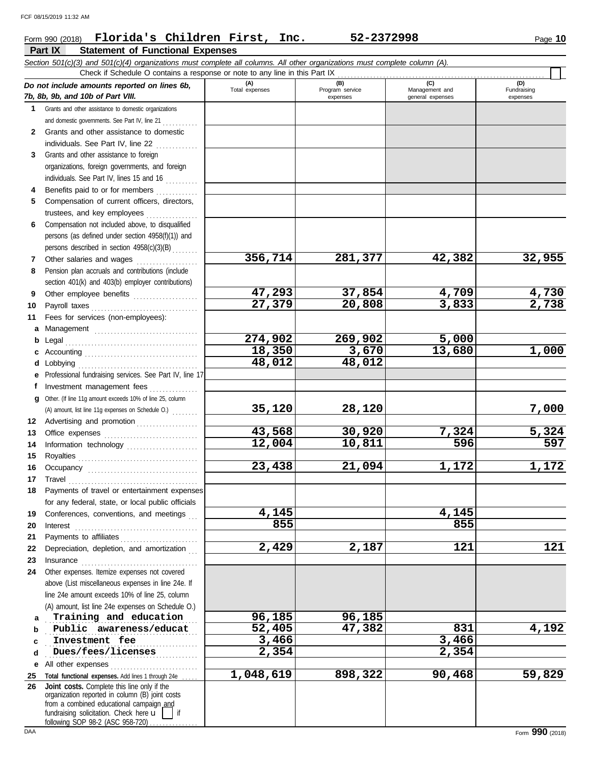## **Part IX Statement of Functional Expenses** Form 990 (2018) Page **10 Florida's Children First, Inc. 52-2372998**

| (D)<br>(A)<br>(B)<br>(C)<br>Do not include amounts reported on lines 6b,<br>Total expenses<br>Program service<br>Management and<br>Fundraising<br>7b, 8b, 9b, and 10b of Part VIII.<br>expenses<br>expenses<br>general expenses<br>$\mathbf 1$<br>Grants and other assistance to domestic organizations<br>and domestic governments. See Part IV, line 21<br>Grants and other assistance to domestic<br>2<br>individuals. See Part IV, line 22<br>Grants and other assistance to foreign<br>3<br>organizations, foreign governments, and foreign<br>individuals. See Part IV, lines 15 and 16<br>Benefits paid to or for members<br>4<br>Compensation of current officers, directors,<br>5<br>trustees, and key employees<br>Compensation not included above, to disqualified<br>6<br>persons (as defined under section 4958(f)(1)) and<br>persons described in section 4958(c)(3)(B)<br>356,714<br>32,955<br>281,377<br>42,382<br>Other salaries and wages<br>7<br>Pension plan accruals and contributions (include<br>8<br>section 401(k) and 403(b) employer contributions)<br>47,293<br>37,854<br>4,730<br>4,709<br>Other employee benefits<br>9<br>$\overline{27,379}$<br>2,738<br>20,808<br>3,833<br>Payroll taxes<br>10<br>Fees for services (non-employees):<br>11<br>а<br>274,902<br>269,902<br>5,000<br>Legal<br>b<br>18,350<br>3,670<br>13,680<br>1,000<br>с<br>48,012<br>48,012<br>Lobbying<br>d<br>Professional fundraising services. See Part IV, line 17<br>Investment management fees<br>f<br>Other. (If line 11g amount exceeds 10% of line 25, column<br>a<br>7,000<br>35,120<br>28,120<br>(A) amount, list line 11g expenses on Schedule O.)<br>Advertising and promotion<br>12<br>43,568<br>30,920<br>5,324<br>7,324<br>13<br>12,004<br>597<br>10,811<br>596<br>Information technology<br>14<br>15<br>1,172<br>23,438<br>1,172<br>21,094<br>16<br>$\begin{minipage}[c]{0.9\linewidth} \begin{tabular}{l} \textbf{True} \end{tabular} \end{minipage} \begin{minipage}[c]{0.9\linewidth} \begin{tabular}{l} \textbf{True} \end{tabular} \end{minipage} \end{minipage} \begin{minipage}[c]{0.9\linewidth} \begin{tabular}{l} \textbf{True} \end{tabular} \end{minipage} \end{minipage} \begin{minipage}[c]{0.9\linewidth} \begin{tabular}{l} \textbf{True} \end{tabular} \end{minipage} \end{minipage} \begin{minipage}[c]{0.9\linewidth} \begin{tabular}{l} \textbf{True} \end$<br>17<br>Payments of travel or entertainment expenses<br>for any federal, state, or local public officials<br>4,145<br>4,145<br>Conferences, conventions, and meetings<br>19<br>855<br>855<br>20<br>Interest<br>Payments to affiliates<br>21<br><u> 1966 - Johann Stoff, Amerikaansk kanton en </u><br>2,429<br>121<br>2,187<br>121<br>Depreciation, depletion, and amortization<br>22<br>23<br>Insurance <b>continuous</b><br>Other expenses. Itemize expenses not covered<br>24<br>above (List miscellaneous expenses in line 24e. If<br>line 24e amount exceeds 10% of line 25, column<br>(A) amount, list line 24e expenses on Schedule O.)<br>96,185<br>96,185<br>Training and education<br>a<br>52,405<br>47,382<br>4,192<br>831<br>Public awareness/educat<br>b<br>3,466<br>3,466<br>Investment fee<br>C<br>$\overline{2,354}$<br>2,354<br>Dues/fees/licenses<br>d<br>All other expenses<br>е<br>1,048,619<br>898,322<br>59,829<br>90,468<br>Total functional expenses. Add lines 1 through 24e<br>25<br>Joint costs. Complete this line only if the<br>organization reported in column (B) joint costs |    | Section 501(c)(3) and 501(c)(4) organizations must complete all columns. All other organizations must complete column (A).<br>Check if Schedule O contains a response or note to any line in this Part IX |  |  |
|------------------------------------------------------------------------------------------------------------------------------------------------------------------------------------------------------------------------------------------------------------------------------------------------------------------------------------------------------------------------------------------------------------------------------------------------------------------------------------------------------------------------------------------------------------------------------------------------------------------------------------------------------------------------------------------------------------------------------------------------------------------------------------------------------------------------------------------------------------------------------------------------------------------------------------------------------------------------------------------------------------------------------------------------------------------------------------------------------------------------------------------------------------------------------------------------------------------------------------------------------------------------------------------------------------------------------------------------------------------------------------------------------------------------------------------------------------------------------------------------------------------------------------------------------------------------------------------------------------------------------------------------------------------------------------------------------------------------------------------------------------------------------------------------------------------------------------------------------------------------------------------------------------------------------------------------------------------------------------------------------------------------------------------------------------------------------------------------------------------------------------------------------------------------------------------------------------------------------------------------------------------------------------------------------------------------------------------------------------------------------------------------------------------------------------------------------------------------------------------------------------------------------------------------------------------------------------------------------------------------------------------------------------------------------------------------------------------------------------------------------------------------------------------------------------------------------------------------------------------------------------------------------------------------------------------------------------------------------------------------------------------------------------------------------------------------------------------------------------------------------------------------------------------------------------------------------------------------------------------------------------------------------------------------------------------------------------------------------------------------------------------------------------------------------------------------------------------------------------------------------------------|----|-----------------------------------------------------------------------------------------------------------------------------------------------------------------------------------------------------------|--|--|
|                                                                                                                                                                                                                                                                                                                                                                                                                                                                                                                                                                                                                                                                                                                                                                                                                                                                                                                                                                                                                                                                                                                                                                                                                                                                                                                                                                                                                                                                                                                                                                                                                                                                                                                                                                                                                                                                                                                                                                                                                                                                                                                                                                                                                                                                                                                                                                                                                                                                                                                                                                                                                                                                                                                                                                                                                                                                                                                                                                                                                                                                                                                                                                                                                                                                                                                                                                                                                                                                                                                  |    |                                                                                                                                                                                                           |  |  |
|                                                                                                                                                                                                                                                                                                                                                                                                                                                                                                                                                                                                                                                                                                                                                                                                                                                                                                                                                                                                                                                                                                                                                                                                                                                                                                                                                                                                                                                                                                                                                                                                                                                                                                                                                                                                                                                                                                                                                                                                                                                                                                                                                                                                                                                                                                                                                                                                                                                                                                                                                                                                                                                                                                                                                                                                                                                                                                                                                                                                                                                                                                                                                                                                                                                                                                                                                                                                                                                                                                                  |    |                                                                                                                                                                                                           |  |  |
|                                                                                                                                                                                                                                                                                                                                                                                                                                                                                                                                                                                                                                                                                                                                                                                                                                                                                                                                                                                                                                                                                                                                                                                                                                                                                                                                                                                                                                                                                                                                                                                                                                                                                                                                                                                                                                                                                                                                                                                                                                                                                                                                                                                                                                                                                                                                                                                                                                                                                                                                                                                                                                                                                                                                                                                                                                                                                                                                                                                                                                                                                                                                                                                                                                                                                                                                                                                                                                                                                                                  |    |                                                                                                                                                                                                           |  |  |
|                                                                                                                                                                                                                                                                                                                                                                                                                                                                                                                                                                                                                                                                                                                                                                                                                                                                                                                                                                                                                                                                                                                                                                                                                                                                                                                                                                                                                                                                                                                                                                                                                                                                                                                                                                                                                                                                                                                                                                                                                                                                                                                                                                                                                                                                                                                                                                                                                                                                                                                                                                                                                                                                                                                                                                                                                                                                                                                                                                                                                                                                                                                                                                                                                                                                                                                                                                                                                                                                                                                  |    |                                                                                                                                                                                                           |  |  |
|                                                                                                                                                                                                                                                                                                                                                                                                                                                                                                                                                                                                                                                                                                                                                                                                                                                                                                                                                                                                                                                                                                                                                                                                                                                                                                                                                                                                                                                                                                                                                                                                                                                                                                                                                                                                                                                                                                                                                                                                                                                                                                                                                                                                                                                                                                                                                                                                                                                                                                                                                                                                                                                                                                                                                                                                                                                                                                                                                                                                                                                                                                                                                                                                                                                                                                                                                                                                                                                                                                                  |    |                                                                                                                                                                                                           |  |  |
|                                                                                                                                                                                                                                                                                                                                                                                                                                                                                                                                                                                                                                                                                                                                                                                                                                                                                                                                                                                                                                                                                                                                                                                                                                                                                                                                                                                                                                                                                                                                                                                                                                                                                                                                                                                                                                                                                                                                                                                                                                                                                                                                                                                                                                                                                                                                                                                                                                                                                                                                                                                                                                                                                                                                                                                                                                                                                                                                                                                                                                                                                                                                                                                                                                                                                                                                                                                                                                                                                                                  |    |                                                                                                                                                                                                           |  |  |
|                                                                                                                                                                                                                                                                                                                                                                                                                                                                                                                                                                                                                                                                                                                                                                                                                                                                                                                                                                                                                                                                                                                                                                                                                                                                                                                                                                                                                                                                                                                                                                                                                                                                                                                                                                                                                                                                                                                                                                                                                                                                                                                                                                                                                                                                                                                                                                                                                                                                                                                                                                                                                                                                                                                                                                                                                                                                                                                                                                                                                                                                                                                                                                                                                                                                                                                                                                                                                                                                                                                  |    |                                                                                                                                                                                                           |  |  |
|                                                                                                                                                                                                                                                                                                                                                                                                                                                                                                                                                                                                                                                                                                                                                                                                                                                                                                                                                                                                                                                                                                                                                                                                                                                                                                                                                                                                                                                                                                                                                                                                                                                                                                                                                                                                                                                                                                                                                                                                                                                                                                                                                                                                                                                                                                                                                                                                                                                                                                                                                                                                                                                                                                                                                                                                                                                                                                                                                                                                                                                                                                                                                                                                                                                                                                                                                                                                                                                                                                                  |    |                                                                                                                                                                                                           |  |  |
|                                                                                                                                                                                                                                                                                                                                                                                                                                                                                                                                                                                                                                                                                                                                                                                                                                                                                                                                                                                                                                                                                                                                                                                                                                                                                                                                                                                                                                                                                                                                                                                                                                                                                                                                                                                                                                                                                                                                                                                                                                                                                                                                                                                                                                                                                                                                                                                                                                                                                                                                                                                                                                                                                                                                                                                                                                                                                                                                                                                                                                                                                                                                                                                                                                                                                                                                                                                                                                                                                                                  |    |                                                                                                                                                                                                           |  |  |
|                                                                                                                                                                                                                                                                                                                                                                                                                                                                                                                                                                                                                                                                                                                                                                                                                                                                                                                                                                                                                                                                                                                                                                                                                                                                                                                                                                                                                                                                                                                                                                                                                                                                                                                                                                                                                                                                                                                                                                                                                                                                                                                                                                                                                                                                                                                                                                                                                                                                                                                                                                                                                                                                                                                                                                                                                                                                                                                                                                                                                                                                                                                                                                                                                                                                                                                                                                                                                                                                                                                  |    |                                                                                                                                                                                                           |  |  |
|                                                                                                                                                                                                                                                                                                                                                                                                                                                                                                                                                                                                                                                                                                                                                                                                                                                                                                                                                                                                                                                                                                                                                                                                                                                                                                                                                                                                                                                                                                                                                                                                                                                                                                                                                                                                                                                                                                                                                                                                                                                                                                                                                                                                                                                                                                                                                                                                                                                                                                                                                                                                                                                                                                                                                                                                                                                                                                                                                                                                                                                                                                                                                                                                                                                                                                                                                                                                                                                                                                                  |    |                                                                                                                                                                                                           |  |  |
|                                                                                                                                                                                                                                                                                                                                                                                                                                                                                                                                                                                                                                                                                                                                                                                                                                                                                                                                                                                                                                                                                                                                                                                                                                                                                                                                                                                                                                                                                                                                                                                                                                                                                                                                                                                                                                                                                                                                                                                                                                                                                                                                                                                                                                                                                                                                                                                                                                                                                                                                                                                                                                                                                                                                                                                                                                                                                                                                                                                                                                                                                                                                                                                                                                                                                                                                                                                                                                                                                                                  |    |                                                                                                                                                                                                           |  |  |
|                                                                                                                                                                                                                                                                                                                                                                                                                                                                                                                                                                                                                                                                                                                                                                                                                                                                                                                                                                                                                                                                                                                                                                                                                                                                                                                                                                                                                                                                                                                                                                                                                                                                                                                                                                                                                                                                                                                                                                                                                                                                                                                                                                                                                                                                                                                                                                                                                                                                                                                                                                                                                                                                                                                                                                                                                                                                                                                                                                                                                                                                                                                                                                                                                                                                                                                                                                                                                                                                                                                  |    |                                                                                                                                                                                                           |  |  |
|                                                                                                                                                                                                                                                                                                                                                                                                                                                                                                                                                                                                                                                                                                                                                                                                                                                                                                                                                                                                                                                                                                                                                                                                                                                                                                                                                                                                                                                                                                                                                                                                                                                                                                                                                                                                                                                                                                                                                                                                                                                                                                                                                                                                                                                                                                                                                                                                                                                                                                                                                                                                                                                                                                                                                                                                                                                                                                                                                                                                                                                                                                                                                                                                                                                                                                                                                                                                                                                                                                                  |    |                                                                                                                                                                                                           |  |  |
|                                                                                                                                                                                                                                                                                                                                                                                                                                                                                                                                                                                                                                                                                                                                                                                                                                                                                                                                                                                                                                                                                                                                                                                                                                                                                                                                                                                                                                                                                                                                                                                                                                                                                                                                                                                                                                                                                                                                                                                                                                                                                                                                                                                                                                                                                                                                                                                                                                                                                                                                                                                                                                                                                                                                                                                                                                                                                                                                                                                                                                                                                                                                                                                                                                                                                                                                                                                                                                                                                                                  |    |                                                                                                                                                                                                           |  |  |
|                                                                                                                                                                                                                                                                                                                                                                                                                                                                                                                                                                                                                                                                                                                                                                                                                                                                                                                                                                                                                                                                                                                                                                                                                                                                                                                                                                                                                                                                                                                                                                                                                                                                                                                                                                                                                                                                                                                                                                                                                                                                                                                                                                                                                                                                                                                                                                                                                                                                                                                                                                                                                                                                                                                                                                                                                                                                                                                                                                                                                                                                                                                                                                                                                                                                                                                                                                                                                                                                                                                  |    |                                                                                                                                                                                                           |  |  |
|                                                                                                                                                                                                                                                                                                                                                                                                                                                                                                                                                                                                                                                                                                                                                                                                                                                                                                                                                                                                                                                                                                                                                                                                                                                                                                                                                                                                                                                                                                                                                                                                                                                                                                                                                                                                                                                                                                                                                                                                                                                                                                                                                                                                                                                                                                                                                                                                                                                                                                                                                                                                                                                                                                                                                                                                                                                                                                                                                                                                                                                                                                                                                                                                                                                                                                                                                                                                                                                                                                                  |    |                                                                                                                                                                                                           |  |  |
|                                                                                                                                                                                                                                                                                                                                                                                                                                                                                                                                                                                                                                                                                                                                                                                                                                                                                                                                                                                                                                                                                                                                                                                                                                                                                                                                                                                                                                                                                                                                                                                                                                                                                                                                                                                                                                                                                                                                                                                                                                                                                                                                                                                                                                                                                                                                                                                                                                                                                                                                                                                                                                                                                                                                                                                                                                                                                                                                                                                                                                                                                                                                                                                                                                                                                                                                                                                                                                                                                                                  |    |                                                                                                                                                                                                           |  |  |
|                                                                                                                                                                                                                                                                                                                                                                                                                                                                                                                                                                                                                                                                                                                                                                                                                                                                                                                                                                                                                                                                                                                                                                                                                                                                                                                                                                                                                                                                                                                                                                                                                                                                                                                                                                                                                                                                                                                                                                                                                                                                                                                                                                                                                                                                                                                                                                                                                                                                                                                                                                                                                                                                                                                                                                                                                                                                                                                                                                                                                                                                                                                                                                                                                                                                                                                                                                                                                                                                                                                  |    |                                                                                                                                                                                                           |  |  |
|                                                                                                                                                                                                                                                                                                                                                                                                                                                                                                                                                                                                                                                                                                                                                                                                                                                                                                                                                                                                                                                                                                                                                                                                                                                                                                                                                                                                                                                                                                                                                                                                                                                                                                                                                                                                                                                                                                                                                                                                                                                                                                                                                                                                                                                                                                                                                                                                                                                                                                                                                                                                                                                                                                                                                                                                                                                                                                                                                                                                                                                                                                                                                                                                                                                                                                                                                                                                                                                                                                                  |    |                                                                                                                                                                                                           |  |  |
|                                                                                                                                                                                                                                                                                                                                                                                                                                                                                                                                                                                                                                                                                                                                                                                                                                                                                                                                                                                                                                                                                                                                                                                                                                                                                                                                                                                                                                                                                                                                                                                                                                                                                                                                                                                                                                                                                                                                                                                                                                                                                                                                                                                                                                                                                                                                                                                                                                                                                                                                                                                                                                                                                                                                                                                                                                                                                                                                                                                                                                                                                                                                                                                                                                                                                                                                                                                                                                                                                                                  |    |                                                                                                                                                                                                           |  |  |
|                                                                                                                                                                                                                                                                                                                                                                                                                                                                                                                                                                                                                                                                                                                                                                                                                                                                                                                                                                                                                                                                                                                                                                                                                                                                                                                                                                                                                                                                                                                                                                                                                                                                                                                                                                                                                                                                                                                                                                                                                                                                                                                                                                                                                                                                                                                                                                                                                                                                                                                                                                                                                                                                                                                                                                                                                                                                                                                                                                                                                                                                                                                                                                                                                                                                                                                                                                                                                                                                                                                  |    |                                                                                                                                                                                                           |  |  |
|                                                                                                                                                                                                                                                                                                                                                                                                                                                                                                                                                                                                                                                                                                                                                                                                                                                                                                                                                                                                                                                                                                                                                                                                                                                                                                                                                                                                                                                                                                                                                                                                                                                                                                                                                                                                                                                                                                                                                                                                                                                                                                                                                                                                                                                                                                                                                                                                                                                                                                                                                                                                                                                                                                                                                                                                                                                                                                                                                                                                                                                                                                                                                                                                                                                                                                                                                                                                                                                                                                                  |    |                                                                                                                                                                                                           |  |  |
|                                                                                                                                                                                                                                                                                                                                                                                                                                                                                                                                                                                                                                                                                                                                                                                                                                                                                                                                                                                                                                                                                                                                                                                                                                                                                                                                                                                                                                                                                                                                                                                                                                                                                                                                                                                                                                                                                                                                                                                                                                                                                                                                                                                                                                                                                                                                                                                                                                                                                                                                                                                                                                                                                                                                                                                                                                                                                                                                                                                                                                                                                                                                                                                                                                                                                                                                                                                                                                                                                                                  |    |                                                                                                                                                                                                           |  |  |
|                                                                                                                                                                                                                                                                                                                                                                                                                                                                                                                                                                                                                                                                                                                                                                                                                                                                                                                                                                                                                                                                                                                                                                                                                                                                                                                                                                                                                                                                                                                                                                                                                                                                                                                                                                                                                                                                                                                                                                                                                                                                                                                                                                                                                                                                                                                                                                                                                                                                                                                                                                                                                                                                                                                                                                                                                                                                                                                                                                                                                                                                                                                                                                                                                                                                                                                                                                                                                                                                                                                  |    |                                                                                                                                                                                                           |  |  |
|                                                                                                                                                                                                                                                                                                                                                                                                                                                                                                                                                                                                                                                                                                                                                                                                                                                                                                                                                                                                                                                                                                                                                                                                                                                                                                                                                                                                                                                                                                                                                                                                                                                                                                                                                                                                                                                                                                                                                                                                                                                                                                                                                                                                                                                                                                                                                                                                                                                                                                                                                                                                                                                                                                                                                                                                                                                                                                                                                                                                                                                                                                                                                                                                                                                                                                                                                                                                                                                                                                                  |    |                                                                                                                                                                                                           |  |  |
|                                                                                                                                                                                                                                                                                                                                                                                                                                                                                                                                                                                                                                                                                                                                                                                                                                                                                                                                                                                                                                                                                                                                                                                                                                                                                                                                                                                                                                                                                                                                                                                                                                                                                                                                                                                                                                                                                                                                                                                                                                                                                                                                                                                                                                                                                                                                                                                                                                                                                                                                                                                                                                                                                                                                                                                                                                                                                                                                                                                                                                                                                                                                                                                                                                                                                                                                                                                                                                                                                                                  |    |                                                                                                                                                                                                           |  |  |
|                                                                                                                                                                                                                                                                                                                                                                                                                                                                                                                                                                                                                                                                                                                                                                                                                                                                                                                                                                                                                                                                                                                                                                                                                                                                                                                                                                                                                                                                                                                                                                                                                                                                                                                                                                                                                                                                                                                                                                                                                                                                                                                                                                                                                                                                                                                                                                                                                                                                                                                                                                                                                                                                                                                                                                                                                                                                                                                                                                                                                                                                                                                                                                                                                                                                                                                                                                                                                                                                                                                  |    |                                                                                                                                                                                                           |  |  |
|                                                                                                                                                                                                                                                                                                                                                                                                                                                                                                                                                                                                                                                                                                                                                                                                                                                                                                                                                                                                                                                                                                                                                                                                                                                                                                                                                                                                                                                                                                                                                                                                                                                                                                                                                                                                                                                                                                                                                                                                                                                                                                                                                                                                                                                                                                                                                                                                                                                                                                                                                                                                                                                                                                                                                                                                                                                                                                                                                                                                                                                                                                                                                                                                                                                                                                                                                                                                                                                                                                                  |    |                                                                                                                                                                                                           |  |  |
|                                                                                                                                                                                                                                                                                                                                                                                                                                                                                                                                                                                                                                                                                                                                                                                                                                                                                                                                                                                                                                                                                                                                                                                                                                                                                                                                                                                                                                                                                                                                                                                                                                                                                                                                                                                                                                                                                                                                                                                                                                                                                                                                                                                                                                                                                                                                                                                                                                                                                                                                                                                                                                                                                                                                                                                                                                                                                                                                                                                                                                                                                                                                                                                                                                                                                                                                                                                                                                                                                                                  |    |                                                                                                                                                                                                           |  |  |
|                                                                                                                                                                                                                                                                                                                                                                                                                                                                                                                                                                                                                                                                                                                                                                                                                                                                                                                                                                                                                                                                                                                                                                                                                                                                                                                                                                                                                                                                                                                                                                                                                                                                                                                                                                                                                                                                                                                                                                                                                                                                                                                                                                                                                                                                                                                                                                                                                                                                                                                                                                                                                                                                                                                                                                                                                                                                                                                                                                                                                                                                                                                                                                                                                                                                                                                                                                                                                                                                                                                  |    |                                                                                                                                                                                                           |  |  |
|                                                                                                                                                                                                                                                                                                                                                                                                                                                                                                                                                                                                                                                                                                                                                                                                                                                                                                                                                                                                                                                                                                                                                                                                                                                                                                                                                                                                                                                                                                                                                                                                                                                                                                                                                                                                                                                                                                                                                                                                                                                                                                                                                                                                                                                                                                                                                                                                                                                                                                                                                                                                                                                                                                                                                                                                                                                                                                                                                                                                                                                                                                                                                                                                                                                                                                                                                                                                                                                                                                                  |    |                                                                                                                                                                                                           |  |  |
|                                                                                                                                                                                                                                                                                                                                                                                                                                                                                                                                                                                                                                                                                                                                                                                                                                                                                                                                                                                                                                                                                                                                                                                                                                                                                                                                                                                                                                                                                                                                                                                                                                                                                                                                                                                                                                                                                                                                                                                                                                                                                                                                                                                                                                                                                                                                                                                                                                                                                                                                                                                                                                                                                                                                                                                                                                                                                                                                                                                                                                                                                                                                                                                                                                                                                                                                                                                                                                                                                                                  |    |                                                                                                                                                                                                           |  |  |
|                                                                                                                                                                                                                                                                                                                                                                                                                                                                                                                                                                                                                                                                                                                                                                                                                                                                                                                                                                                                                                                                                                                                                                                                                                                                                                                                                                                                                                                                                                                                                                                                                                                                                                                                                                                                                                                                                                                                                                                                                                                                                                                                                                                                                                                                                                                                                                                                                                                                                                                                                                                                                                                                                                                                                                                                                                                                                                                                                                                                                                                                                                                                                                                                                                                                                                                                                                                                                                                                                                                  |    |                                                                                                                                                                                                           |  |  |
|                                                                                                                                                                                                                                                                                                                                                                                                                                                                                                                                                                                                                                                                                                                                                                                                                                                                                                                                                                                                                                                                                                                                                                                                                                                                                                                                                                                                                                                                                                                                                                                                                                                                                                                                                                                                                                                                                                                                                                                                                                                                                                                                                                                                                                                                                                                                                                                                                                                                                                                                                                                                                                                                                                                                                                                                                                                                                                                                                                                                                                                                                                                                                                                                                                                                                                                                                                                                                                                                                                                  |    |                                                                                                                                                                                                           |  |  |
|                                                                                                                                                                                                                                                                                                                                                                                                                                                                                                                                                                                                                                                                                                                                                                                                                                                                                                                                                                                                                                                                                                                                                                                                                                                                                                                                                                                                                                                                                                                                                                                                                                                                                                                                                                                                                                                                                                                                                                                                                                                                                                                                                                                                                                                                                                                                                                                                                                                                                                                                                                                                                                                                                                                                                                                                                                                                                                                                                                                                                                                                                                                                                                                                                                                                                                                                                                                                                                                                                                                  |    |                                                                                                                                                                                                           |  |  |
|                                                                                                                                                                                                                                                                                                                                                                                                                                                                                                                                                                                                                                                                                                                                                                                                                                                                                                                                                                                                                                                                                                                                                                                                                                                                                                                                                                                                                                                                                                                                                                                                                                                                                                                                                                                                                                                                                                                                                                                                                                                                                                                                                                                                                                                                                                                                                                                                                                                                                                                                                                                                                                                                                                                                                                                                                                                                                                                                                                                                                                                                                                                                                                                                                                                                                                                                                                                                                                                                                                                  |    |                                                                                                                                                                                                           |  |  |
|                                                                                                                                                                                                                                                                                                                                                                                                                                                                                                                                                                                                                                                                                                                                                                                                                                                                                                                                                                                                                                                                                                                                                                                                                                                                                                                                                                                                                                                                                                                                                                                                                                                                                                                                                                                                                                                                                                                                                                                                                                                                                                                                                                                                                                                                                                                                                                                                                                                                                                                                                                                                                                                                                                                                                                                                                                                                                                                                                                                                                                                                                                                                                                                                                                                                                                                                                                                                                                                                                                                  |    |                                                                                                                                                                                                           |  |  |
|                                                                                                                                                                                                                                                                                                                                                                                                                                                                                                                                                                                                                                                                                                                                                                                                                                                                                                                                                                                                                                                                                                                                                                                                                                                                                                                                                                                                                                                                                                                                                                                                                                                                                                                                                                                                                                                                                                                                                                                                                                                                                                                                                                                                                                                                                                                                                                                                                                                                                                                                                                                                                                                                                                                                                                                                                                                                                                                                                                                                                                                                                                                                                                                                                                                                                                                                                                                                                                                                                                                  |    |                                                                                                                                                                                                           |  |  |
|                                                                                                                                                                                                                                                                                                                                                                                                                                                                                                                                                                                                                                                                                                                                                                                                                                                                                                                                                                                                                                                                                                                                                                                                                                                                                                                                                                                                                                                                                                                                                                                                                                                                                                                                                                                                                                                                                                                                                                                                                                                                                                                                                                                                                                                                                                                                                                                                                                                                                                                                                                                                                                                                                                                                                                                                                                                                                                                                                                                                                                                                                                                                                                                                                                                                                                                                                                                                                                                                                                                  |    |                                                                                                                                                                                                           |  |  |
|                                                                                                                                                                                                                                                                                                                                                                                                                                                                                                                                                                                                                                                                                                                                                                                                                                                                                                                                                                                                                                                                                                                                                                                                                                                                                                                                                                                                                                                                                                                                                                                                                                                                                                                                                                                                                                                                                                                                                                                                                                                                                                                                                                                                                                                                                                                                                                                                                                                                                                                                                                                                                                                                                                                                                                                                                                                                                                                                                                                                                                                                                                                                                                                                                                                                                                                                                                                                                                                                                                                  |    |                                                                                                                                                                                                           |  |  |
|                                                                                                                                                                                                                                                                                                                                                                                                                                                                                                                                                                                                                                                                                                                                                                                                                                                                                                                                                                                                                                                                                                                                                                                                                                                                                                                                                                                                                                                                                                                                                                                                                                                                                                                                                                                                                                                                                                                                                                                                                                                                                                                                                                                                                                                                                                                                                                                                                                                                                                                                                                                                                                                                                                                                                                                                                                                                                                                                                                                                                                                                                                                                                                                                                                                                                                                                                                                                                                                                                                                  |    |                                                                                                                                                                                                           |  |  |
|                                                                                                                                                                                                                                                                                                                                                                                                                                                                                                                                                                                                                                                                                                                                                                                                                                                                                                                                                                                                                                                                                                                                                                                                                                                                                                                                                                                                                                                                                                                                                                                                                                                                                                                                                                                                                                                                                                                                                                                                                                                                                                                                                                                                                                                                                                                                                                                                                                                                                                                                                                                                                                                                                                                                                                                                                                                                                                                                                                                                                                                                                                                                                                                                                                                                                                                                                                                                                                                                                                                  |    |                                                                                                                                                                                                           |  |  |
|                                                                                                                                                                                                                                                                                                                                                                                                                                                                                                                                                                                                                                                                                                                                                                                                                                                                                                                                                                                                                                                                                                                                                                                                                                                                                                                                                                                                                                                                                                                                                                                                                                                                                                                                                                                                                                                                                                                                                                                                                                                                                                                                                                                                                                                                                                                                                                                                                                                                                                                                                                                                                                                                                                                                                                                                                                                                                                                                                                                                                                                                                                                                                                                                                                                                                                                                                                                                                                                                                                                  |    |                                                                                                                                                                                                           |  |  |
|                                                                                                                                                                                                                                                                                                                                                                                                                                                                                                                                                                                                                                                                                                                                                                                                                                                                                                                                                                                                                                                                                                                                                                                                                                                                                                                                                                                                                                                                                                                                                                                                                                                                                                                                                                                                                                                                                                                                                                                                                                                                                                                                                                                                                                                                                                                                                                                                                                                                                                                                                                                                                                                                                                                                                                                                                                                                                                                                                                                                                                                                                                                                                                                                                                                                                                                                                                                                                                                                                                                  |    |                                                                                                                                                                                                           |  |  |
|                                                                                                                                                                                                                                                                                                                                                                                                                                                                                                                                                                                                                                                                                                                                                                                                                                                                                                                                                                                                                                                                                                                                                                                                                                                                                                                                                                                                                                                                                                                                                                                                                                                                                                                                                                                                                                                                                                                                                                                                                                                                                                                                                                                                                                                                                                                                                                                                                                                                                                                                                                                                                                                                                                                                                                                                                                                                                                                                                                                                                                                                                                                                                                                                                                                                                                                                                                                                                                                                                                                  |    |                                                                                                                                                                                                           |  |  |
|                                                                                                                                                                                                                                                                                                                                                                                                                                                                                                                                                                                                                                                                                                                                                                                                                                                                                                                                                                                                                                                                                                                                                                                                                                                                                                                                                                                                                                                                                                                                                                                                                                                                                                                                                                                                                                                                                                                                                                                                                                                                                                                                                                                                                                                                                                                                                                                                                                                                                                                                                                                                                                                                                                                                                                                                                                                                                                                                                                                                                                                                                                                                                                                                                                                                                                                                                                                                                                                                                                                  |    |                                                                                                                                                                                                           |  |  |
|                                                                                                                                                                                                                                                                                                                                                                                                                                                                                                                                                                                                                                                                                                                                                                                                                                                                                                                                                                                                                                                                                                                                                                                                                                                                                                                                                                                                                                                                                                                                                                                                                                                                                                                                                                                                                                                                                                                                                                                                                                                                                                                                                                                                                                                                                                                                                                                                                                                                                                                                                                                                                                                                                                                                                                                                                                                                                                                                                                                                                                                                                                                                                                                                                                                                                                                                                                                                                                                                                                                  |    |                                                                                                                                                                                                           |  |  |
|                                                                                                                                                                                                                                                                                                                                                                                                                                                                                                                                                                                                                                                                                                                                                                                                                                                                                                                                                                                                                                                                                                                                                                                                                                                                                                                                                                                                                                                                                                                                                                                                                                                                                                                                                                                                                                                                                                                                                                                                                                                                                                                                                                                                                                                                                                                                                                                                                                                                                                                                                                                                                                                                                                                                                                                                                                                                                                                                                                                                                                                                                                                                                                                                                                                                                                                                                                                                                                                                                                                  |    |                                                                                                                                                                                                           |  |  |
|                                                                                                                                                                                                                                                                                                                                                                                                                                                                                                                                                                                                                                                                                                                                                                                                                                                                                                                                                                                                                                                                                                                                                                                                                                                                                                                                                                                                                                                                                                                                                                                                                                                                                                                                                                                                                                                                                                                                                                                                                                                                                                                                                                                                                                                                                                                                                                                                                                                                                                                                                                                                                                                                                                                                                                                                                                                                                                                                                                                                                                                                                                                                                                                                                                                                                                                                                                                                                                                                                                                  |    |                                                                                                                                                                                                           |  |  |
|                                                                                                                                                                                                                                                                                                                                                                                                                                                                                                                                                                                                                                                                                                                                                                                                                                                                                                                                                                                                                                                                                                                                                                                                                                                                                                                                                                                                                                                                                                                                                                                                                                                                                                                                                                                                                                                                                                                                                                                                                                                                                                                                                                                                                                                                                                                                                                                                                                                                                                                                                                                                                                                                                                                                                                                                                                                                                                                                                                                                                                                                                                                                                                                                                                                                                                                                                                                                                                                                                                                  |    |                                                                                                                                                                                                           |  |  |
|                                                                                                                                                                                                                                                                                                                                                                                                                                                                                                                                                                                                                                                                                                                                                                                                                                                                                                                                                                                                                                                                                                                                                                                                                                                                                                                                                                                                                                                                                                                                                                                                                                                                                                                                                                                                                                                                                                                                                                                                                                                                                                                                                                                                                                                                                                                                                                                                                                                                                                                                                                                                                                                                                                                                                                                                                                                                                                                                                                                                                                                                                                                                                                                                                                                                                                                                                                                                                                                                                                                  |    |                                                                                                                                                                                                           |  |  |
|                                                                                                                                                                                                                                                                                                                                                                                                                                                                                                                                                                                                                                                                                                                                                                                                                                                                                                                                                                                                                                                                                                                                                                                                                                                                                                                                                                                                                                                                                                                                                                                                                                                                                                                                                                                                                                                                                                                                                                                                                                                                                                                                                                                                                                                                                                                                                                                                                                                                                                                                                                                                                                                                                                                                                                                                                                                                                                                                                                                                                                                                                                                                                                                                                                                                                                                                                                                                                                                                                                                  |    |                                                                                                                                                                                                           |  |  |
|                                                                                                                                                                                                                                                                                                                                                                                                                                                                                                                                                                                                                                                                                                                                                                                                                                                                                                                                                                                                                                                                                                                                                                                                                                                                                                                                                                                                                                                                                                                                                                                                                                                                                                                                                                                                                                                                                                                                                                                                                                                                                                                                                                                                                                                                                                                                                                                                                                                                                                                                                                                                                                                                                                                                                                                                                                                                                                                                                                                                                                                                                                                                                                                                                                                                                                                                                                                                                                                                                                                  | 26 |                                                                                                                                                                                                           |  |  |
|                                                                                                                                                                                                                                                                                                                                                                                                                                                                                                                                                                                                                                                                                                                                                                                                                                                                                                                                                                                                                                                                                                                                                                                                                                                                                                                                                                                                                                                                                                                                                                                                                                                                                                                                                                                                                                                                                                                                                                                                                                                                                                                                                                                                                                                                                                                                                                                                                                                                                                                                                                                                                                                                                                                                                                                                                                                                                                                                                                                                                                                                                                                                                                                                                                                                                                                                                                                                                                                                                                                  |    |                                                                                                                                                                                                           |  |  |
| fundraising solicitation. Check here u<br>if                                                                                                                                                                                                                                                                                                                                                                                                                                                                                                                                                                                                                                                                                                                                                                                                                                                                                                                                                                                                                                                                                                                                                                                                                                                                                                                                                                                                                                                                                                                                                                                                                                                                                                                                                                                                                                                                                                                                                                                                                                                                                                                                                                                                                                                                                                                                                                                                                                                                                                                                                                                                                                                                                                                                                                                                                                                                                                                                                                                                                                                                                                                                                                                                                                                                                                                                                                                                                                                                     |    | from a combined educational campaign and                                                                                                                                                                  |  |  |

following SOP 98-2 (ASC 958-720) . . . . . . . . . . . . .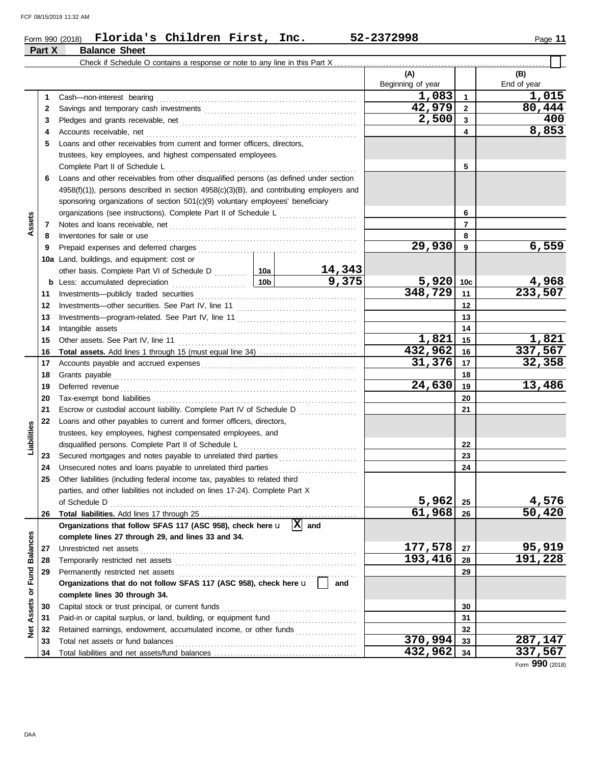### Form 990 (2018) Page **11 Florida's Children First, Inc. 52-2372998 Part X Balance Sheet**

 $\overline{\phantom{0}}$ 

|                     |    |                                                                                                                                                                                                                                     |         |           | (A)<br>Beginning of year |              | (B)<br>End of year |
|---------------------|----|-------------------------------------------------------------------------------------------------------------------------------------------------------------------------------------------------------------------------------------|---------|-----------|--------------------------|--------------|--------------------|
|                     | 1  | Cash-non-interest bearing                                                                                                                                                                                                           |         |           | 1,083                    | $\mathbf{1}$ | 1,015              |
|                     | 2  |                                                                                                                                                                                                                                     |         |           | 42,979                   | $\mathbf{2}$ | 80,444             |
|                     | 3  |                                                                                                                                                                                                                                     |         |           | 2,500                    | 3            | 400                |
|                     | 4  | Accounts receivable, net                                                                                                                                                                                                            |         |           |                          | 4            | 8,853              |
|                     | 5  | Loans and other receivables from current and former officers, directors,                                                                                                                                                            |         |           |                          |              |                    |
|                     |    | trustees, key employees, and highest compensated employees.                                                                                                                                                                         |         |           |                          |              |                    |
|                     |    | Complete Part II of Schedule L                                                                                                                                                                                                      |         |           |                          | 5            |                    |
|                     | 6  | Loans and other receivables from other disqualified persons (as defined under section                                                                                                                                               |         |           |                          |              |                    |
|                     |    | 4958(f)(1)), persons described in section 4958(c)(3)(B), and contributing employers and                                                                                                                                             |         |           |                          |              |                    |
|                     |    | sponsoring organizations of section 501(c)(9) voluntary employees' beneficiary                                                                                                                                                      |         |           |                          |              |                    |
|                     |    |                                                                                                                                                                                                                                     |         |           |                          | 6            |                    |
| Assets              | 7  |                                                                                                                                                                                                                                     |         |           |                          | 7            |                    |
|                     | 8  | Inventories for sale or use <i>communication</i> and the state of the state or use of the state of the state of the state of the state of the state of the state of the state of the state of the state of the state of the state o |         |           |                          | 8            |                    |
|                     | 9  |                                                                                                                                                                                                                                     |         |           | 29,930                   | 9            | 6,559              |
|                     |    | 10a Land, buildings, and equipment: cost or                                                                                                                                                                                         |         |           |                          |              |                    |
|                     |    |                                                                                                                                                                                                                                     |         | 14,343    |                          |              |                    |
|                     |    | $\frac{10b}{100}$<br><b>b</b> Less: accumulated depreciation                                                                                                                                                                        |         | 9,375     | 5,920                    | 10c          | 4,968              |
|                     | 11 |                                                                                                                                                                                                                                     |         |           | 348,729                  | 11           | 233,507            |
|                     | 12 |                                                                                                                                                                                                                                     |         |           |                          | 12           |                    |
|                     | 13 |                                                                                                                                                                                                                                     |         |           |                          | 13           |                    |
|                     | 14 | Intangible assets                                                                                                                                                                                                                   |         |           | 14                       |              |                    |
|                     | 15 |                                                                                                                                                                                                                                     |         | 1,821     | 15                       | 1,821        |                    |
|                     | 16 |                                                                                                                                                                                                                                     |         |           | 432,962                  | 16           | 337,567            |
|                     | 17 |                                                                                                                                                                                                                                     |         |           | 31,376                   | 17           | 32,358             |
|                     | 18 |                                                                                                                                                                                                                                     |         |           |                          | 18           |                    |
|                     | 19 |                                                                                                                                                                                                                                     |         |           | 24,630                   | 19           | 13,486             |
|                     | 20 |                                                                                                                                                                                                                                     |         |           |                          | 20           |                    |
|                     | 21 | Escrow or custodial account liability. Complete Part IV of Schedule D                                                                                                                                                               |         |           |                          | 21           |                    |
|                     | 22 | Loans and other payables to current and former officers, directors,                                                                                                                                                                 |         |           |                          |              |                    |
| Liabilities         |    | trustees, key employees, highest compensated employees, and                                                                                                                                                                         |         |           |                          |              |                    |
|                     |    | disqualified persons. Complete Part II of Schedule L                                                                                                                                                                                |         |           |                          | 22           |                    |
|                     | 23 |                                                                                                                                                                                                                                     |         |           |                          | 23           |                    |
|                     | 24 | Unsecured notes and loans payable to unrelated third parties                                                                                                                                                                        |         |           |                          | 24           |                    |
|                     | 25 | Other liabilities (including federal income tax, payables to related third                                                                                                                                                          |         |           |                          |              |                    |
|                     |    | parties, and other liabilities not included on lines 17-24). Complete Part X                                                                                                                                                        |         |           |                          |              |                    |
|                     |    |                                                                                                                                                                                                                                     |         |           | 5,962                    | 25           | 4,576              |
|                     | 26 |                                                                                                                                                                                                                                     |         |           | 61,968                   | 26           | 50,420             |
|                     |    | Organizations that follow SFAS 117 (ASC 958), check here u                                                                                                                                                                          |         | $ X $ and |                          |              |                    |
| <b>Balances</b>     |    | complete lines 27 through 29, and lines 33 and 34.                                                                                                                                                                                  |         |           |                          |              |                    |
|                     | 27 | Unrestricted net assets                                                                                                                                                                                                             |         |           | 177,578                  | 27           | 95,919             |
|                     | 28 | Temporarily restricted net assets                                                                                                                                                                                                   |         |           | 193,416                  | 28           | 191,228            |
| Fund                | 29 | Permanently restricted net assets                                                                                                                                                                                                   |         |           |                          | 29           |                    |
|                     |    | Organizations that do not follow SFAS 117 (ASC 958), check here u                                                                                                                                                                   |         | and       |                          |              |                    |
| $\overline{\sigma}$ |    | complete lines 30 through 34.                                                                                                                                                                                                       |         |           |                          |              |                    |
| Assets              | 30 | Capital stock or trust principal, or current funds                                                                                                                                                                                  |         | 30        |                          |              |                    |
|                     | 31 | Paid-in or capital surplus, or land, building, or equipment fund                                                                                                                                                                    |         |           |                          | 31           |                    |
| ğ                   | 32 | Retained earnings, endowment, accumulated income, or other funds                                                                                                                                                                    |         | 32        |                          |              |                    |
|                     | 33 | Total net assets or fund balances                                                                                                                                                                                                   |         |           | 370,994                  | 33           | 287,147            |
|                     | 34 |                                                                                                                                                                                                                                     | 432,962 | 34        | 337,567                  |              |                    |

Form **990** (2018)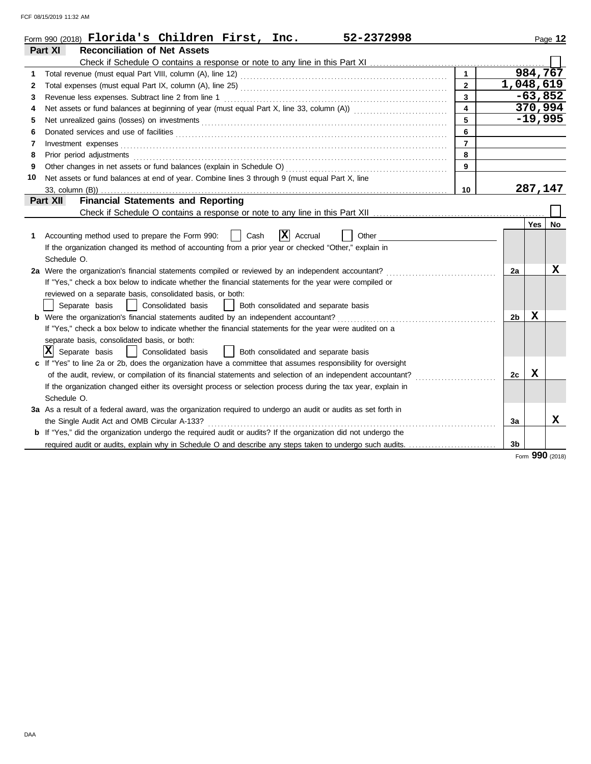FCF 08/15/2019 11:32 AM

|    | Form 990 (2018) $\blacksquare$ Florida's Children First, Inc.<br>52-2372998                                           |                         |                |             | Page 12 |
|----|-----------------------------------------------------------------------------------------------------------------------|-------------------------|----------------|-------------|---------|
|    | <b>Reconciliation of Net Assets</b><br>Part XI                                                                        |                         |                |             |         |
|    |                                                                                                                       |                         |                |             |         |
| 1  |                                                                                                                       | $\overline{1}$          |                | 984,767     |         |
| 2  |                                                                                                                       | $\overline{2}$          | 1,048,619      |             |         |
| 3  |                                                                                                                       | 3                       |                | $-63,852$   |         |
| 4  |                                                                                                                       | $\overline{\mathbf{4}}$ |                | 370,994     |         |
| 5  |                                                                                                                       | 5                       |                | $-19,995$   |         |
| 6  |                                                                                                                       | 6                       |                |             |         |
| 7  | Investment expenses <b>contract and the expenses contract and the expenses contract and the expenses</b>              | $\overline{7}$          |                |             |         |
| 8  |                                                                                                                       | 8                       |                |             |         |
| 9  |                                                                                                                       | 9                       |                |             |         |
| 10 | Net assets or fund balances at end of year. Combine lines 3 through 9 (must equal Part X, line                        |                         |                |             |         |
|    |                                                                                                                       | 10                      |                | 287,147     |         |
|    | <b>Financial Statements and Reporting</b><br>Part XII                                                                 |                         |                |             |         |
|    |                                                                                                                       |                         |                |             |         |
|    |                                                                                                                       |                         |                | <b>Yes</b>  | No      |
| 1  | $ \mathbf{X} $ Accrual<br>Accounting method used to prepare the Form 990:<br>Cash<br>Other                            |                         |                |             |         |
|    | If the organization changed its method of accounting from a prior year or checked "Other," explain in                 |                         |                |             |         |
|    | Schedule O.                                                                                                           |                         |                |             |         |
|    | 2a Were the organization's financial statements compiled or reviewed by an independent accountant?                    |                         | 2a             |             | x       |
|    | If "Yes," check a box below to indicate whether the financial statements for the year were compiled or                |                         |                |             |         |
|    | reviewed on a separate basis, consolidated basis, or both:                                                            |                         |                |             |         |
|    | Separate basis<br>  Consolidated basis     Both consolidated and separate basis                                       |                         |                |             |         |
|    | <b>b</b> Were the organization's financial statements audited by an independent accountant?                           |                         | 2b             | $\mathbf x$ |         |
|    | If "Yes," check a box below to indicate whether the financial statements for the year were audited on a               |                         |                |             |         |
|    | separate basis, consolidated basis, or both:                                                                          |                         |                |             |         |
|    | Ixl<br>Separate basis<br>Consolidated basis<br>  Both consolidated and separate basis                                 |                         |                |             |         |
|    | If "Yes" to line 2a or 2b, does the organization have a committee that assumes responsibility for oversight           |                         |                |             |         |
|    | of the audit, review, or compilation of its financial statements and selection of an independent accountant?          |                         | 2c             | x           |         |
|    | If the organization changed either its oversight process or selection process during the tax year, explain in         |                         |                |             |         |
|    | Schedule O.                                                                                                           |                         |                |             |         |
|    | 3a As a result of a federal award, was the organization required to undergo an audit or audits as set forth in        |                         |                |             |         |
|    | the Single Audit Act and OMB Circular A-133?                                                                          |                         | За             |             | x       |
|    | <b>b</b> If "Yes," did the organization undergo the required audit or audits? If the organization did not undergo the |                         |                |             |         |
|    | required audit or audits, explain why in Schedule O and describe any steps taken to undergo such audits.              |                         | 3 <sub>b</sub> |             |         |

Form **990** (2018)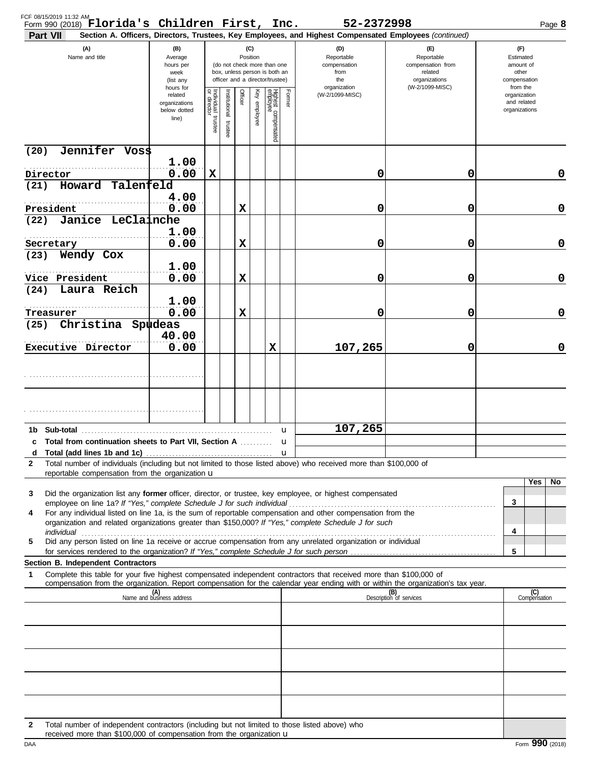| FCF 08/15/2019 11:32 AM<br>Form 990 (2018) Florida's Children First, Inc.<br>Part VII                                                                                                                                                                                                                                                                |                                                                |                                   |                       |         |                 |                                                                                                 |                                                  | 52-2372998<br>Section A. Officers, Directors, Trustees, Key Employees, and Highest Compensated Employees (continued) |                                                                    |                                                          | Page 8              |
|------------------------------------------------------------------------------------------------------------------------------------------------------------------------------------------------------------------------------------------------------------------------------------------------------------------------------------------------------|----------------------------------------------------------------|-----------------------------------|-----------------------|---------|-----------------|-------------------------------------------------------------------------------------------------|--------------------------------------------------|----------------------------------------------------------------------------------------------------------------------|--------------------------------------------------------------------|----------------------------------------------------------|---------------------|
| (A)<br>Name and title                                                                                                                                                                                                                                                                                                                                | (B)<br>Average<br>hours per<br>week<br>(list any               |                                   |                       |         | (C)<br>Position | (do not check more than one<br>box, unless person is both an<br>officer and a director/trustee) | (D)<br>Reportable<br>compensation<br>from<br>the |                                                                                                                      | (F)<br>Reportable<br>compensation from<br>related<br>organizations | (F)<br>Estimated<br>amount of<br>other<br>compensation   |                     |
|                                                                                                                                                                                                                                                                                                                                                      | hours for<br>related<br>organizations<br>below dotted<br>line) | Individual trustee<br>or director | Institutional trustee | Officer | Key employee    | Highest compensated<br>employee                                                                 | Former                                           | organization<br>(W-2/1099-MISC)                                                                                      | (W-2/1099-MISC)                                                    | from the<br>organization<br>and related<br>organizations |                     |
| Jennifer Voss<br>(20)                                                                                                                                                                                                                                                                                                                                |                                                                |                                   |                       |         |                 |                                                                                                 |                                                  |                                                                                                                      |                                                                    |                                                          |                     |
| Director                                                                                                                                                                                                                                                                                                                                             | 1.00<br>0.00                                                   | X                                 |                       |         |                 |                                                                                                 |                                                  | 0                                                                                                                    | 0                                                                  |                                                          | 0                   |
| Howard Talenfeld<br>(21)<br>.                                                                                                                                                                                                                                                                                                                        | 4.00                                                           |                                   |                       |         |                 |                                                                                                 |                                                  |                                                                                                                      |                                                                    |                                                          |                     |
| President<br>Janice LeClainche<br>(22)                                                                                                                                                                                                                                                                                                               | 0.00                                                           |                                   |                       | X       |                 |                                                                                                 |                                                  | 0                                                                                                                    | 0                                                                  |                                                          | $\mathbf 0$         |
| .<br>Secretary                                                                                                                                                                                                                                                                                                                                       | 1.00<br>0.00                                                   |                                   |                       | X       |                 |                                                                                                 |                                                  | 0                                                                                                                    | 0                                                                  |                                                          | $\mathbf 0$         |
| Wendy Cox<br>(23)                                                                                                                                                                                                                                                                                                                                    | 1.00                                                           |                                   |                       |         |                 |                                                                                                 |                                                  |                                                                                                                      |                                                                    |                                                          |                     |
| Vice President<br>Laura Reich<br>(24)                                                                                                                                                                                                                                                                                                                | 0.00                                                           |                                   |                       | X       |                 |                                                                                                 |                                                  | 0                                                                                                                    | 0                                                                  |                                                          | $\mathbf 0$         |
| Treasurer                                                                                                                                                                                                                                                                                                                                            | 1.00<br>0.00                                                   |                                   |                       | X       |                 |                                                                                                 |                                                  | 0                                                                                                                    | 0                                                                  |                                                          | $\mathbf 0$         |
| Christina Spudeas<br>(25)                                                                                                                                                                                                                                                                                                                            | 40.00                                                          |                                   |                       |         |                 |                                                                                                 |                                                  |                                                                                                                      |                                                                    |                                                          |                     |
| Executive Director                                                                                                                                                                                                                                                                                                                                   | 0.00                                                           |                                   |                       |         |                 | X                                                                                               |                                                  | 107,265                                                                                                              | 0                                                                  |                                                          | $\mathbf 0$         |
|                                                                                                                                                                                                                                                                                                                                                      |                                                                |                                   |                       |         |                 |                                                                                                 |                                                  |                                                                                                                      |                                                                    |                                                          |                     |
|                                                                                                                                                                                                                                                                                                                                                      |                                                                |                                   |                       |         |                 |                                                                                                 |                                                  |                                                                                                                      |                                                                    |                                                          |                     |
|                                                                                                                                                                                                                                                                                                                                                      |                                                                |                                   |                       |         |                 |                                                                                                 | u                                                | 107,265                                                                                                              |                                                                    |                                                          |                     |
| c Total from continuation sheets to Part VII, Section A                                                                                                                                                                                                                                                                                              |                                                                |                                   |                       |         |                 |                                                                                                 |                                                  |                                                                                                                      |                                                                    |                                                          |                     |
| Total number of individuals (including but not limited to those listed above) who received more than \$100,000 of<br>2                                                                                                                                                                                                                               |                                                                |                                   |                       |         |                 |                                                                                                 | u                                                |                                                                                                                      |                                                                    |                                                          |                     |
| reportable compensation from the organization $\mathbf u$                                                                                                                                                                                                                                                                                            |                                                                |                                   |                       |         |                 |                                                                                                 |                                                  |                                                                                                                      |                                                                    |                                                          | Yes<br>No           |
| Did the organization list any former officer, director, or trustee, key employee, or highest compensated<br>3                                                                                                                                                                                                                                        |                                                                |                                   |                       |         |                 |                                                                                                 |                                                  |                                                                                                                      |                                                                    | 3                                                        |                     |
| For any individual listed on line 1a, is the sum of reportable compensation and other compensation from the<br>4<br>organization and related organizations greater than \$150,000? If "Yes," complete Schedule J for such                                                                                                                            |                                                                |                                   |                       |         |                 |                                                                                                 |                                                  |                                                                                                                      |                                                                    |                                                          |                     |
| individual with a construction of the construction of the construction of the construction of the construction of the construction of the construction of the construction of the construction of the construction of the cons<br>Did any person listed on line 1a receive or accrue compensation from any unrelated organization or individual<br>5 |                                                                |                                   |                       |         |                 |                                                                                                 |                                                  |                                                                                                                      |                                                                    | 4                                                        |                     |
| for services rendered to the organization? If "Yes," complete Schedule J for such person<br>Section B. Independent Contractors                                                                                                                                                                                                                       |                                                                |                                   |                       |         |                 |                                                                                                 |                                                  |                                                                                                                      |                                                                    | 5                                                        |                     |
| Complete this table for your five highest compensated independent contractors that received more than \$100,000 of<br>1<br>compensation from the organization. Report compensation for the calendar year ending with or within the organization's tax year.                                                                                          |                                                                |                                   |                       |         |                 |                                                                                                 |                                                  |                                                                                                                      |                                                                    |                                                          |                     |
|                                                                                                                                                                                                                                                                                                                                                      | (A)<br>Name and business address                               |                                   |                       |         |                 |                                                                                                 |                                                  |                                                                                                                      | (B)<br>Description of services                                     |                                                          | (C)<br>Compensation |
|                                                                                                                                                                                                                                                                                                                                                      |                                                                |                                   |                       |         |                 |                                                                                                 |                                                  |                                                                                                                      |                                                                    |                                                          |                     |
|                                                                                                                                                                                                                                                                                                                                                      |                                                                |                                   |                       |         |                 |                                                                                                 |                                                  |                                                                                                                      |                                                                    |                                                          |                     |
|                                                                                                                                                                                                                                                                                                                                                      |                                                                |                                   |                       |         |                 |                                                                                                 |                                                  |                                                                                                                      |                                                                    |                                                          |                     |
|                                                                                                                                                                                                                                                                                                                                                      |                                                                |                                   |                       |         |                 |                                                                                                 |                                                  |                                                                                                                      |                                                                    |                                                          |                     |
|                                                                                                                                                                                                                                                                                                                                                      |                                                                |                                   |                       |         |                 |                                                                                                 |                                                  |                                                                                                                      |                                                                    |                                                          |                     |
| Total number of independent contractors (including but not limited to those listed above) who<br>2<br>received more than \$100,000 of compensation from the organization u                                                                                                                                                                           |                                                                |                                   |                       |         |                 |                                                                                                 |                                                  |                                                                                                                      |                                                                    |                                                          |                     |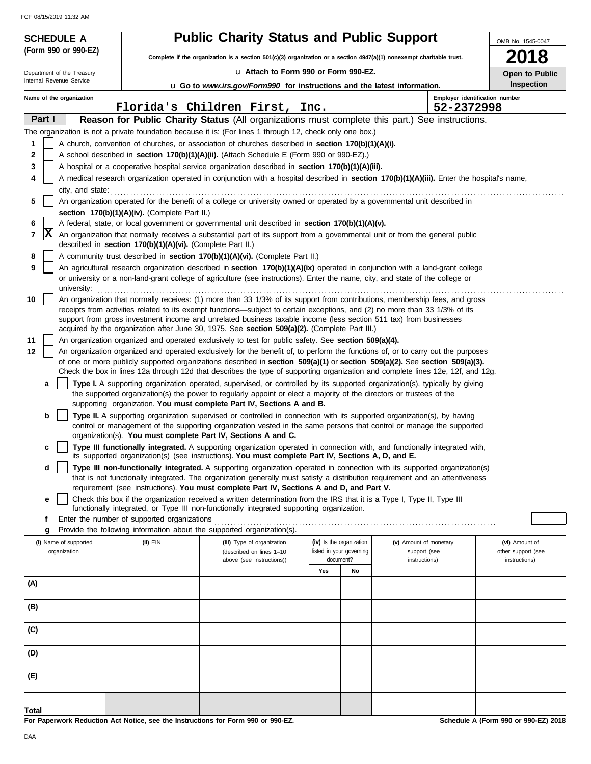FCF 08/15/2019 11:32 AM

| <b>SCHEDULE A</b>                     |                                                                                                                                               | <b>Public Charity Status and Public Support</b>                                                                                                                                                                                                                 |                          |                                        | OMB No. 1545-0047                    |  |  |  |  |
|---------------------------------------|-----------------------------------------------------------------------------------------------------------------------------------------------|-----------------------------------------------------------------------------------------------------------------------------------------------------------------------------------------------------------------------------------------------------------------|--------------------------|----------------------------------------|--------------------------------------|--|--|--|--|
| (Form 990 or 990-EZ)                  |                                                                                                                                               | Complete if the organization is a section 501(c)(3) organization or a section 4947(a)(1) nonexempt charitable trust.                                                                                                                                            |                          |                                        | 2018                                 |  |  |  |  |
| Department of the Treasury            |                                                                                                                                               | La Attach to Form 990 or Form 990-EZ.                                                                                                                                                                                                                           |                          |                                        | Open to Public                       |  |  |  |  |
| Internal Revenue Service              |                                                                                                                                               | <b>u</b> Go to www.irs.gov/Form990 for instructions and the latest information.                                                                                                                                                                                 |                          |                                        | <b>Inspection</b>                    |  |  |  |  |
| Name of the organization              |                                                                                                                                               |                                                                                                                                                                                                                                                                 |                          |                                        | Employer identification number       |  |  |  |  |
| Part I                                |                                                                                                                                               | Florida's Children First, Inc.<br>Reason for Public Charity Status (All organizations must complete this part.) See instructions.                                                                                                                               |                          | 52-2372998                             |                                      |  |  |  |  |
|                                       |                                                                                                                                               | The organization is not a private foundation because it is: (For lines 1 through 12, check only one box.)                                                                                                                                                       |                          |                                        |                                      |  |  |  |  |
| 1                                     |                                                                                                                                               | A church, convention of churches, or association of churches described in section 170(b)(1)(A)(i).                                                                                                                                                              |                          |                                        |                                      |  |  |  |  |
| $\mathbf 2$                           |                                                                                                                                               | A school described in section 170(b)(1)(A)(ii). (Attach Schedule E (Form 990 or 990-EZ).)                                                                                                                                                                       |                          |                                        |                                      |  |  |  |  |
| 3                                     |                                                                                                                                               | A hospital or a cooperative hospital service organization described in section 170(b)(1)(A)(iii).                                                                                                                                                               |                          |                                        |                                      |  |  |  |  |
| 4                                     |                                                                                                                                               | A medical research organization operated in conjunction with a hospital described in section 170(b)(1)(A)(iii). Enter the hospital's name,                                                                                                                      |                          |                                        |                                      |  |  |  |  |
| 5                                     | city, and state:<br>An organization operated for the benefit of a college or university owned or operated by a governmental unit described in |                                                                                                                                                                                                                                                                 |                          |                                        |                                      |  |  |  |  |
|                                       | section 170(b)(1)(A)(iv). (Complete Part II.)                                                                                                 |                                                                                                                                                                                                                                                                 |                          |                                        |                                      |  |  |  |  |
| 6                                     |                                                                                                                                               | A federal, state, or local government or governmental unit described in section 170(b)(1)(A)(v).                                                                                                                                                                |                          |                                        |                                      |  |  |  |  |
| X<br>7                                | described in section 170(b)(1)(A)(vi). (Complete Part II.)                                                                                    | An organization that normally receives a substantial part of its support from a governmental unit or from the general public                                                                                                                                    |                          |                                        |                                      |  |  |  |  |
| 8                                     |                                                                                                                                               | A community trust described in section 170(b)(1)(A)(vi). (Complete Part II.)                                                                                                                                                                                    |                          |                                        |                                      |  |  |  |  |
| 9<br>university:                      |                                                                                                                                               | An agricultural research organization described in section 170(b)(1)(A)(ix) operated in conjunction with a land-grant college<br>or university or a non-land-grant college of agriculture (see instructions). Enter the name, city, and state of the college or |                          |                                        |                                      |  |  |  |  |
| 10                                    |                                                                                                                                               | An organization that normally receives: (1) more than 33 1/3% of its support from contributions, membership fees, and gross                                                                                                                                     |                          |                                        |                                      |  |  |  |  |
|                                       |                                                                                                                                               | receipts from activities related to its exempt functions—subject to certain exceptions, and (2) no more than 33 1/3% of its                                                                                                                                     |                          |                                        |                                      |  |  |  |  |
|                                       |                                                                                                                                               | support from gross investment income and unrelated business taxable income (less section 511 tax) from businesses<br>acquired by the organization after June 30, 1975. See section 509(a)(2). (Complete Part III.)                                              |                          |                                        |                                      |  |  |  |  |
| 11                                    |                                                                                                                                               | An organization organized and operated exclusively to test for public safety. See section 509(a)(4).                                                                                                                                                            |                          |                                        |                                      |  |  |  |  |
| 12                                    |                                                                                                                                               | An organization organized and operated exclusively for the benefit of, to perform the functions of, or to carry out the purposes                                                                                                                                |                          |                                        |                                      |  |  |  |  |
|                                       |                                                                                                                                               | of one or more publicly supported organizations described in section 509(a)(1) or section 509(a)(2). See section 509(a)(3).<br>Check the box in lines 12a through 12d that describes the type of supporting organization and complete lines 12e, 12f, and 12g.  |                          |                                        |                                      |  |  |  |  |
| a                                     |                                                                                                                                               | Type I. A supporting organization operated, supervised, or controlled by its supported organization(s), typically by giving                                                                                                                                     |                          |                                        |                                      |  |  |  |  |
|                                       |                                                                                                                                               | the supported organization(s) the power to regularly appoint or elect a majority of the directors or trustees of the                                                                                                                                            |                          |                                        |                                      |  |  |  |  |
| b                                     |                                                                                                                                               | supporting organization. You must complete Part IV, Sections A and B.<br>Type II. A supporting organization supervised or controlled in connection with its supported organization(s), by having                                                                |                          |                                        |                                      |  |  |  |  |
|                                       |                                                                                                                                               | control or management of the supporting organization vested in the same persons that control or manage the supported                                                                                                                                            |                          |                                        |                                      |  |  |  |  |
|                                       | organization(s). You must complete Part IV, Sections A and C.                                                                                 |                                                                                                                                                                                                                                                                 |                          |                                        |                                      |  |  |  |  |
| c                                     |                                                                                                                                               | Type III functionally integrated. A supporting organization operated in connection with, and functionally integrated with,<br>its supported organization(s) (see instructions). You must complete Part IV, Sections A, D, and E.                                |                          |                                        |                                      |  |  |  |  |
| d                                     |                                                                                                                                               | Type III non-functionally integrated. A supporting organization operated in connection with its supported organization(s)                                                                                                                                       |                          |                                        |                                      |  |  |  |  |
|                                       |                                                                                                                                               | that is not functionally integrated. The organization generally must satisfy a distribution requirement and an attentiveness                                                                                                                                    |                          |                                        |                                      |  |  |  |  |
| е                                     |                                                                                                                                               | requirement (see instructions). You must complete Part IV, Sections A and D, and Part V.<br>Check this box if the organization received a written determination from the IRS that it is a Type I, Type II, Type III                                             |                          |                                        |                                      |  |  |  |  |
|                                       |                                                                                                                                               | functionally integrated, or Type III non-functionally integrated supporting organization.                                                                                                                                                                       |                          |                                        |                                      |  |  |  |  |
| f                                     | Enter the number of supported organizations                                                                                                   |                                                                                                                                                                                                                                                                 |                          |                                        |                                      |  |  |  |  |
| g                                     | Provide the following information about the supported organization(s).                                                                        |                                                                                                                                                                                                                                                                 | (iv) Is the organization |                                        |                                      |  |  |  |  |
| (i) Name of supported<br>organization | (ii) EIN                                                                                                                                      | (iii) Type of organization<br>(described on lines 1-10                                                                                                                                                                                                          | listed in your governing | (v) Amount of monetary<br>support (see | (vi) Amount of<br>other support (see |  |  |  |  |
|                                       |                                                                                                                                               | above (see instructions))                                                                                                                                                                                                                                       | document?                | instructions)                          | instructions)                        |  |  |  |  |
| (A)                                   |                                                                                                                                               |                                                                                                                                                                                                                                                                 | Yes<br>No                |                                        |                                      |  |  |  |  |
|                                       |                                                                                                                                               |                                                                                                                                                                                                                                                                 |                          |                                        |                                      |  |  |  |  |
| (B)                                   |                                                                                                                                               |                                                                                                                                                                                                                                                                 |                          |                                        |                                      |  |  |  |  |
| (C)                                   |                                                                                                                                               |                                                                                                                                                                                                                                                                 |                          |                                        |                                      |  |  |  |  |
| (D)                                   |                                                                                                                                               |                                                                                                                                                                                                                                                                 |                          |                                        |                                      |  |  |  |  |
| (E)                                   |                                                                                                                                               |                                                                                                                                                                                                                                                                 |                          |                                        |                                      |  |  |  |  |
|                                       |                                                                                                                                               |                                                                                                                                                                                                                                                                 |                          |                                        |                                      |  |  |  |  |
| Total                                 |                                                                                                                                               |                                                                                                                                                                                                                                                                 |                          |                                        |                                      |  |  |  |  |

**For Paperwork Reduction Act Notice, see the Instructions for Form 990 or 990-EZ.**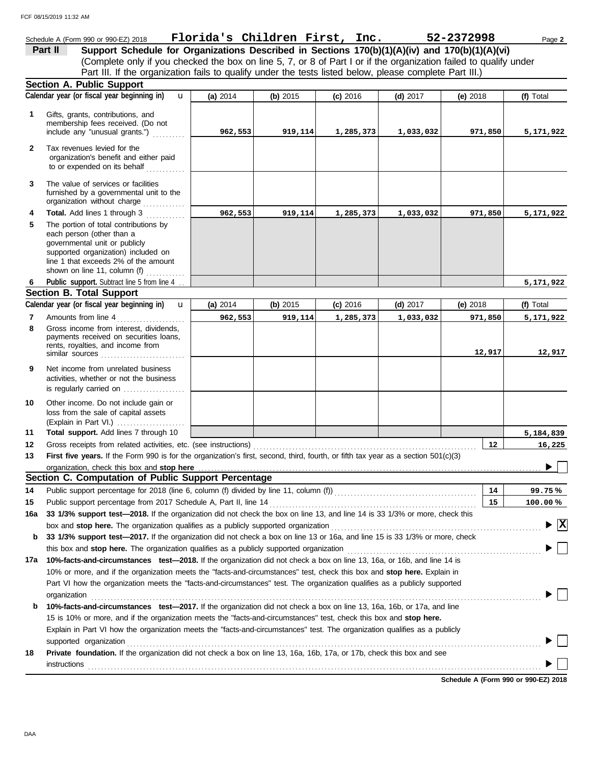### Schedule A (Form 990 or 990-EZ) 2018 Page **2 Florida's Children First, Inc. 52-2372998 Part II Support Schedule for Organizations Described in Sections 170(b)(1)(A)(iv) and 170(b)(1)(A)(vi)** (Complete only if you checked the box on line 5, 7, or 8 of Part I or if the organization failed to qualify under Part III. If the organization fails to qualify under the tests listed below, please complete Part III.) **Section A. Public Support Calendar year (or fiscal year beginning in) (f)** Total u **(a)** 2014 **(b)** 2015 **(c)** 2016 **(d)** 2017 **(e)** 2018 Gifts, grants, contributions, and **1** membership fees received. (Do not include any "unusual grants.") .......... **962,553 919,114 1,285,373 1,033,032 971,850 5,171,922 2** Tax revenues levied for the organization's benefit and either paid to or expended on its behalf ............ **3** The value of services or facilities furnished by a governmental unit to the organization without charge ............. **4 Total.** Add lines 1 through 3 **962,553 919,114 1,285,373 1,033,032 971,850 5,171,922 5** The portion of total contributions by each person (other than a governmental unit or publicly supported organization) included on line 1 that exceeds 2% of the amount shown on line 11, column (f)  $\ldots$ Public support. Subtract line 5 from line 4 ... **5,171,922 6 Section B. Total Support** Calendar year (or fiscal year beginning in)  $\bf{u}$  (a) 2014 | (b) 2015 | (c) 2016 | (d) 2017 | (e) 2018 | (f) Total u **(b)** 2015 **(c)** 2016 **(d)** 2017 **(e)** 2018 **(a)** 2014 **7** Amounts from line 4 . . . . . . . . . . . . . . . . . . . . . **962,553 919,114 1,285,373 1,033,032 971,850 5,171,922** Gross income from interest, dividends, **8** payments received on securities loans, rents, royalties, and income from **12,917 12,917** similar sources . . . . . . . . . . . . . . . . . . . . . . . . . . **9** Net income from unrelated business activities, whether or not the business is regularly carried on ................... **10** Other income. Do not include gain or loss from the sale of capital assets (Explain in Part VI.) . . . . . . . . . . . . . . . . . . . . . **11 Total support.** Add lines 7 through 10 **5,184,839 12 12 16,225** Gross receipts from related activities, etc. (see instructions) . . . . . . . . . . . . . . . . . . . . . . . . . . . . . . . . . . . . . . . . . . . . . . . . . . . . . . . . . . . . . . . . . . . . . **13** First five years. If the Form 990 is for the organization's first, second, third, fourth, or fifth tax year as a section 501(c)(3) organization, check this box and stop here  $\blacktriangleright$ **Section C. Computation of Public Support Percentage 14 14** Public support percentage for 2018 (line 6, column (f) divided by line 11, column (f)) . . . . . . . . . . . . . . . . . . . . . . . . . . . . . . . . . . . . . . . . . . . . **% 99.75 15** Public support percentage from 2017 Schedule A, Part II, line 14 . . . . . . . . . . . . . . . . . . . . . . . . . . . . . . . . . . . . . . . . . . . . . . . . . . . . . . . . . . . . . . . . **15 % 100.00 16a 33 1/3% support test—2018.** If the organization did not check the box on line 13, and line 14 is 33 1/3% or more, check this box and **stop here.** The organization qualifies as a publicly supported organization . . . . . . . . . . . . . . . . . . . . . . . . . . . . . . . . . . . . . . . . . . . . . . . . . . . . . . . . . . . . . . . . . **X b 33 1/3% support test—2017.** If the organization did not check a box on line 13 or 16a, and line 15 is 33 1/3% or more, check this box and **stop here.** The organization qualifies as a publicly supported organization . . . . . . . . . . . . . . . . . . . . . . . . . . . . . . . . . . . . . . . . . . . . . . . . . . . . . . . . . . . . **17a 10%-facts-and-circumstances test—2018.** If the organization did not check a box on line 13, 16a, or 16b, and line 14 is 10% or more, and if the organization meets the "facts-and-circumstances" test, check this box and **stop here.** Explain in Part VI how the organization meets the "facts-and-circumstances" test. The organization qualifies as a publicly supported organization . . . . . . . . . . . . . . . . . . . . . . . . . . . . . . . . . . . . . . . . . . . . . . . . . . . . . . . . . . . . . . . . . . . . . . . . . . . . . . . . . . . . . . . . . . . . . . . . . . . . . . . . . . . . . . . . . . . . . . . . . . . . . . . . . . . . . . . . . . . **b 10%-facts-and-circumstances test—2017.** If the organization did not check a box on line 13, 16a, 16b, or 17a, and line 15 is 10% or more, and if the organization meets the "facts-and-circumstances" test, check this box and **stop here.**

**18 Private foundation.** If the organization did not check a box on line 13, 16a, 16b, 17a, or 17b, check this box and see supported organization . . . . . . . . . . . . . . . . . . . . . . . . . . . . . . . . . . . . . . . . . . . . . . . . . . . . . . . . . . . . . . . . . . . . . . . . . . . . . . . . . . . . . . . . . . . . . . . . . . . . . . . . . . . . . . . . . . . . . . . . . . . . . . . . instructions<br>
<sub>contr</sub>ettions<br>
and the contract of the contract of the contract of the contract of the contract of the contract of the contract of the contract of the contract of the contract of the contract of the contract

Explain in Part VI how the organization meets the "facts-and-circumstances" test. The organization qualifies as a publicly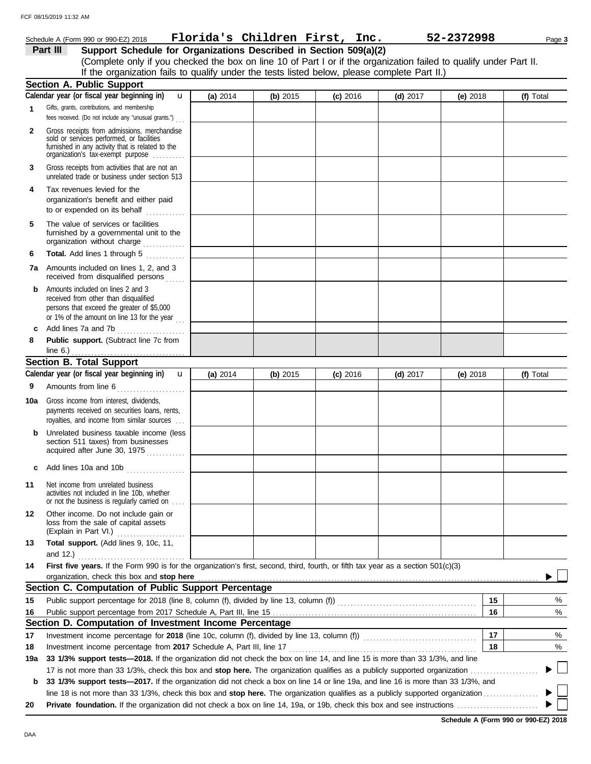### Schedule A (Form 990 or 990-EZ) 2018 Page **3 Florida's Children First, Inc. 52-2372998 Part III Support Schedule for Organizations Described in Section 509(a)(2)** (Complete only if you checked the box on line 10 of Part I or if the organization failed to qualify under Part II. If the organization fails to qualify under the tests listed below, please complete Part II.) **Section A. Public Support Calendar year (or fiscal year beginning in)**  u **(a)** 2014 **(b)** 2015 **(c)** 2016 **(d)** 2017 **(e)** 2018 **(f)** Total Gifts, grants, contributions, and membership **1** fees received. (Do not include any "unusual grants.") . . . **2** Gross receipts from admissions, merchandise sold or services performed, or facilities furnished in any activity that is related to the organization's tax-exempt purpose .......... **3** Gross receipts from activities that are not an unrelated trade or business under section 513 **4** Tax revenues levied for the organization's benefit and either paid to or expended on its behalf when  $\cdots$ **5** The value of services or facilities furnished by a governmental unit to the organization without charge .............. **Total.** Add lines 1 through 5 **6 7a** Amounts included on lines 1, 2, and 3 received from disqualified persons **b** Amounts included on lines 2 and 3 received from other than disqualified persons that exceed the greater of \$5,000 or 1% of the amount on line 13 for the year  $\ldots$ **c** Add lines 7a and 7b . . . . . . . . . . . . . . . . . . . . . **8 Public support.** (Subtract line 7c from line 6.) . . . . . . . . . . . . . . . . . . . . . . . . . . . . . . . . . . . **Section B. Total Support** Calendar year (or fiscal year beginning in) **u (a)** 2014 **(b)** 2015 **(c)** 2016 **(d)** 2017 **(e)** 2018 **(f)** Total Amounts from line 6 . . . . . . . . . . . . . . . . . . . . . **9 10a** Gross income from interest, dividends, payments received on securities loans, rents, royalties, and income from similar sources . . . **b** Unrelated business taxable income (less section 511 taxes) from businesses acquired after June 30, 1975 **c** Add lines 10a and 10b . . . . . . . . . . . . . . . . . . **11** Net income from unrelated business activities not included in line 10b, whether or not the business is regularly carried on . . . . **12** Other income. Do not include gain or loss from the sale of capital assets (Explain in Part VI.) . . . . . . . . . . . . . . . . . . . . . **13 Total support.** (Add lines 9, 10c, 11, and 12.) . . . . . . . . . . . . . . . . . . . . . . . . . . . . . . . . . **14 First five years.** If the Form 990 is for the organization's first, second, third, fourth, or fifth tax year as a section 501(c)(3) organization, check this box and stop here **Section C. Computation of Public Support Percentage**  $\frac{1}{2}$ **15 15** Public support percentage for 2018 (line 8, column (f), divided by line 13, column (f))  $\ldots$ **16** Public support percentage from 2017 Schedule A, Part III, line 15 . . . . . . . . . . . . . . . . . . . . . . . . . . . . . . . . . . . . . . . . . . . . . . . . . . . . . . . . . . . . . . . **16** % **Section D. Computation of Investment Income Percentage 17 17** % Investment income percentage for **2018** (line 10c, column (f), divided by line 13, column (f)) . . . . . . . . . . . . . . . . . . . . . . . . . . . . . . . . . . . Investment income percentage from **2017** Schedule A, Part III, line 17 . . . . . . . . . . . . . . . . . . . . . . . . . . . . . . . . . . . . . . . . . . . . . . . . . . . . . . . . . . **18** % **18 19a 33 1/3% support tests—2018.** If the organization did not check the box on line 14, and line 15 is more than 33 1/3%, and line 17 is not more than 33 1/3%, check this box and **stop here.** The organization qualifies as a publicly supported organization . . . . . . . . . . . . . . . . . . . . . ▶

**b 33 1/3% support tests—2017.** If the organization did not check a box on line 14 or line 19a, and line 16 is more than 33 1/3%, and line 18 is not more than 33 1/3%, check this box and **stop here.** The organization qualifies as a publicly supported organization . . . . . . . . . . . . . . . . . **20 Private foundation.** If the organization did not check a box on line 14, 19a, or 19b, check this box and see instructions . . . . . . . . . . . . . . . . . . . . . . . . .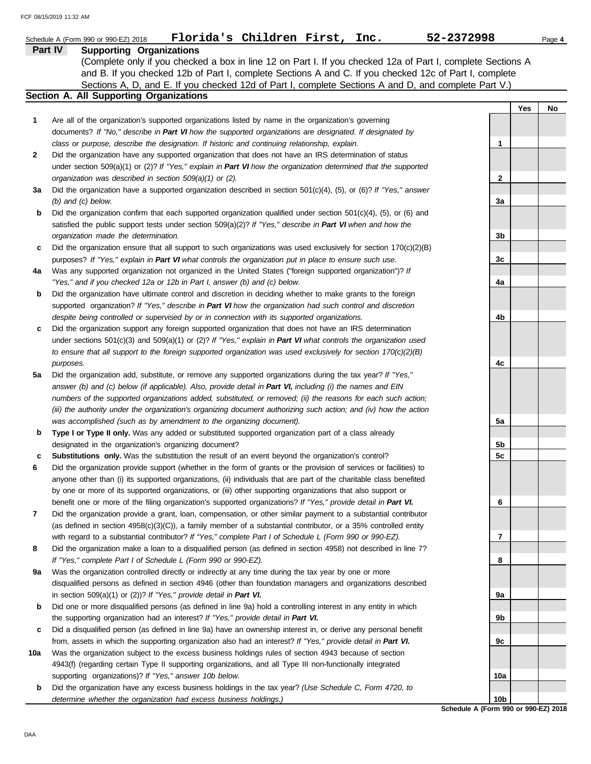|     | Florida's Children First, Inc.<br>Schedule A (Form 990 or 990-EZ) 2018                                                   | 52-2372998                           |     | Page 4 |
|-----|--------------------------------------------------------------------------------------------------------------------------|--------------------------------------|-----|--------|
|     | Part IV<br><b>Supporting Organizations</b>                                                                               |                                      |     |        |
|     | (Complete only if you checked a box in line 12 on Part I. If you checked 12a of Part I, complete Sections A              |                                      |     |        |
|     | and B. If you checked 12b of Part I, complete Sections A and C. If you checked 12c of Part I, complete                   |                                      |     |        |
|     | Sections A, D, and E. If you checked 12d of Part I, complete Sections A and D, and complete Part V.)                     |                                      |     |        |
|     | Section A. All Supporting Organizations                                                                                  |                                      |     |        |
|     |                                                                                                                          |                                      | Yes | No     |
| 1   | Are all of the organization's supported organizations listed by name in the organization's governing                     |                                      |     |        |
|     | documents? If "No," describe in Part VI how the supported organizations are designated. If designated by                 |                                      |     |        |
|     | class or purpose, describe the designation. If historic and continuing relationship, explain.                            | 1                                    |     |        |
| 2   | Did the organization have any supported organization that does not have an IRS determination of status                   |                                      |     |        |
|     | under section 509(a)(1) or (2)? If "Yes," explain in Part VI how the organization determined that the supported          |                                      |     |        |
|     | organization was described in section 509(a)(1) or (2).                                                                  | $\mathbf{2}$                         |     |        |
| За  | Did the organization have a supported organization described in section $501(c)(4)$ , (5), or (6)? If "Yes," answer      |                                      |     |        |
|     | $(b)$ and $(c)$ below.                                                                                                   | За                                   |     |        |
| b   | Did the organization confirm that each supported organization qualified under section $501(c)(4)$ , $(5)$ , or $(6)$ and |                                      |     |        |
|     | satisfied the public support tests under section 509(a)(2)? If "Yes," describe in Part VI when and how the               |                                      |     |        |
|     | organization made the determination.                                                                                     | 3b                                   |     |        |
| c   | Did the organization ensure that all support to such organizations was used exclusively for section $170(c)(2)(B)$       |                                      |     |        |
|     | purposes? If "Yes," explain in Part VI what controls the organization put in place to ensure such use.                   | 3c                                   |     |        |
| 4a  | Was any supported organization not organized in the United States ("foreign supported organization")? If                 |                                      |     |        |
|     | "Yes," and if you checked 12a or 12b in Part I, answer (b) and (c) below.                                                | 4a                                   |     |        |
| b   | Did the organization have ultimate control and discretion in deciding whether to make grants to the foreign              |                                      |     |        |
|     | supported organization? If "Yes," describe in Part VI how the organization had such control and discretion               |                                      |     |        |
|     | despite being controlled or supervised by or in connection with its supported organizations.                             | 4b                                   |     |        |
| c   | Did the organization support any foreign supported organization that does not have an IRS determination                  |                                      |     |        |
|     | under sections $501(c)(3)$ and $509(a)(1)$ or (2)? If "Yes," explain in Part VI what controls the organization used      |                                      |     |        |
|     | to ensure that all support to the foreign supported organization was used exclusively for section $170(c)(2)(B)$         |                                      |     |        |
|     | purposes.                                                                                                                | 4c                                   |     |        |
| 5a  | Did the organization add, substitute, or remove any supported organizations during the tax year? If "Yes,"               |                                      |     |        |
|     | answer (b) and (c) below (if applicable). Also, provide detail in Part VI, including (i) the names and EIN               |                                      |     |        |
|     | numbers of the supported organizations added, substituted, or removed; (ii) the reasons for each such action;            |                                      |     |        |
|     | (iii) the authority under the organization's organizing document authorizing such action; and (iv) how the action        |                                      |     |        |
|     | was accomplished (such as by amendment to the organizing document).                                                      | 5а                                   |     |        |
| b   | Type I or Type II only. Was any added or substituted supported organization part of a class already                      |                                      |     |        |
|     | designated in the organization's organizing document?                                                                    | 5b                                   |     |        |
| с   | Substitutions only. Was the substitution the result of an event beyond the organization's control?                       | 5c                                   |     |        |
| 6   | Did the organization provide support (whether in the form of grants or the provision of services or facilities) to       |                                      |     |        |
|     | anyone other than (i) its supported organizations, (ii) individuals that are part of the charitable class benefited      |                                      |     |        |
|     | by one or more of its supported organizations, or (iii) other supporting organizations that also support or              |                                      |     |        |
|     | benefit one or more of the filing organization's supported organizations? If "Yes," provide detail in Part VI.           | 6                                    |     |        |
| 7   | Did the organization provide a grant, loan, compensation, or other similar payment to a substantial contributor          |                                      |     |        |
|     |                                                                                                                          |                                      |     |        |
|     | (as defined in section 4958(c)(3)(C)), a family member of a substantial contributor, or a 35% controlled entity          |                                      |     |        |
|     | with regard to a substantial contributor? If "Yes," complete Part I of Schedule L (Form 990 or 990-EZ).                  | 7                                    |     |        |
| 8   | Did the organization make a loan to a disqualified person (as defined in section 4958) not described in line 7?          |                                      |     |        |
|     | If "Yes," complete Part I of Schedule L (Form 990 or 990-EZ).                                                            | 8                                    |     |        |
| 9а  | Was the organization controlled directly or indirectly at any time during the tax year by one or more                    |                                      |     |        |
|     | disqualified persons as defined in section 4946 (other than foundation managers and organizations described              |                                      |     |        |
|     | in section $509(a)(1)$ or $(2)$ ? If "Yes," provide detail in Part VI.                                                   | 9а                                   |     |        |
| b   | Did one or more disqualified persons (as defined in line 9a) hold a controlling interest in any entity in which          |                                      |     |        |
|     | the supporting organization had an interest? If "Yes," provide detail in Part VI.                                        | 9b                                   |     |        |
| c   | Did a disqualified person (as defined in line 9a) have an ownership interest in, or derive any personal benefit          |                                      |     |        |
|     | from, assets in which the supporting organization also had an interest? If "Yes," provide detail in Part VI.             | 9с                                   |     |        |
| 10a | Was the organization subject to the excess business holdings rules of section 4943 because of section                    |                                      |     |        |
|     | 4943(f) (regarding certain Type II supporting organizations, and all Type III non-functionally integrated                |                                      |     |        |
|     | supporting organizations)? If "Yes," answer 10b below.                                                                   | 10a                                  |     |        |
| b   | Did the organization have any excess business holdings in the tax year? (Use Schedule C, Form 4720, to                   |                                      |     |        |
|     | determine whether the organization had excess business holdings.)                                                        | 10b                                  |     |        |
|     |                                                                                                                          | Schedule A (Form 990 or 990-EZ) 2018 |     |        |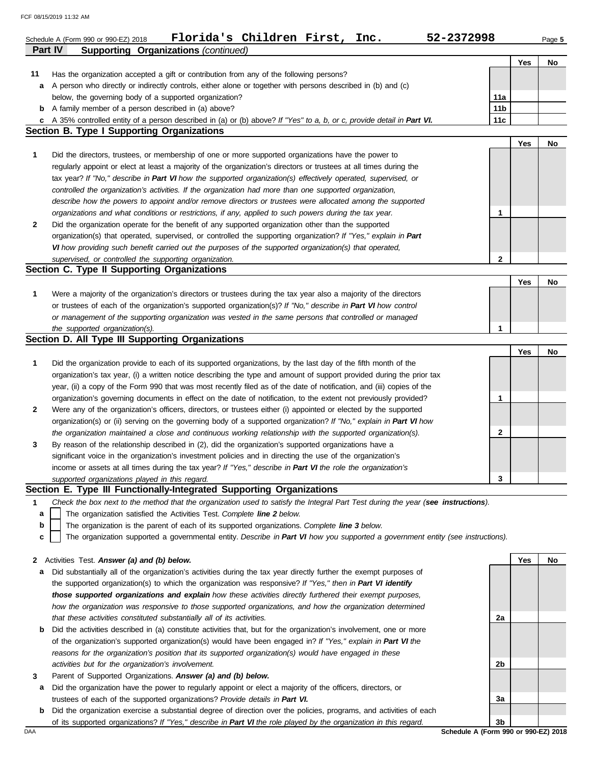FCF 08/15/2019 11:32 AM

|    | Florida's Children First, Inc.<br>52-2372998<br>Schedule A (Form 990 or 990-EZ) 2018<br>Part IV<br><b>Supporting Organizations (continued)</b> |                 |     | Page 5 |
|----|------------------------------------------------------------------------------------------------------------------------------------------------|-----------------|-----|--------|
|    |                                                                                                                                                |                 | Yes | No     |
| 11 | Has the organization accepted a gift or contribution from any of the following persons?                                                        |                 |     |        |
|    | a A person who directly or indirectly controls, either alone or together with persons described in (b) and (c)                                 |                 |     |        |
|    | below, the governing body of a supported organization?                                                                                         | 11a             |     |        |
|    | <b>b</b> A family member of a person described in (a) above?                                                                                   | 11 <sub>b</sub> |     |        |
|    | c A 35% controlled entity of a person described in (a) or (b) above? If "Yes" to a, b, or c, provide detail in Part VI.                        | 11c             |     |        |
|    | <b>Section B. Type I Supporting Organizations</b>                                                                                              |                 |     |        |
|    |                                                                                                                                                |                 | Yes | No     |
| 1  | Did the directors, trustees, or membership of one or more supported organizations have the power to                                            |                 |     |        |
|    | regularly appoint or elect at least a majority of the organization's directors or trustees at all times during the                             |                 |     |        |
|    | tax year? If "No," describe in Part VI how the supported organization(s) effectively operated, supervised, or                                  |                 |     |        |
|    | controlled the organization's activities. If the organization had more than one supported organization,                                        |                 |     |        |
|    | describe how the powers to appoint and/or remove directors or trustees were allocated among the supported                                      |                 |     |        |
|    | organizations and what conditions or restrictions, if any, applied to such powers during the tax year.                                         | 1               |     |        |
| 2  | Did the organization operate for the benefit of any supported organization other than the supported                                            |                 |     |        |
|    | organization(s) that operated, supervised, or controlled the supporting organization? If "Yes," explain in Part                                |                 |     |        |
|    | VI how providing such benefit carried out the purposes of the supported organization(s) that operated,                                         |                 |     |        |
|    | supervised, or controlled the supporting organization.                                                                                         | $\mathbf{2}$    |     |        |
|    | Section C. Type II Supporting Organizations                                                                                                    |                 |     |        |
|    |                                                                                                                                                |                 | Yes | No     |
| 1  | Were a majority of the organization's directors or trustees during the tax year also a majority of the directors                               |                 |     |        |
|    | or trustees of each of the organization's supported organization(s)? If "No," describe in Part VI how control                                  |                 |     |        |
|    | or management of the supporting organization was vested in the same persons that controlled or managed                                         |                 |     |        |
|    | the supported organization(s).                                                                                                                 | 1               |     |        |
|    | Section D. All Type III Supporting Organizations                                                                                               |                 |     |        |
|    |                                                                                                                                                |                 | Yes | No     |
| 1  | Did the organization provide to each of its supported organizations, by the last day of the fifth month of the                                 |                 |     |        |
|    | organization's tax year, (i) a written notice describing the type and amount of support provided during the prior tax                          |                 |     |        |
|    | year, (ii) a copy of the Form 990 that was most recently filed as of the date of notification, and (iii) copies of the                         |                 |     |        |
|    | organization's governing documents in effect on the date of notification, to the extent not previously provided?                               | 1               |     |        |
| 2  | Were any of the organization's officers, directors, or trustees either (i) appointed or elected by the supported                               |                 |     |        |
|    | organization(s) or (ii) serving on the governing body of a supported organization? If "No," explain in Part VI how                             |                 |     |        |
|    | the organization maintained a close and continuous working relationship with the supported organization(s).                                    | 2               |     |        |
| 3  | By reason of the relationship described in (2), did the organization's supported organizations have a                                          |                 |     |        |
|    | significant voice in the organization's investment policies and in directing the use of the organization's                                     |                 |     |        |
|    | income or assets at all times during the tax year? If "Yes," describe in Part VI the role the organization's                                   |                 |     |        |
|    | supported organizations played in this regard.                                                                                                 | 3               |     |        |
|    | Section E. Type III Functionally-Integrated Supporting Organizations                                                                           |                 |     |        |
| 1  | Check the box next to the method that the organization used to satisfy the Integral Part Test during the year (see instructions).              |                 |     |        |
| а  | The organization satisfied the Activities Test. Complete line 2 below.                                                                         |                 |     |        |
| b  | The organization is the parent of each of its supported organizations. Complete line 3 below.                                                  |                 |     |        |
| c  | The organization supported a governmental entity. Describe in Part VI how you supported a government entity (see instructions).                |                 |     |        |
|    |                                                                                                                                                |                 |     |        |
| 2  | Activities Test. Answer (a) and (b) below.                                                                                                     |                 | Yes | No     |
| а  | Did substantially all of the organization's activities during the tax year directly further the exempt purposes of                             |                 |     |        |
|    | the supported organization(s) to which the organization was responsive? If "Yes," then in Part VI identify                                     |                 |     |        |
|    | those supported organizations and explain how these activities directly furthered their exempt purposes,                                       |                 |     |        |
|    | how the organization was responsive to those supported organizations, and how the organization determined                                      |                 |     |        |
|    | that these activities constituted substantially all of its activities.                                                                         | 2a              |     |        |
| b  | Did the activities described in (a) constitute activities that, but for the organization's involvement, one or more                            |                 |     |        |
|    | of the organization's supported organization(s) would have been engaged in? If "Yes," explain in Part VI the                                   |                 |     |        |
|    | reasons for the organization's position that its supported organization(s) would have engaged in these                                         |                 |     |        |
|    | activities but for the organization's involvement.                                                                                             | 2b              |     |        |
| 3  | Parent of Supported Organizations. Answer (a) and (b) below.                                                                                   |                 |     |        |
| а  | Did the organization have the power to regularly appoint or elect a majority of the officers, directors, or                                    |                 |     |        |
|    | trustees of each of the supported organizations? Provide details in Part VI.                                                                   | 3a              |     |        |

**b** Did the organization exercise a substantial degree of direction over the policies, programs, and activities of each

of its supported organizations? *If "Yes," describe in Part VI the role played by the organization in this regard.*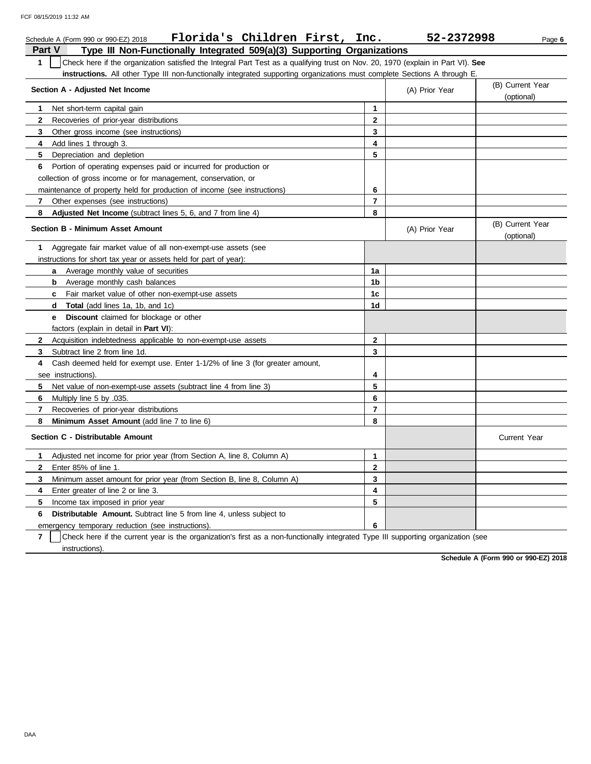|               | Florida's Children First,<br>Schedule A (Form 990 or 990-EZ) 2018                                                                | Inc.           | 52-2372998     | Page 6                         |
|---------------|----------------------------------------------------------------------------------------------------------------------------------|----------------|----------------|--------------------------------|
| <b>Part V</b> | Type III Non-Functionally Integrated 509(a)(3) Supporting Organizations                                                          |                |                |                                |
| $\mathbf{1}$  | Check here if the organization satisfied the Integral Part Test as a qualifying trust on Nov. 20, 1970 (explain in Part VI). See |                |                |                                |
|               | instructions. All other Type III non-functionally integrated supporting organizations must complete Sections A through E.        |                |                |                                |
|               | Section A - Adjusted Net Income                                                                                                  |                |                | (B) Current Year               |
|               |                                                                                                                                  |                | (A) Prior Year | (optional)                     |
| 1.            | Net short-term capital gain                                                                                                      | $\mathbf{1}$   |                |                                |
| $\mathbf{2}$  | Recoveries of prior-year distributions                                                                                           | $\mathbf{2}$   |                |                                |
| 3             | Other gross income (see instructions)                                                                                            | 3              |                |                                |
| 4             | Add lines 1 through 3.                                                                                                           | 4              |                |                                |
| 5             | Depreciation and depletion                                                                                                       | 5              |                |                                |
| 6             | Portion of operating expenses paid or incurred for production or                                                                 |                |                |                                |
|               | collection of gross income or for management, conservation, or                                                                   |                |                |                                |
|               | maintenance of property held for production of income (see instructions)                                                         | 6              |                |                                |
| 7             | Other expenses (see instructions)                                                                                                | $\overline{7}$ |                |                                |
| 8             | Adjusted Net Income (subtract lines 5, 6, and 7 from line 4)                                                                     | 8              |                |                                |
|               | Section B - Minimum Asset Amount                                                                                                 |                | (A) Prior Year | (B) Current Year<br>(optional) |
| 1             | Aggregate fair market value of all non-exempt-use assets (see                                                                    |                |                |                                |
|               | instructions for short tax year or assets held for part of year):                                                                |                |                |                                |
|               | <b>a</b> Average monthly value of securities                                                                                     | 1a             |                |                                |
|               | Average monthly cash balances<br>b                                                                                               | 1b             |                |                                |
|               | Fair market value of other non-exempt-use assets<br>C.                                                                           | 1 <sub>c</sub> |                |                                |
|               | <b>Total</b> (add lines 1a, 1b, and 1c)<br>d                                                                                     | 1d             |                |                                |
|               | <b>e</b> Discount claimed for blockage or other                                                                                  |                |                |                                |
|               | factors (explain in detail in Part VI):                                                                                          |                |                |                                |
| $\mathbf{2}$  | Acquisition indebtedness applicable to non-exempt-use assets                                                                     | $\mathbf{2}$   |                |                                |
| 3             | Subtract line 2 from line 1d.                                                                                                    | 3              |                |                                |
| 4             | Cash deemed held for exempt use. Enter 1-1/2% of line 3 (for greater amount,                                                     |                |                |                                |
|               | see instructions).                                                                                                               | 4              |                |                                |
| 5             | Net value of non-exempt-use assets (subtract line 4 from line 3)                                                                 | 5              |                |                                |
| 6             | Multiply line 5 by .035.                                                                                                         | 6              |                |                                |
| 7             | Recoveries of prior-year distributions                                                                                           | $\overline{7}$ |                |                                |
| 8             | Minimum Asset Amount (add line 7 to line 6)                                                                                      | 8              |                |                                |
|               | Section C - Distributable Amount                                                                                                 |                |                | <b>Current Year</b>            |
| 1             | Adjusted net income for prior year (from Section A, line 8, Column A)                                                            | 1              |                |                                |
| $\mathbf{2}$  | Enter 85% of line 1.                                                                                                             | $\mathbf{2}$   |                |                                |
| 3             | Minimum asset amount for prior year (from Section B, line 8, Column A)                                                           | 3              |                |                                |
| 4             | Enter greater of line 2 or line 3.                                                                                               | 4              |                |                                |
| 5             | Income tax imposed in prior year                                                                                                 | 5              |                |                                |
| 6             | <b>Distributable Amount.</b> Subtract line 5 from line 4, unless subject to                                                      |                |                |                                |
|               | emergency temporary reduction (see instructions).                                                                                | 6              |                |                                |

emergency temporary reduction (see instructions).

**7** instructions). Check here if the current year is the organization's first as a non-functionally integrated Type III supporting organization (see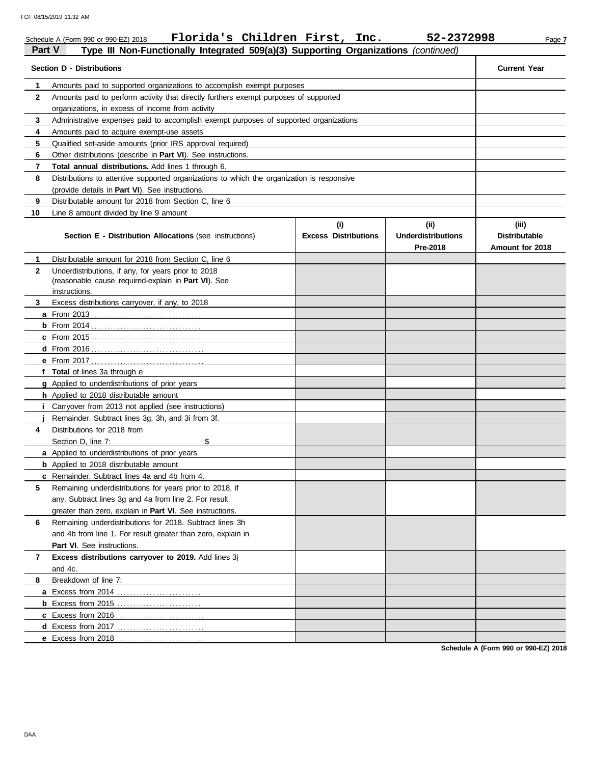|              | Florida's Children First, Inc.<br>Schedule A (Form 990 or 990-EZ) 2018                                                      |                                    | 52-2372998                                    | Page 7                                           |
|--------------|-----------------------------------------------------------------------------------------------------------------------------|------------------------------------|-----------------------------------------------|--------------------------------------------------|
| Part V       | Type III Non-Functionally Integrated 509(a)(3) Supporting Organizations (continued)                                         |                                    |                                               |                                                  |
|              | <b>Section D - Distributions</b>                                                                                            |                                    |                                               | <b>Current Year</b>                              |
| 1            | Amounts paid to supported organizations to accomplish exempt purposes                                                       |                                    |                                               |                                                  |
| $\mathbf{2}$ | Amounts paid to perform activity that directly furthers exempt purposes of supported                                        |                                    |                                               |                                                  |
|              | organizations, in excess of income from activity                                                                            |                                    |                                               |                                                  |
| 3            | Administrative expenses paid to accomplish exempt purposes of supported organizations                                       |                                    |                                               |                                                  |
| 4            | Amounts paid to acquire exempt-use assets                                                                                   |                                    |                                               |                                                  |
| 5            | Qualified set-aside amounts (prior IRS approval required)                                                                   |                                    |                                               |                                                  |
| 6            | Other distributions (describe in Part VI). See instructions.                                                                |                                    |                                               |                                                  |
| 7            | Total annual distributions. Add lines 1 through 6.                                                                          |                                    |                                               |                                                  |
| 8            | Distributions to attentive supported organizations to which the organization is responsive                                  |                                    |                                               |                                                  |
|              | (provide details in Part VI). See instructions.                                                                             |                                    |                                               |                                                  |
| 9            | Distributable amount for 2018 from Section C, line 6                                                                        |                                    |                                               |                                                  |
| 10           | Line 8 amount divided by line 9 amount<br><b>Section E - Distribution Allocations (see instructions)</b>                    | (i)<br><b>Excess Distributions</b> | (ii)<br><b>Underdistributions</b><br>Pre-2018 | (iii)<br><b>Distributable</b><br>Amount for 2018 |
| 1            | Distributable amount for 2018 from Section C, line 6                                                                        |                                    |                                               |                                                  |
| $\mathbf{2}$ | Underdistributions, if any, for years prior to 2018<br>(reasonable cause required-explain in Part VI). See<br>instructions. |                                    |                                               |                                                  |
| 3            | Excess distributions carryover, if any, to 2018                                                                             |                                    |                                               |                                                  |
|              |                                                                                                                             |                                    |                                               |                                                  |
|              | b From 2014 <u></u>                                                                                                         |                                    |                                               |                                                  |
|              |                                                                                                                             |                                    |                                               |                                                  |
|              |                                                                                                                             |                                    |                                               |                                                  |
|              |                                                                                                                             |                                    |                                               |                                                  |
|              | f Total of lines 3a through e                                                                                               |                                    |                                               |                                                  |
|              | g Applied to underdistributions of prior years                                                                              |                                    |                                               |                                                  |
|              | h Applied to 2018 distributable amount                                                                                      |                                    |                                               |                                                  |
|              | <i>i</i> Carryover from 2013 not applied (see instructions)                                                                 |                                    |                                               |                                                  |
|              | Remainder. Subtract lines 3g, 3h, and 3i from 3f.                                                                           |                                    |                                               |                                                  |
| 4            | Distributions for 2018 from                                                                                                 |                                    |                                               |                                                  |
|              | Section D, line 7:<br>\$                                                                                                    |                                    |                                               |                                                  |
|              | a Applied to underdistributions of prior years                                                                              |                                    |                                               |                                                  |
|              | <b>b</b> Applied to 2018 distributable amount                                                                               |                                    |                                               |                                                  |
|              | c Remainder. Subtract lines 4a and 4b from 4.                                                                               |                                    |                                               |                                                  |
| 5            | Remaining underdistributions for years prior to 2018, if                                                                    |                                    |                                               |                                                  |
|              | any. Subtract lines 3g and 4a from line 2. For result                                                                       |                                    |                                               |                                                  |
|              | greater than zero, explain in Part VI. See instructions.                                                                    |                                    |                                               |                                                  |
| 6            | Remaining underdistributions for 2018. Subtract lines 3h<br>and 4b from line 1. For result greater than zero, explain in    |                                    |                                               |                                                  |
|              | Part VI. See instructions.                                                                                                  |                                    |                                               |                                                  |
| 7            | Excess distributions carryover to 2019. Add lines 3j                                                                        |                                    |                                               |                                                  |
|              | and 4c.                                                                                                                     |                                    |                                               |                                                  |
| 8            | Breakdown of line 7:                                                                                                        |                                    |                                               |                                                  |
|              |                                                                                                                             |                                    |                                               |                                                  |
|              |                                                                                                                             |                                    |                                               |                                                  |
|              |                                                                                                                             |                                    |                                               |                                                  |
|              |                                                                                                                             |                                    |                                               |                                                  |
|              | e Excess from 2018                                                                                                          |                                    |                                               |                                                  |
|              |                                                                                                                             |                                    |                                               |                                                  |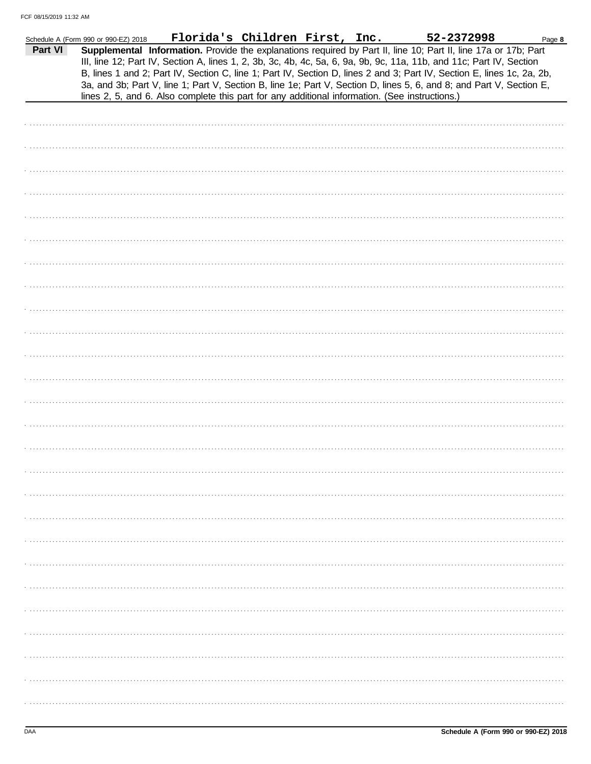|         | Schedule A (Form 990 or 990-EZ) 2018 | <u>Florida's Children First, Inc.</u>                                                          |  | 52-2372998                                                                                                                                                                                                                                                                                                                                                                                                                                                                                | Page 8 |
|---------|--------------------------------------|------------------------------------------------------------------------------------------------|--|-------------------------------------------------------------------------------------------------------------------------------------------------------------------------------------------------------------------------------------------------------------------------------------------------------------------------------------------------------------------------------------------------------------------------------------------------------------------------------------------|--------|
| Part VI |                                      |                                                                                                |  | Supplemental Information. Provide the explanations required by Part II, line 10; Part II, line 17a or 17b; Part<br>III, line 12; Part IV, Section A, lines 1, 2, 3b, 3c, 4b, 4c, 5a, 6, 9a, 9b, 9c, 11a, 11b, and 11c; Part IV, Section<br>B, lines 1 and 2; Part IV, Section C, line 1; Part IV, Section D, lines 2 and 3; Part IV, Section E, lines 1c, 2a, 2b,<br>3a, and 3b; Part V, line 1; Part V, Section B, line 1e; Part V, Section D, lines 5, 6, and 8; and Part V, Section E, |        |
|         |                                      | lines 2, 5, and 6. Also complete this part for any additional information. (See instructions.) |  |                                                                                                                                                                                                                                                                                                                                                                                                                                                                                           |        |
|         |                                      |                                                                                                |  |                                                                                                                                                                                                                                                                                                                                                                                                                                                                                           |        |
|         |                                      |                                                                                                |  |                                                                                                                                                                                                                                                                                                                                                                                                                                                                                           |        |
|         |                                      |                                                                                                |  |                                                                                                                                                                                                                                                                                                                                                                                                                                                                                           |        |
|         |                                      |                                                                                                |  |                                                                                                                                                                                                                                                                                                                                                                                                                                                                                           |        |
|         |                                      |                                                                                                |  |                                                                                                                                                                                                                                                                                                                                                                                                                                                                                           |        |
|         |                                      |                                                                                                |  |                                                                                                                                                                                                                                                                                                                                                                                                                                                                                           |        |
|         |                                      |                                                                                                |  |                                                                                                                                                                                                                                                                                                                                                                                                                                                                                           |        |
|         |                                      |                                                                                                |  |                                                                                                                                                                                                                                                                                                                                                                                                                                                                                           |        |
|         |                                      |                                                                                                |  |                                                                                                                                                                                                                                                                                                                                                                                                                                                                                           |        |
|         |                                      |                                                                                                |  |                                                                                                                                                                                                                                                                                                                                                                                                                                                                                           |        |
|         |                                      |                                                                                                |  |                                                                                                                                                                                                                                                                                                                                                                                                                                                                                           |        |
|         |                                      |                                                                                                |  |                                                                                                                                                                                                                                                                                                                                                                                                                                                                                           |        |
|         |                                      |                                                                                                |  |                                                                                                                                                                                                                                                                                                                                                                                                                                                                                           |        |
|         |                                      |                                                                                                |  |                                                                                                                                                                                                                                                                                                                                                                                                                                                                                           |        |
|         |                                      |                                                                                                |  |                                                                                                                                                                                                                                                                                                                                                                                                                                                                                           |        |
|         |                                      |                                                                                                |  |                                                                                                                                                                                                                                                                                                                                                                                                                                                                                           |        |
|         |                                      |                                                                                                |  |                                                                                                                                                                                                                                                                                                                                                                                                                                                                                           |        |
|         |                                      |                                                                                                |  |                                                                                                                                                                                                                                                                                                                                                                                                                                                                                           |        |
|         |                                      |                                                                                                |  |                                                                                                                                                                                                                                                                                                                                                                                                                                                                                           |        |
|         |                                      |                                                                                                |  |                                                                                                                                                                                                                                                                                                                                                                                                                                                                                           |        |
|         |                                      |                                                                                                |  |                                                                                                                                                                                                                                                                                                                                                                                                                                                                                           |        |
|         |                                      |                                                                                                |  |                                                                                                                                                                                                                                                                                                                                                                                                                                                                                           |        |
|         |                                      |                                                                                                |  |                                                                                                                                                                                                                                                                                                                                                                                                                                                                                           |        |
|         |                                      |                                                                                                |  |                                                                                                                                                                                                                                                                                                                                                                                                                                                                                           |        |
|         |                                      |                                                                                                |  |                                                                                                                                                                                                                                                                                                                                                                                                                                                                                           |        |
|         |                                      |                                                                                                |  |                                                                                                                                                                                                                                                                                                                                                                                                                                                                                           |        |
|         |                                      |                                                                                                |  |                                                                                                                                                                                                                                                                                                                                                                                                                                                                                           |        |
|         |                                      |                                                                                                |  |                                                                                                                                                                                                                                                                                                                                                                                                                                                                                           |        |
|         |                                      |                                                                                                |  |                                                                                                                                                                                                                                                                                                                                                                                                                                                                                           |        |
|         |                                      |                                                                                                |  |                                                                                                                                                                                                                                                                                                                                                                                                                                                                                           |        |
|         |                                      |                                                                                                |  |                                                                                                                                                                                                                                                                                                                                                                                                                                                                                           |        |
|         |                                      |                                                                                                |  |                                                                                                                                                                                                                                                                                                                                                                                                                                                                                           |        |
|         |                                      |                                                                                                |  |                                                                                                                                                                                                                                                                                                                                                                                                                                                                                           |        |
|         |                                      |                                                                                                |  |                                                                                                                                                                                                                                                                                                                                                                                                                                                                                           |        |
|         |                                      |                                                                                                |  |                                                                                                                                                                                                                                                                                                                                                                                                                                                                                           |        |
|         |                                      |                                                                                                |  |                                                                                                                                                                                                                                                                                                                                                                                                                                                                                           |        |
|         |                                      |                                                                                                |  |                                                                                                                                                                                                                                                                                                                                                                                                                                                                                           |        |
|         |                                      |                                                                                                |  |                                                                                                                                                                                                                                                                                                                                                                                                                                                                                           |        |
|         |                                      |                                                                                                |  |                                                                                                                                                                                                                                                                                                                                                                                                                                                                                           |        |
|         |                                      |                                                                                                |  |                                                                                                                                                                                                                                                                                                                                                                                                                                                                                           |        |
|         |                                      |                                                                                                |  |                                                                                                                                                                                                                                                                                                                                                                                                                                                                                           |        |
|         |                                      |                                                                                                |  |                                                                                                                                                                                                                                                                                                                                                                                                                                                                                           |        |
|         |                                      |                                                                                                |  |                                                                                                                                                                                                                                                                                                                                                                                                                                                                                           |        |
|         |                                      |                                                                                                |  |                                                                                                                                                                                                                                                                                                                                                                                                                                                                                           |        |
|         |                                      |                                                                                                |  |                                                                                                                                                                                                                                                                                                                                                                                                                                                                                           |        |
|         |                                      |                                                                                                |  |                                                                                                                                                                                                                                                                                                                                                                                                                                                                                           |        |
|         |                                      |                                                                                                |  |                                                                                                                                                                                                                                                                                                                                                                                                                                                                                           |        |
|         |                                      |                                                                                                |  |                                                                                                                                                                                                                                                                                                                                                                                                                                                                                           |        |
|         |                                      |                                                                                                |  |                                                                                                                                                                                                                                                                                                                                                                                                                                                                                           |        |
|         |                                      |                                                                                                |  |                                                                                                                                                                                                                                                                                                                                                                                                                                                                                           |        |
|         |                                      |                                                                                                |  |                                                                                                                                                                                                                                                                                                                                                                                                                                                                                           |        |
|         |                                      |                                                                                                |  |                                                                                                                                                                                                                                                                                                                                                                                                                                                                                           |        |
|         |                                      |                                                                                                |  |                                                                                                                                                                                                                                                                                                                                                                                                                                                                                           |        |
|         |                                      |                                                                                                |  |                                                                                                                                                                                                                                                                                                                                                                                                                                                                                           |        |
|         |                                      |                                                                                                |  |                                                                                                                                                                                                                                                                                                                                                                                                                                                                                           |        |
|         |                                      |                                                                                                |  |                                                                                                                                                                                                                                                                                                                                                                                                                                                                                           |        |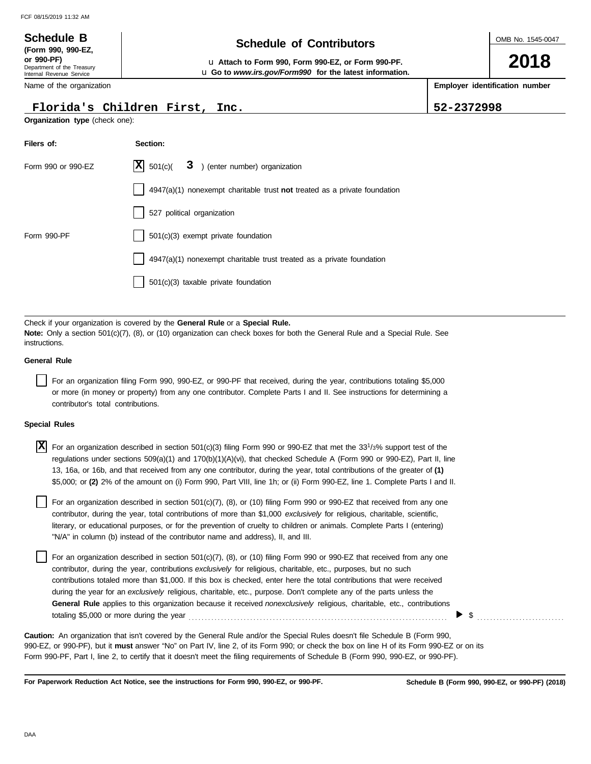## OMB No. 1545-0047 Department of the Treasury Internal Revenue Service Name of the organization **2018 Schedule of Contributors Schedule B (Form 990, 990-EZ, or 990-PF)** u **Attach to Form 990, Form 990-EZ, or Form 990-PF. Employer identification number Organization type** (check one): **Filers of: Section:** Form 990 or 990-EZ  $|\mathbf{X}|$  501(c)( 3) (enter number) organization 4947(a)(1) nonexempt charitable trust **not** treated as a private foundation 527 political organization u **Go to** *www.irs.gov/Form990* **for the latest information. Florida's Children First, Inc. 52-2372998**  $\overline{X}$  501(c)( 3

| Form 990 or 990-EZ | $ \mathbf{X} $ 501(c)( $3$ ) (enter number) organization                  |
|--------------------|---------------------------------------------------------------------------|
|                    | 4947(a)(1) nonexempt charitable trust not treated as a private foundation |
|                    | 527 political organization                                                |
| Form 990-PF        | 501(c)(3) exempt private foundation                                       |
|                    | 4947(a)(1) nonexempt charitable trust treated as a private foundation     |
|                    | $501(c)(3)$ taxable private foundation                                    |

Check if your organization is covered by the **General Rule** or a **Special Rule. Note:** Only a section 501(c)(7), (8), or (10) organization can check boxes for both the General Rule and a Special Rule. See instructions.

### **General Rule**

For an organization filing Form 990, 990-EZ, or 990-PF that received, during the year, contributions totaling \$5,000 or more (in money or property) from any one contributor. Complete Parts I and II. See instructions for determining a contributor's total contributions.

### **Special Rules**

| $\overline{X}$ For an organization described in section 501(c)(3) filing Form 990 or 990-EZ that met the 33 <sup>1</sup> /3% support test of the |
|--------------------------------------------------------------------------------------------------------------------------------------------------|
| regulations under sections 509(a)(1) and 170(b)(1)(A)(vi), that checked Schedule A (Form 990 or 990-EZ), Part II, line                           |
| 13, 16a, or 16b, and that received from any one contributor, during the year, total contributions of the greater of (1)                          |
| \$5,000; or (2) 2% of the amount on (i) Form 990, Part VIII, line 1h; or (ii) Form 990-EZ, line 1. Complete Parts I and II.                      |

literary, or educational purposes, or for the prevention of cruelty to children or animals. Complete Parts I (entering) For an organization described in section 501(c)(7), (8), or (10) filing Form 990 or 990-EZ that received from any one contributor, during the year, total contributions of more than \$1,000 *exclusively* for religious, charitable, scientific, "N/A" in column (b) instead of the contributor name and address), II, and III.

For an organization described in section 501(c)(7), (8), or (10) filing Form 990 or 990-EZ that received from any one contributor, during the year, contributions *exclusively* for religious, charitable, etc., purposes, but no such contributions totaled more than \$1,000. If this box is checked, enter here the total contributions that were received during the year for an *exclusively* religious, charitable, etc., purpose. Don't complete any of the parts unless the **General Rule** applies to this organization because it received *nonexclusively* religious, charitable, etc., contributions totaling \$5,000 or more during the year . . . . . . . . . . . . . . . . . . . . . . . . . . . . . . . . . . . . . . . . . . . . . . . . . . . . . . . . . . . . . . . . . . . . . . . . . . . . . . . .

990-EZ, or 990-PF), but it **must** answer "No" on Part IV, line 2, of its Form 990; or check the box on line H of its Form 990-EZ or on its Form 990-PF, Part I, line 2, to certify that it doesn't meet the filing requirements of Schedule B (Form 990, 990-EZ, or 990-PF). **Caution:** An organization that isn't covered by the General Rule and/or the Special Rules doesn't file Schedule B (Form 990,

**For Paperwork Reduction Act Notice, see the instructions for Form 990, 990-EZ, or 990-PF.**

\$ . . . . . . . . . . . . . . . . . . . . . . . . . . .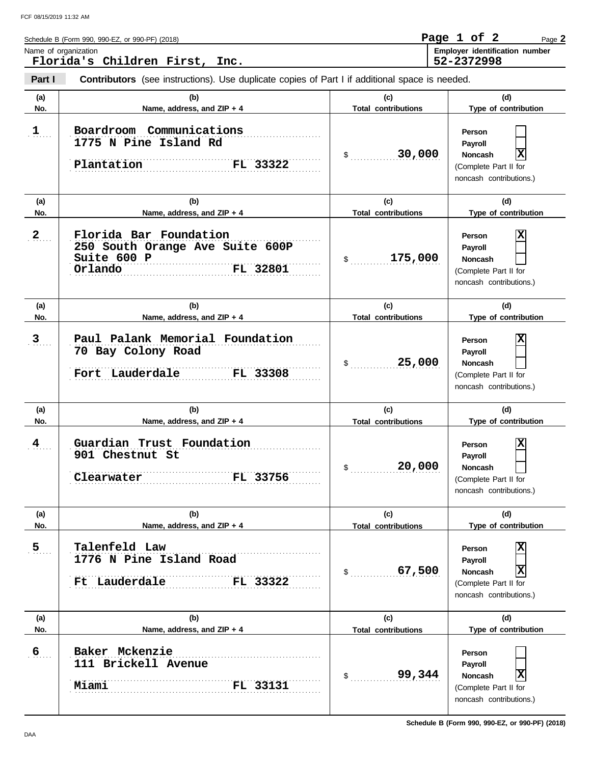| Schedule B (Form 990, 990-EZ, or 990-PF) (2018) | Page 1 of ' |  | Page 2                                |
|-------------------------------------------------|-------------|--|---------------------------------------|
| Name of organization                            |             |  | <b>Employer identification number</b> |
| Florida's Children First,<br>Inc.               | 52-2372998  |  |                                       |

**Part I Contributors** (see instructions). Use duplicate copies of Part I if additional space is needed.

| (a)                     | (b)                                                                                             | (c)                        | (d)                                                                                               |
|-------------------------|-------------------------------------------------------------------------------------------------|----------------------------|---------------------------------------------------------------------------------------------------|
| No.                     | Name, address, and ZIP + 4                                                                      | <b>Total contributions</b> | Type of contribution                                                                              |
| $\mathbf{1}$            | Boardroom Communications<br>1775 N Pine Island Rd<br>FL 33322<br>Plantation                     | 30,000<br>$\mathfrak s$    | Person<br>Payroll<br>X<br><b>Noncash</b><br>(Complete Part II for<br>noncash contributions.)      |
| (a)                     | (b)                                                                                             | (c)                        | (d)                                                                                               |
| No.                     | Name, address, and ZIP + 4                                                                      | <b>Total contributions</b> | Type of contribution                                                                              |
| $\overline{2}$          | Florida Bar Foundation<br>250 South Orange Ave Suite 600P<br>Suite 600 P<br>FL 32801<br>Orlando | 175,000<br>\$              | X<br>Person<br>Payroll<br><b>Noncash</b><br>(Complete Part II for<br>noncash contributions.)      |
| (a)                     | (b)                                                                                             | (c)                        | (d)                                                                                               |
| No.                     | Name, address, and ZIP + 4                                                                      | <b>Total contributions</b> | Type of contribution                                                                              |
| 3 <sub>1</sub>          | Paul Palank Memorial Foundation<br>70 Bay Colony Road<br>Fort Lauderdale<br>FL 33308            | 25,000<br>\$               | X<br>Person<br>Payroll<br><b>Noncash</b><br>(Complete Part II for<br>noncash contributions.)      |
| (a)                     | (b)                                                                                             | (c)                        | (d)                                                                                               |
| No.                     | Name, address, and ZIP + 4                                                                      | <b>Total contributions</b> | Type of contribution                                                                              |
| $\overline{\mathbf{4}}$ | Guardian Trust Foundation<br>901 Chestnut St<br>Clearwater<br>FL 33756                          | 20,000<br>\$               | X<br>Person<br>Payroll<br><b>Noncash</b><br>(Complete Part II for<br>noncash contributions.)      |
| (a)                     | (b)                                                                                             | (c)                        | (d)                                                                                               |
| No.                     | Name, address, and ZIP + 4                                                                      | <b>Total contributions</b> | Type of contribution                                                                              |
| $\overline{5}$          | Talenfeld Law<br>1776 N Pine Island Road<br>Ft Lauderdale<br>FL 33322                           | 67,500<br>\$               | X<br>Person<br>Payroll<br>X<br><b>Noncash</b><br>(Complete Part II for<br>noncash contributions.) |
| (a)                     | (b)                                                                                             | (c)                        | (d)                                                                                               |
| No.                     | Name, address, and ZIP + 4                                                                      | <b>Total contributions</b> | Type of contribution                                                                              |
| $6 \overline{6}$        | Baker Mckenzie<br>111 Brickell Avenue<br>FL 33131<br>Miami                                      | 99,344<br>\$               | Person<br>Payroll<br>X<br>Noncash<br>(Complete Part II for<br>noncash contributions.)             |

**Schedule B (Form 990, 990-EZ, or 990-PF) (2018)**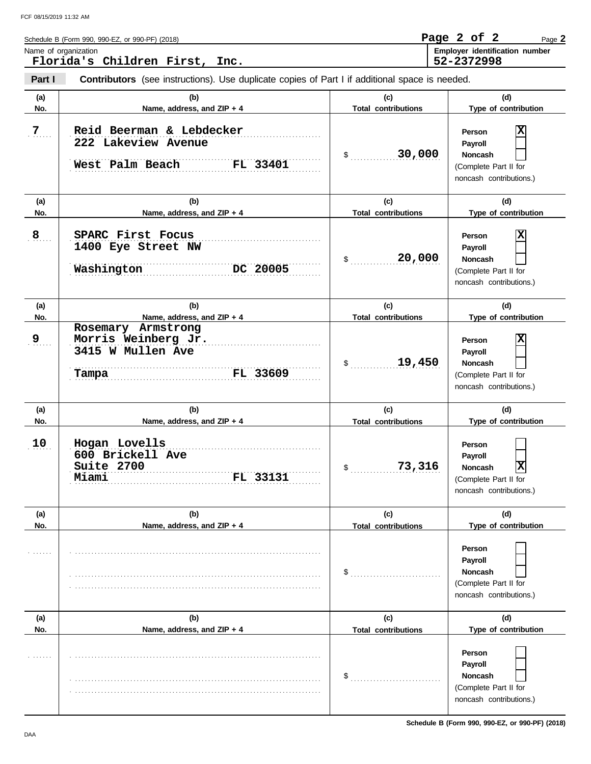| Schedule B (Form 990, 990-EZ, or 990-PF) (2018)        | Page 2 of 2<br>Page 2                        |
|--------------------------------------------------------|----------------------------------------------|
| Name of organization<br>Florida's Children First, Inc. | Employer identification number<br>52-2372998 |
|                                                        |                                              |

**Part I Contributors** (see instructions). Use duplicate copies of Part I if additional space is needed.

|            | (b)                                                                                 | (c)                               | (d)                                                                                                                |
|------------|-------------------------------------------------------------------------------------|-----------------------------------|--------------------------------------------------------------------------------------------------------------------|
| (a)<br>No. | Name, address, and ZIP + 4                                                          | <b>Total contributions</b>        | Type of contribution                                                                                               |
| 7          | Reid Beerman & Lebdecker<br>222 Lakeview Avenue<br>West Palm Beach<br>FL 33401      | 30,000<br>$\frac{1}{2}$           | X<br>Person<br>Payroll<br>Noncash<br>(Complete Part II for<br>noncash contributions.)                              |
| (a)<br>No. | (b)<br>Name, address, and ZIP + 4                                                   | (c)<br><b>Total contributions</b> | (d)<br>Type of contribution                                                                                        |
| 8          | SPARC First Focus<br>1400 Eye Street NW<br>DC 20005<br>Washington                   | 20,000<br>\$                      | X<br>Person<br>Payroll<br><b>Noncash</b><br>(Complete Part II for<br>noncash contributions.)                       |
| (a)        | (b)                                                                                 | (c)                               | (d)                                                                                                                |
| No.        | Name, address, and ZIP + 4                                                          | <b>Total contributions</b>        | Type of contribution                                                                                               |
| 9          | Rosemary Armstrong<br>Morris Weinberg Jr.<br>3415 W Mullen Ave<br>FL 33609<br>Tampa | 19,450<br>\$                      | X<br>Person<br>Payroll<br><b>Noncash</b><br>(Complete Part II for<br>noncash contributions.)                       |
| (a)<br>No. | (b)<br>Name, address, and ZIP + 4                                                   | (c)<br><b>Total contributions</b> | (d)<br>Type of contribution                                                                                        |
| 10         | Hogan Lovells<br>600 Brickell Ave<br>Suite 2700<br>FL 33131<br>Miami                | 73,316<br>\$                      | Person<br>Payroll<br>$\overline{\mathbf{x}}$<br><b>Noncash</b><br>(Complete Part II for<br>noncash contributions.) |
| (a)        | (b)                                                                                 | (c)                               | (d)                                                                                                                |
| No.        | Name, address, and ZIP + 4                                                          | <b>Total contributions</b>        | Type of contribution                                                                                               |
|            |                                                                                     | \$                                | Person<br>Payroll<br>Noncash<br>(Complete Part II for                                                              |
|            |                                                                                     |                                   | noncash contributions.)                                                                                            |
| (a)        | (b)                                                                                 | (c)                               | (d)                                                                                                                |
| No.        | Name, address, and ZIP + 4                                                          | <b>Total contributions</b>        | Type of contribution                                                                                               |

**Schedule B (Form 990, 990-EZ, or 990-PF) (2018)**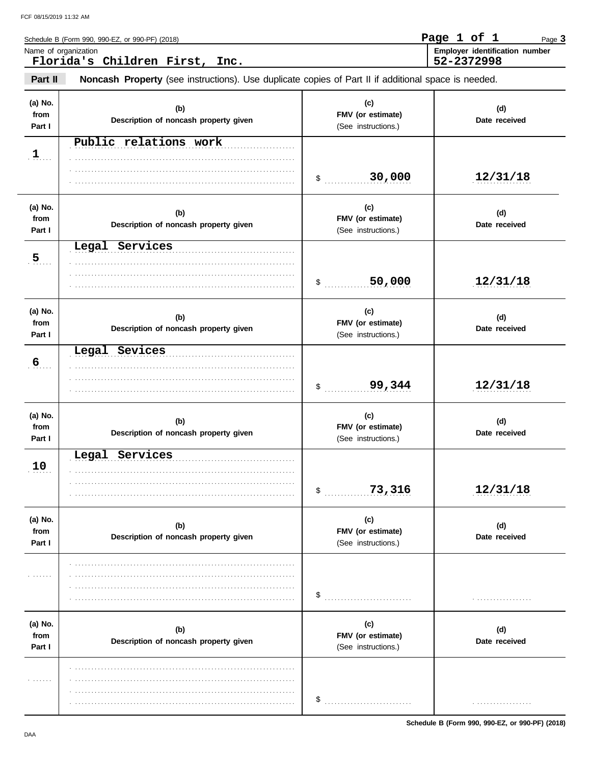|                           | Schedule B (Form 990, 990-EZ, or 990-PF) (2018)                                                     |                                                 | Page 1 of 1<br>Page 3                        |
|---------------------------|-----------------------------------------------------------------------------------------------------|-------------------------------------------------|----------------------------------------------|
|                           | Name of organization<br>Florida's Children First, Inc.                                              |                                                 | Employer identification number<br>52-2372998 |
| Part II                   | Noncash Property (see instructions). Use duplicate copies of Part II if additional space is needed. |                                                 |                                              |
| (a) No.<br>from<br>Part I | (b)<br>Description of noncash property given                                                        | (c)<br>FMV (or estimate)<br>(See instructions.) | (d)<br>Date received                         |
| 1                         | Public relations work                                                                               | 30,000<br>$\ddot{\$}$                           | 12/31/18                                     |
| (a) No.<br>from<br>Part I | (b)<br>Description of noncash property given                                                        | (c)<br>FMV (or estimate)<br>(See instructions.) | (d)<br>Date received                         |
| 5                         | Legal Services                                                                                      | 50,000<br>\$                                    | 12/31/18                                     |
| (a) No.<br>from<br>Part I | (b)<br>Description of noncash property given                                                        | (c)<br>FMV (or estimate)<br>(See instructions.) | (d)<br>Date received                         |
| 6 <sub>1</sub>            | Legal Sevices                                                                                       | 99,344<br>$\frac{1}{2}$                         | 12/31/18                                     |
| (a) No.<br>from<br>Part I | (b)<br>Description of noncash property given                                                        | (c)<br>FMV (or estimate)<br>(See instructions.) | (d)<br>Date received                         |
| 10 <sub>1</sub>           | Legal<br>Services                                                                                   | 73,316<br>\$                                    | 12/31/18                                     |
| (a) No.<br>from<br>Part I | (b)<br>Description of noncash property given                                                        | (c)<br>FMV (or estimate)<br>(See instructions.) | (d)<br>Date received                         |
| .                         |                                                                                                     | \$                                              |                                              |
| (a) No.<br>from<br>Part I | (b)<br>Description of noncash property given                                                        | (c)<br>FMV (or estimate)<br>(See instructions.) | (d)<br>Date received                         |
| .                         |                                                                                                     | \$                                              |                                              |

Schedule B (Form 990, 990-EZ, or 990-PF) (2018)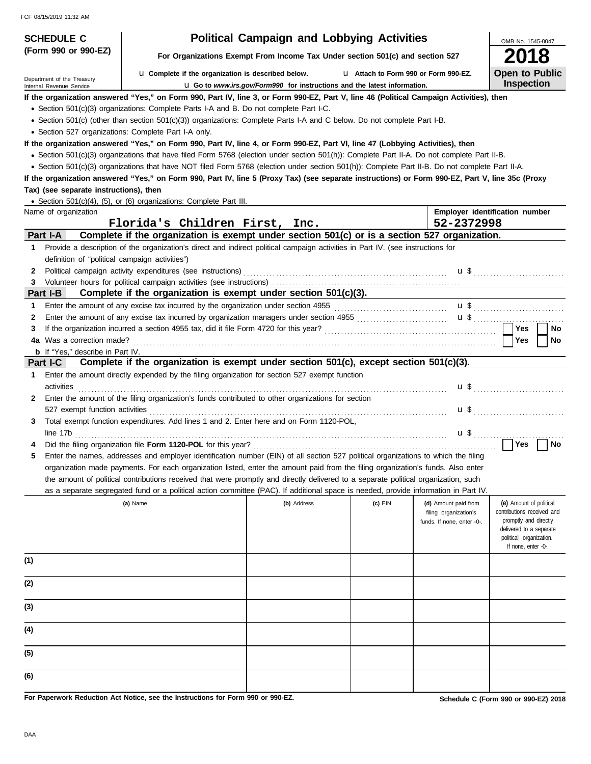| <b>SCHEDULE C</b>                                                                                                                               |                                                                                                                                                                                                                                | <b>Political Campaign and Lobbying Activities</b>                               |                                       |                            | OMB No. 1545-0047                                |  |  |  |  |
|-------------------------------------------------------------------------------------------------------------------------------------------------|--------------------------------------------------------------------------------------------------------------------------------------------------------------------------------------------------------------------------------|---------------------------------------------------------------------------------|---------------------------------------|----------------------------|--------------------------------------------------|--|--|--|--|
| (Form 990 or 990-EZ)                                                                                                                            |                                                                                                                                                                                                                                | For Organizations Exempt From Income Tax Under section 501(c) and section 527   |                                       |                            | <b>2018</b>                                      |  |  |  |  |
| Department of the Treasury                                                                                                                      | La Complete if the organization is described below.                                                                                                                                                                            |                                                                                 | L1 Attach to Form 990 or Form 990-EZ. |                            | <b>Open to Public</b>                            |  |  |  |  |
| Internal Revenue Service                                                                                                                        |                                                                                                                                                                                                                                | <b>u</b> Go to www.irs.gov/Form990 for instructions and the latest information. |                                       |                            | <b>Inspection</b>                                |  |  |  |  |
|                                                                                                                                                 | If the organization answered "Yes," on Form 990, Part IV, line 3, or Form 990-EZ, Part V, line 46 (Political Campaign Activities), then                                                                                        |                                                                                 |                                       |                            |                                                  |  |  |  |  |
|                                                                                                                                                 | • Section 501(c)(3) organizations: Complete Parts I-A and B. Do not complete Part I-C.                                                                                                                                         |                                                                                 |                                       |                            |                                                  |  |  |  |  |
|                                                                                                                                                 | • Section 501(c) (other than section 501(c)(3)) organizations: Complete Parts I-A and C below. Do not complete Part I-B.                                                                                                       |                                                                                 |                                       |                            |                                                  |  |  |  |  |
| • Section 527 organizations: Complete Part I-A only.                                                                                            |                                                                                                                                                                                                                                |                                                                                 |                                       |                            |                                                  |  |  |  |  |
|                                                                                                                                                 | If the organization answered "Yes," on Form 990, Part IV, line 4, or Form 990-EZ, Part VI, line 47 (Lobbying Activities), then                                                                                                 |                                                                                 |                                       |                            |                                                  |  |  |  |  |
| • Section 501(c)(3) organizations that have filed Form 5768 (election under section 501(h)): Complete Part II-A. Do not complete Part II-B.     |                                                                                                                                                                                                                                |                                                                                 |                                       |                            |                                                  |  |  |  |  |
| • Section 501(c)(3) organizations that have NOT filed Form 5768 (election under section 501(h)): Complete Part II-B. Do not complete Part II-A. |                                                                                                                                                                                                                                |                                                                                 |                                       |                            |                                                  |  |  |  |  |
|                                                                                                                                                 | If the organization answered "Yes," on Form 990, Part IV, line 5 (Proxy Tax) (see separate instructions) or Form 990-EZ, Part V, line 35c (Proxy                                                                               |                                                                                 |                                       |                            |                                                  |  |  |  |  |
| Tax) (see separate instructions), then                                                                                                          |                                                                                                                                                                                                                                |                                                                                 |                                       |                            |                                                  |  |  |  |  |
|                                                                                                                                                 | • Section 501(c)(4), (5), or (6) organizations: Complete Part III.                                                                                                                                                             |                                                                                 |                                       |                            |                                                  |  |  |  |  |
| Name of organization                                                                                                                            |                                                                                                                                                                                                                                |                                                                                 |                                       |                            | Employer identification number                   |  |  |  |  |
|                                                                                                                                                 | Florida's Children First, Inc.                                                                                                                                                                                                 |                                                                                 |                                       | 52-2372998                 |                                                  |  |  |  |  |
| Part I-A                                                                                                                                        | Complete if the organization is exempt under section 501(c) or is a section 527 organization.                                                                                                                                  |                                                                                 |                                       |                            |                                                  |  |  |  |  |
| 1                                                                                                                                               | Provide a description of the organization's direct and indirect political campaign activities in Part IV. (see instructions for                                                                                                |                                                                                 |                                       |                            |                                                  |  |  |  |  |
| definition of "political campaign activities")                                                                                                  |                                                                                                                                                                                                                                |                                                                                 |                                       |                            |                                                  |  |  |  |  |
| 2                                                                                                                                               | Political campaign activity expenditures (see instructions) [11] contain the container container activity expenditures (see instructions) [11] container activity expenditures (see instructions) [11] container activity expe |                                                                                 |                                       |                            | $\mathbf{u}$ \$                                  |  |  |  |  |
| 3                                                                                                                                               |                                                                                                                                                                                                                                |                                                                                 |                                       |                            |                                                  |  |  |  |  |
| Part I-B                                                                                                                                        | Complete if the organization is exempt under section 501(c)(3).                                                                                                                                                                |                                                                                 |                                       |                            |                                                  |  |  |  |  |
| 1                                                                                                                                               |                                                                                                                                                                                                                                |                                                                                 |                                       |                            |                                                  |  |  |  |  |
| 2                                                                                                                                               | Enter the amount of any excise tax incurred by organization managers under section 4955                                                                                                                                        |                                                                                 |                                       |                            |                                                  |  |  |  |  |
| 3                                                                                                                                               |                                                                                                                                                                                                                                |                                                                                 |                                       |                            | <b>Yes</b><br>No.                                |  |  |  |  |
| 4a Was a correction made?                                                                                                                       |                                                                                                                                                                                                                                |                                                                                 |                                       |                            | <b>Yes</b><br>No                                 |  |  |  |  |
| <b>b</b> If "Yes," describe in Part IV.                                                                                                         |                                                                                                                                                                                                                                |                                                                                 |                                       |                            |                                                  |  |  |  |  |
| Part I-C                                                                                                                                        | Complete if the organization is exempt under section 501(c), except section 501(c)(3).                                                                                                                                         |                                                                                 |                                       |                            |                                                  |  |  |  |  |
|                                                                                                                                                 |                                                                                                                                                                                                                                |                                                                                 |                                       |                            |                                                  |  |  |  |  |
| Enter the amount directly expended by the filing organization for section 527 exempt function<br>$\mathbf 1$                                    |                                                                                                                                                                                                                                |                                                                                 |                                       |                            |                                                  |  |  |  |  |
|                                                                                                                                                 |                                                                                                                                                                                                                                |                                                                                 |                                       |                            |                                                  |  |  |  |  |
| activities                                                                                                                                      |                                                                                                                                                                                                                                |                                                                                 |                                       |                            |                                                  |  |  |  |  |
| 2                                                                                                                                               | Enter the amount of the filing organization's funds contributed to other organizations for section                                                                                                                             |                                                                                 |                                       |                            |                                                  |  |  |  |  |
| 527 exempt function activities                                                                                                                  |                                                                                                                                                                                                                                |                                                                                 |                                       |                            | $\mathbf{u}$ \$                                  |  |  |  |  |
| 3                                                                                                                                               | Total exempt function expenditures. Add lines 1 and 2. Enter here and on Form 1120-POL,                                                                                                                                        |                                                                                 |                                       |                            |                                                  |  |  |  |  |
| line 17b                                                                                                                                        |                                                                                                                                                                                                                                |                                                                                 |                                       |                            |                                                  |  |  |  |  |
|                                                                                                                                                 |                                                                                                                                                                                                                                |                                                                                 |                                       |                            | Yes<br>No                                        |  |  |  |  |
|                                                                                                                                                 | Enter the names, addresses and employer identification number (EIN) of all section 527 political organizations to which the filing                                                                                             |                                                                                 |                                       |                            |                                                  |  |  |  |  |
|                                                                                                                                                 | organization made payments. For each organization listed, enter the amount paid from the filing organization's funds. Also enter                                                                                               |                                                                                 |                                       |                            |                                                  |  |  |  |  |
|                                                                                                                                                 | the amount of political contributions received that were promptly and directly delivered to a separate political organization, such                                                                                            |                                                                                 |                                       |                            |                                                  |  |  |  |  |
|                                                                                                                                                 | as a separate segregated fund or a political action committee (PAC). If additional space is needed, provide information in Part IV.                                                                                            |                                                                                 |                                       |                            |                                                  |  |  |  |  |
|                                                                                                                                                 | (a) Name                                                                                                                                                                                                                       | (b) Address                                                                     | $(c)$ EIN                             | (d) Amount paid from       | (e) Amount of political                          |  |  |  |  |
|                                                                                                                                                 |                                                                                                                                                                                                                                |                                                                                 |                                       | filing organization's      | contributions received and                       |  |  |  |  |
|                                                                                                                                                 |                                                                                                                                                                                                                                |                                                                                 |                                       | funds. If none, enter -0-. | promptly and directly<br>delivered to a separate |  |  |  |  |
|                                                                                                                                                 |                                                                                                                                                                                                                                |                                                                                 |                                       |                            | political organization.                          |  |  |  |  |
|                                                                                                                                                 |                                                                                                                                                                                                                                |                                                                                 |                                       |                            | If none, enter -0-.                              |  |  |  |  |
| (1)                                                                                                                                             |                                                                                                                                                                                                                                |                                                                                 |                                       |                            |                                                  |  |  |  |  |
|                                                                                                                                                 |                                                                                                                                                                                                                                |                                                                                 |                                       |                            |                                                  |  |  |  |  |
| (2)                                                                                                                                             |                                                                                                                                                                                                                                |                                                                                 |                                       |                            |                                                  |  |  |  |  |
|                                                                                                                                                 |                                                                                                                                                                                                                                |                                                                                 |                                       |                            |                                                  |  |  |  |  |
| (3)                                                                                                                                             |                                                                                                                                                                                                                                |                                                                                 |                                       |                            |                                                  |  |  |  |  |
|                                                                                                                                                 |                                                                                                                                                                                                                                |                                                                                 |                                       |                            |                                                  |  |  |  |  |
| (4)                                                                                                                                             |                                                                                                                                                                                                                                |                                                                                 |                                       |                            |                                                  |  |  |  |  |
|                                                                                                                                                 |                                                                                                                                                                                                                                |                                                                                 |                                       |                            |                                                  |  |  |  |  |
| (5)                                                                                                                                             |                                                                                                                                                                                                                                |                                                                                 |                                       |                            |                                                  |  |  |  |  |
|                                                                                                                                                 |                                                                                                                                                                                                                                |                                                                                 |                                       |                            |                                                  |  |  |  |  |
| (6)                                                                                                                                             |                                                                                                                                                                                                                                |                                                                                 |                                       |                            |                                                  |  |  |  |  |

**For Paperwork Reduction Act Notice, see the Instructions for Form 990 or 990-EZ.**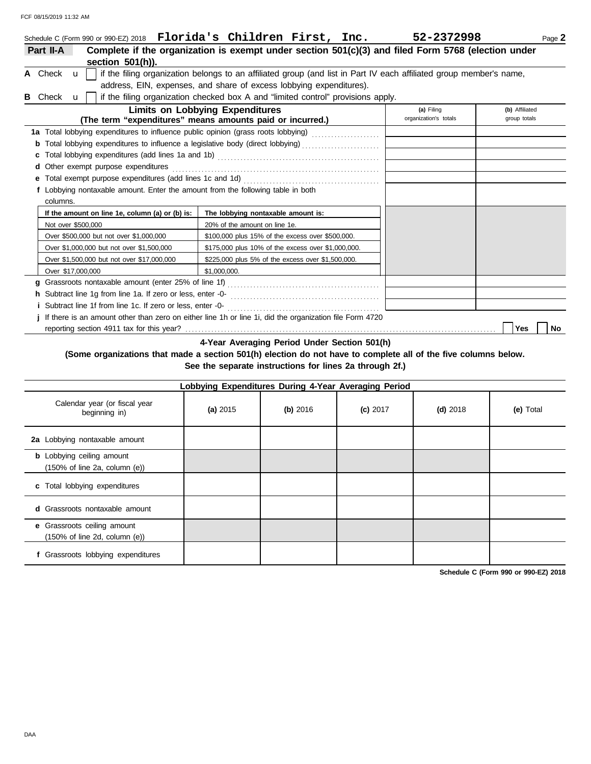|   |                    |              | Schedule C (Form 990 or 990-EZ) 2018    Florida's Children First, Inc.                                        |                                                                                  |  | 52-2372998                                                                                                          | Page 2                         |
|---|--------------------|--------------|---------------------------------------------------------------------------------------------------------------|----------------------------------------------------------------------------------|--|---------------------------------------------------------------------------------------------------------------------|--------------------------------|
|   | Part II-A          |              |                                                                                                               |                                                                                  |  | Complete if the organization is exempt under section 501(c)(3) and filed Form 5768 (election under                  |                                |
|   |                    |              | section $501(h)$ ).                                                                                           |                                                                                  |  |                                                                                                                     |                                |
|   | A Check u          |              |                                                                                                               |                                                                                  |  | if the filing organization belongs to an affiliated group (and list in Part IV each affiliated group member's name, |                                |
|   |                    |              |                                                                                                               | address, EIN, expenses, and share of excess lobbying expenditures).              |  |                                                                                                                     |                                |
| в | Check              | $\mathbf{u}$ |                                                                                                               | if the filing organization checked box A and "limited control" provisions apply. |  |                                                                                                                     |                                |
|   |                    |              | (The term "expenditures" means amounts paid or incurred.)                                                     | <b>Limits on Lobbying Expenditures</b>                                           |  | (a) Filing<br>organization's totals                                                                                 | (b) Affiliated<br>group totals |
|   |                    |              | 1a Total lobbying expenditures to influence public opinion (grass roots lobbying) [[[[[[[[[[[[[[[[[[[[[[[[[[[ |                                                                                  |  |                                                                                                                     |                                |
|   |                    |              | Total lobbying expenditures to influence a legislative body (direct lobbying) [[[[[[[[[[[[[[[[[[[[[[          |                                                                                  |  |                                                                                                                     |                                |
|   |                    |              |                                                                                                               |                                                                                  |  |                                                                                                                     |                                |
|   |                    |              | d Other exempt purpose expenditures                                                                           |                                                                                  |  |                                                                                                                     |                                |
|   |                    |              |                                                                                                               |                                                                                  |  |                                                                                                                     |                                |
|   |                    |              | f Lobbying nontaxable amount. Enter the amount from the following table in both                               |                                                                                  |  |                                                                                                                     |                                |
|   | columns.           |              |                                                                                                               |                                                                                  |  |                                                                                                                     |                                |
|   |                    |              | If the amount on line 1e, column (a) or (b) is:                                                               | The lobbying nontaxable amount is:                                               |  |                                                                                                                     |                                |
|   | Not over \$500,000 |              |                                                                                                               | 20% of the amount on line 1e.                                                    |  |                                                                                                                     |                                |
|   |                    |              | Over \$500,000 but not over \$1,000,000                                                                       | \$100,000 plus 15% of the excess over \$500,000.                                 |  |                                                                                                                     |                                |
|   |                    |              | Over \$1,000,000 but not over \$1,500,000                                                                     | \$175,000 plus 10% of the excess over \$1,000,000.                               |  |                                                                                                                     |                                |
|   |                    |              | Over \$1,500,000 but not over \$17,000,000                                                                    | \$225,000 plus 5% of the excess over \$1,500,000.                                |  |                                                                                                                     |                                |
|   | Over \$17,000,000  |              |                                                                                                               | \$1.000.000.                                                                     |  |                                                                                                                     |                                |
|   |                    |              |                                                                                                               |                                                                                  |  |                                                                                                                     |                                |
|   |                    |              |                                                                                                               |                                                                                  |  |                                                                                                                     |                                |
|   |                    |              | <i>i</i> Subtract line 1f from line 1c. If zero or less, enter -0-                                            |                                                                                  |  |                                                                                                                     |                                |
|   |                    |              | j If there is an amount other than zero on either line 1h or line 1i, did the organization file Form 4720     |                                                                                  |  |                                                                                                                     |                                |
|   |                    |              |                                                                                                               |                                                                                  |  |                                                                                                                     | Yes<br>No                      |

**4-Year Averaging Period Under Section 501(h)**

### **(Some organizations that made a section 501(h) election do not have to complete all of the five columns below. See the separate instructions for lines 2a through 2f.)**

| Lobbying Expenditures During 4-Year Averaging Period                                   |          |          |            |            |           |  |  |  |  |  |
|----------------------------------------------------------------------------------------|----------|----------|------------|------------|-----------|--|--|--|--|--|
| Calendar year (or fiscal year<br>beginning in)                                         | (a) 2015 | (b) 2016 | $(c)$ 2017 | $(d)$ 2018 | (e) Total |  |  |  |  |  |
| 2a Lobbying nontaxable amount                                                          |          |          |            |            |           |  |  |  |  |  |
| <b>b</b> Lobbying ceiling amount<br>$(150\% \text{ of line } 2a, \text{ column } (e))$ |          |          |            |            |           |  |  |  |  |  |
| c Total lobbying expenditures                                                          |          |          |            |            |           |  |  |  |  |  |
| <b>d</b> Grassroots nontaxable amount                                                  |          |          |            |            |           |  |  |  |  |  |
| e Grassroots ceiling amount<br>$(150\% \text{ of line } 2d, \text{ column } (e))$      |          |          |            |            |           |  |  |  |  |  |
| f Grassroots lobbying expenditures                                                     |          |          |            |            |           |  |  |  |  |  |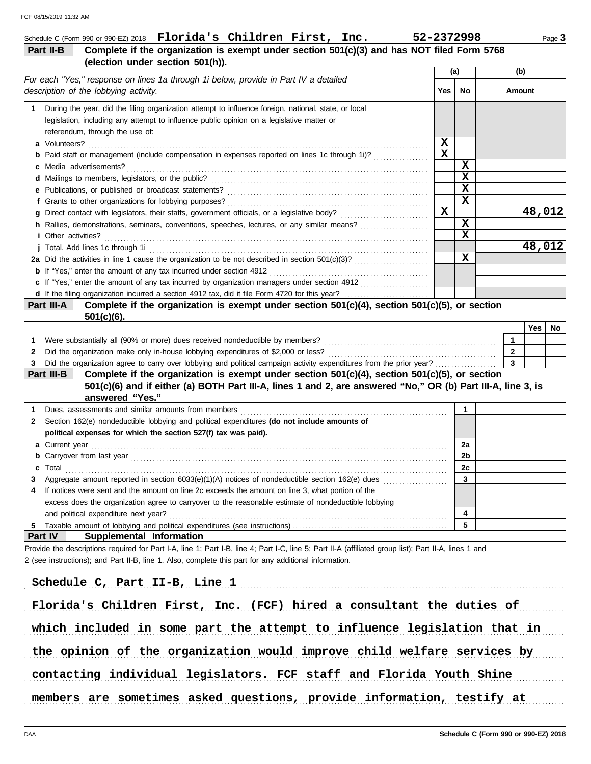|                                                                                                                                                       |              | (a)                     | (b)          |
|-------------------------------------------------------------------------------------------------------------------------------------------------------|--------------|-------------------------|--------------|
| For each "Yes," response on lines 1a through 1i below, provide in Part IV a detailed<br>description of the lobbying activity.                         | Yes          | No                      | Amount       |
| During the year, did the filing organization attempt to influence foreign, national, state, or local<br>1                                             |              |                         |              |
| legislation, including any attempt to influence public opinion on a legislative matter or                                                             |              |                         |              |
| referendum, through the use of:                                                                                                                       |              |                         |              |
| a Volunteers?                                                                                                                                         | x            |                         |              |
| <b>b</b> Paid staff or management (include compensation in expenses reported on lines 1c through 1i)?                                                 | $\mathbf x$  |                         |              |
| <b>c</b> Media advertisements?                                                                                                                        |              | $\mathbf x$             |              |
|                                                                                                                                                       |              | $\mathbf x$             |              |
|                                                                                                                                                       |              | $\mathbf x$             |              |
| f Grants to other organizations for lobbying purposes?                                                                                                |              | $\mathbf x$             |              |
|                                                                                                                                                       | $\mathbf{x}$ |                         | 48,012       |
| h Rallies, demonstrations, seminars, conventions, speeches, lectures, or any similar means?                                                           |              | $\mathbf x$             |              |
| <i>i</i> Other activities?                                                                                                                            |              | $\overline{\mathbf{x}}$ |              |
| j Total. Add lines 1c through 1i                                                                                                                      |              |                         | 48,012       |
|                                                                                                                                                       |              | X                       |              |
| <b>b</b> If "Yes," enter the amount of any tax incurred under section 4912                                                                            |              |                         |              |
| c If "Yes," enter the amount of any tax incurred by organization managers under section 4912                                                          |              |                         |              |
|                                                                                                                                                       |              |                         |              |
| Complete if the organization is exempt under section 501(c)(4), section 501(c)(5), or section<br>Part III-A<br>$501(c)(6)$ .                          |              |                         |              |
|                                                                                                                                                       |              |                         | Yes<br>No    |
| Were substantially all (90% or more) dues received nondeductible by members?                                                                          |              |                         | $\mathbf{1}$ |
|                                                                                                                                                       |              |                         |              |
| Did the organization make only in-house lobbying expenditures of \$2,000 or less?<br>2                                                                |              |                         | $\mathbf{2}$ |
| Did the organization agree to carry over lobbying and political campaign activity expenditures from the prior year?                                   |              |                         | $\mathbf{3}$ |
| Complete if the organization is exempt under section 501(c)(4), section 501(c)(5), or section<br>Part III-B                                           |              |                         |              |
| 501(c)(6) and if either (a) BOTH Part III-A, lines 1 and 2, are answered "No," OR (b) Part III-A, line 3, is<br>answered "Yes."                       |              |                         |              |
| Dues, assessments and similar amounts from members                                                                                                    |              | 1                       |              |
| Section 162(e) nondeductible lobbying and political expenditures (do not include amounts of                                                           |              |                         |              |
| political expenses for which the section 527(f) tax was paid).                                                                                        |              |                         |              |
|                                                                                                                                                       |              | 2a                      |              |
|                                                                                                                                                       |              | 2b                      |              |
| Total                                                                                                                                                 |              | 2c                      |              |
| Aggregate amount reported in section 6033(e)(1)(A) notices of nondeductible section 162(e) dues                                                       |              | 3                       |              |
| If notices were sent and the amount on line 2c exceeds the amount on line 3, what portion of the                                                      |              |                         |              |
| excess does the organization agree to carryover to the reasonable estimate of nondeductible lobbying                                                  |              |                         |              |
| and political expenditure next year?                                                                                                                  |              | 4                       |              |
|                                                                                                                                                       |              | 5                       |              |
| 1<br>2<br>a Current year<br><b>b</b> Carryover from last year<br>С<br>4<br>5.<br><b>Part IV</b><br>Supplemental Information                           |              |                         |              |
| Provide the descriptions required for Part I-A, line 1; Part I-B, line 4; Part I-C, line 5; Part II-A (affiliated group list); Part II-A, lines 1 and |              |                         |              |
| 2 (see instructions); and Part II-B, line 1. Also, complete this part for any additional information.                                                 |              |                         |              |
|                                                                                                                                                       |              |                         |              |
| Schedule C, Part II-B, Line 1                                                                                                                         |              |                         |              |

the opinion of the organization would improve child welfare services by

contacting individual legislators. FCF staff and Florida Youth Shine

members are sometimes asked questions, provide information, testify at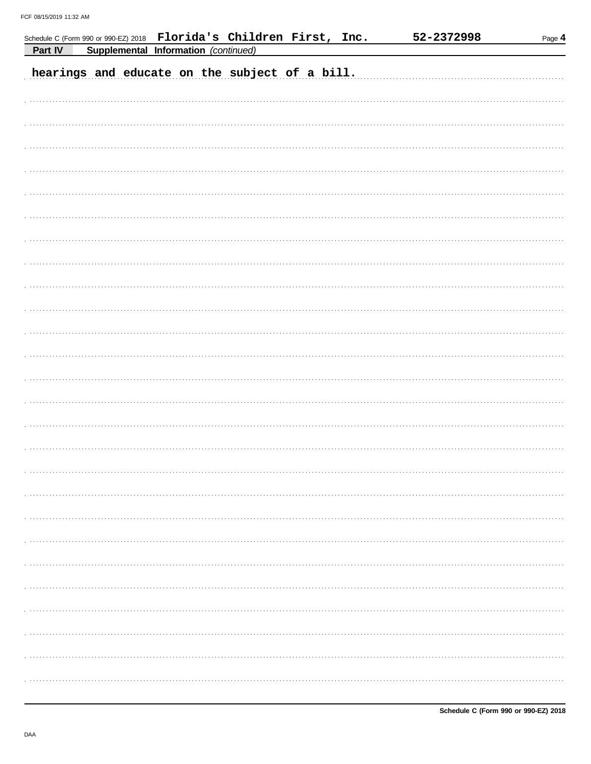| Supplemental Information (continued)<br>Part IV<br>hearings and educate on the subject of a bill. |  |  | Schedule C (Form 990 or 990-EZ) 2018 Florida's Children First, Inc. |  | 52-2372998 | Page 4 |
|---------------------------------------------------------------------------------------------------|--|--|---------------------------------------------------------------------|--|------------|--------|
|                                                                                                   |  |  |                                                                     |  |            |        |
|                                                                                                   |  |  |                                                                     |  |            |        |
|                                                                                                   |  |  |                                                                     |  |            |        |
|                                                                                                   |  |  |                                                                     |  |            |        |
|                                                                                                   |  |  |                                                                     |  |            |        |
|                                                                                                   |  |  |                                                                     |  |            |        |
|                                                                                                   |  |  |                                                                     |  |            |        |
|                                                                                                   |  |  |                                                                     |  |            |        |
|                                                                                                   |  |  |                                                                     |  |            |        |
|                                                                                                   |  |  |                                                                     |  |            |        |
|                                                                                                   |  |  |                                                                     |  |            |        |
|                                                                                                   |  |  |                                                                     |  |            |        |
|                                                                                                   |  |  |                                                                     |  |            |        |
|                                                                                                   |  |  |                                                                     |  |            |        |
|                                                                                                   |  |  |                                                                     |  |            |        |
|                                                                                                   |  |  |                                                                     |  |            |        |
|                                                                                                   |  |  |                                                                     |  |            |        |
|                                                                                                   |  |  |                                                                     |  |            |        |
|                                                                                                   |  |  |                                                                     |  |            |        |
|                                                                                                   |  |  |                                                                     |  |            |        |
|                                                                                                   |  |  |                                                                     |  |            |        |
|                                                                                                   |  |  |                                                                     |  |            |        |
|                                                                                                   |  |  |                                                                     |  |            |        |
|                                                                                                   |  |  |                                                                     |  |            |        |
|                                                                                                   |  |  |                                                                     |  |            |        |
|                                                                                                   |  |  |                                                                     |  |            |        |
|                                                                                                   |  |  |                                                                     |  |            |        |
|                                                                                                   |  |  |                                                                     |  |            |        |
|                                                                                                   |  |  |                                                                     |  |            |        |
|                                                                                                   |  |  |                                                                     |  |            |        |
|                                                                                                   |  |  |                                                                     |  |            |        |
|                                                                                                   |  |  |                                                                     |  |            |        |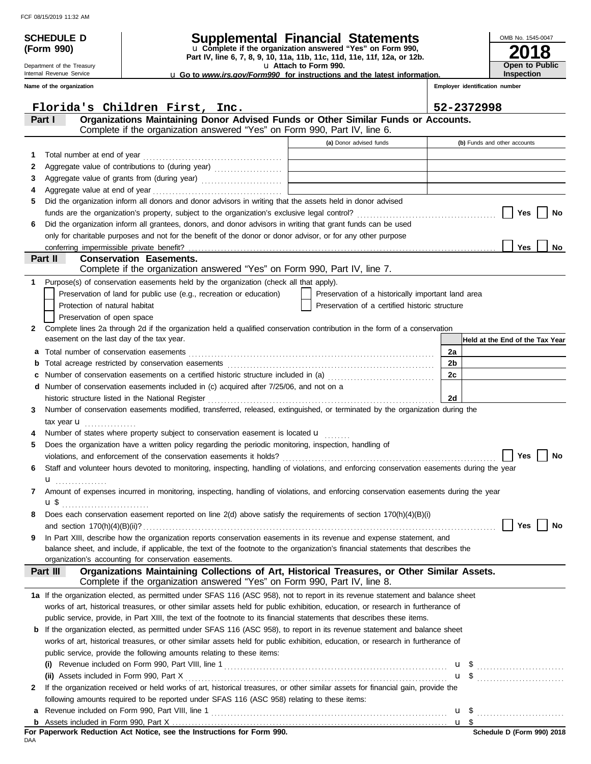Department of the Treasury Internal Revenue Service

**(Form 990)**

## **SCHEDULE D Supplemental Financial Statements**

**Part IV, line 6, 7, 8, 9, 10, 11a, 11b, 11c, 11d, 11e, 11f, 12a, or 12b.** u **Complete if the organization answered "Yes" on Form 990,**

u **Attach to Form 990.** 

u **Go to** *www.irs.gov/Form990* **for instructions and the latest information.**

**Inspection**

**2018**

**Open to Public**

OMB No. 1545-0047

|              | Name of the organization                                                                                                                                          |                                                    |      | Employer identification number  |
|--------------|-------------------------------------------------------------------------------------------------------------------------------------------------------------------|----------------------------------------------------|------|---------------------------------|
|              | Florida's Children First, Inc.                                                                                                                                    |                                                    |      | 52-2372998                      |
|              | Organizations Maintaining Donor Advised Funds or Other Similar Funds or Accounts.<br>Part I                                                                       |                                                    |      |                                 |
|              | Complete if the organization answered "Yes" on Form 990, Part IV, line 6.                                                                                         |                                                    |      |                                 |
|              |                                                                                                                                                                   | (a) Donor advised funds                            |      | (b) Funds and other accounts    |
| 1            | Total number at end of year                                                                                                                                       |                                                    |      |                                 |
| 2            |                                                                                                                                                                   |                                                    |      |                                 |
| 3            |                                                                                                                                                                   |                                                    |      |                                 |
| 4            |                                                                                                                                                                   |                                                    |      |                                 |
| 5            | Did the organization inform all donors and donor advisors in writing that the assets held in donor advised                                                        |                                                    |      |                                 |
|              |                                                                                                                                                                   |                                                    |      | Yes<br>No                       |
| 6            | Did the organization inform all grantees, donors, and donor advisors in writing that grant funds can be used                                                      |                                                    |      |                                 |
|              | only for charitable purposes and not for the benefit of the donor or donor advisor, or for any other purpose                                                      |                                                    |      |                                 |
|              |                                                                                                                                                                   |                                                    |      | Yes<br>No                       |
|              | Part II<br><b>Conservation Easements.</b><br>Complete if the organization answered "Yes" on Form 990, Part IV, line 7.                                            |                                                    |      |                                 |
| 1            | Purpose(s) of conservation easements held by the organization (check all that apply).                                                                             |                                                    |      |                                 |
|              | Preservation of land for public use (e.g., recreation or education)                                                                                               | Preservation of a historically important land area |      |                                 |
|              | Protection of natural habitat                                                                                                                                     | Preservation of a certified historic structure     |      |                                 |
|              | Preservation of open space                                                                                                                                        |                                                    |      |                                 |
| $\mathbf{2}$ | Complete lines 2a through 2d if the organization held a qualified conservation contribution in the form of a conservation                                         |                                                    |      |                                 |
|              | easement on the last day of the tax year.                                                                                                                         |                                                    |      | Held at the End of the Tax Year |
| а            |                                                                                                                                                                   |                                                    | 2a   |                                 |
| b            |                                                                                                                                                                   |                                                    | 2b   |                                 |
|              | Number of conservation easements on a certified historic structure included in (a) [[[[[[[[[[[[[[[[[[[[[[[[[]]]]]]]                                               |                                                    | 2c   |                                 |
| d            | Number of conservation easements included in (c) acquired after 7/25/06, and not on a                                                                             |                                                    |      |                                 |
|              | historic structure listed in the National Register                                                                                                                |                                                    | 2d   |                                 |
| 3            | Number of conservation easements modified, transferred, released, extinguished, or terminated by the organization during the                                      |                                                    |      |                                 |
|              | tax year $\mathbf u$                                                                                                                                              |                                                    |      |                                 |
|              | Number of states where property subject to conservation easement is located u                                                                                     |                                                    |      |                                 |
| 5            | Does the organization have a written policy regarding the periodic monitoring, inspection, handling of                                                            |                                                    |      |                                 |
|              |                                                                                                                                                                   |                                                    |      | Yes<br>No                       |
| 6            | Staff and volunteer hours devoted to monitoring, inspecting, handling of violations, and enforcing conservation easements during the year                         |                                                    |      |                                 |
|              | u <sub></sub>                                                                                                                                                     |                                                    |      |                                 |
| 7            | Amount of expenses incurred in monitoring, inspecting, handling of violations, and enforcing conservation easements during the year                               |                                                    |      |                                 |
|              | $\mathbf{u}$                                                                                                                                                      |                                                    |      |                                 |
| 8            | Does each conservation easement reported on line 2(d) above satisfy the requirements of section 170(h)(4)(B)(i)                                                   |                                                    |      |                                 |
|              |                                                                                                                                                                   |                                                    |      | Yes<br>No                       |
| 9            | In Part XIII, describe how the organization reports conservation easements in its revenue and expense statement, and                                              |                                                    |      |                                 |
|              | balance sheet, and include, if applicable, the text of the footnote to the organization's financial statements that describes the                                 |                                                    |      |                                 |
|              | organization's accounting for conservation easements.<br>Organizations Maintaining Collections of Art, Historical Treasures, or Other Similar Assets.<br>Part III |                                                    |      |                                 |
|              | Complete if the organization answered "Yes" on Form 990, Part IV, line 8.                                                                                         |                                                    |      |                                 |
|              | 1a If the organization elected, as permitted under SFAS 116 (ASC 958), not to report in its revenue statement and balance sheet                                   |                                                    |      |                                 |
|              | works of art, historical treasures, or other similar assets held for public exhibition, education, or research in furtherance of                                  |                                                    |      |                                 |
|              | public service, provide, in Part XIII, the text of the footnote to its financial statements that describes these items.                                           |                                                    |      |                                 |
|              | <b>b</b> If the organization elected, as permitted under SFAS 116 (ASC 958), to report in its revenue statement and balance sheet                                 |                                                    |      |                                 |
|              | works of art, historical treasures, or other similar assets held for public exhibition, education, or research in furtherance of                                  |                                                    |      |                                 |
|              | public service, provide the following amounts relating to these items:                                                                                            |                                                    |      |                                 |
|              |                                                                                                                                                                   |                                                    |      |                                 |
|              |                                                                                                                                                                   |                                                    |      | $\mathbf{u}$ \$ $\ldots$        |
| 2            | If the organization received or held works of art, historical treasures, or other similar assets for financial gain, provide the                                  |                                                    |      |                                 |
|              | following amounts required to be reported under SFAS 116 (ASC 958) relating to these items:                                                                       |                                                    |      |                                 |
| а            |                                                                                                                                                                   |                                                    |      | u \$                            |
|              |                                                                                                                                                                   |                                                    | u \$ |                                 |

DAA **For Paperwork Reduction Act Notice, see the Instructions for Form 990.**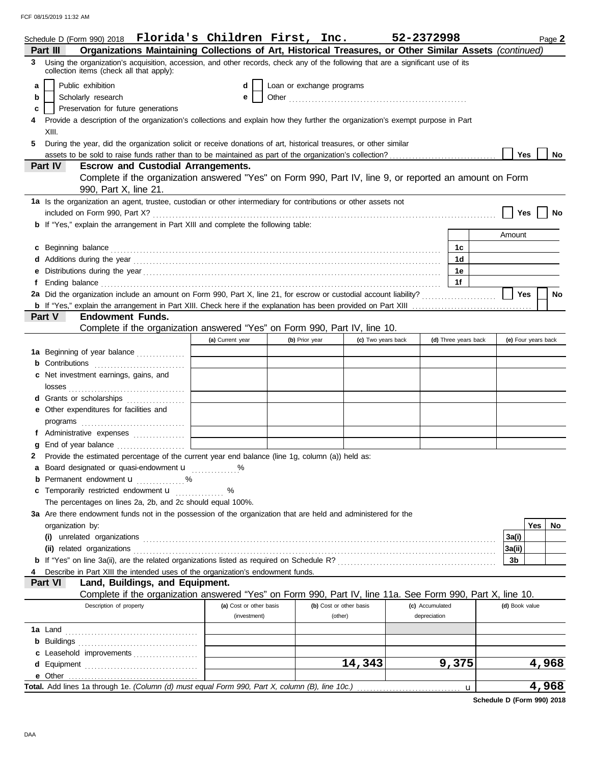FCF 08/15/2019 11:32 AM

|   | Schedule D (Form 990) 2018 Florida's Children First, Inc.                                                                                                                                                                            |                         |                           |                         |                    | 52-2372998      |                      |   |                     | Page 2    |
|---|--------------------------------------------------------------------------------------------------------------------------------------------------------------------------------------------------------------------------------------|-------------------------|---------------------------|-------------------------|--------------------|-----------------|----------------------|---|---------------------|-----------|
|   | Organizations Maintaining Collections of Art, Historical Treasures, or Other Similar Assets (continued)<br>Part III                                                                                                                  |                         |                           |                         |                    |                 |                      |   |                     |           |
| 3 | Using the organization's acquisition, accession, and other records, check any of the following that are a significant use of its<br>collection items (check all that apply):                                                         |                         |                           |                         |                    |                 |                      |   |                     |           |
| a | Public exhibition                                                                                                                                                                                                                    | d                       | Loan or exchange programs |                         |                    |                 |                      |   |                     |           |
| b | Scholarly research                                                                                                                                                                                                                   | е                       |                           |                         |                    |                 |                      |   |                     |           |
| c | Preservation for future generations                                                                                                                                                                                                  |                         |                           |                         |                    |                 |                      |   |                     |           |
|   | Provide a description of the organization's collections and explain how they further the organization's exempt purpose in Part                                                                                                       |                         |                           |                         |                    |                 |                      |   |                     |           |
|   | XIII.                                                                                                                                                                                                                                |                         |                           |                         |                    |                 |                      |   |                     |           |
| 5 | During the year, did the organization solicit or receive donations of art, historical treasures, or other similar                                                                                                                    |                         |                           |                         |                    |                 |                      |   |                     |           |
|   |                                                                                                                                                                                                                                      |                         |                           |                         |                    |                 |                      |   | Yes                 | No        |
|   | <b>Part IV</b><br><b>Escrow and Custodial Arrangements.</b>                                                                                                                                                                          |                         |                           |                         |                    |                 |                      |   |                     |           |
|   | Complete if the organization answered "Yes" on Form 990, Part IV, line 9, or reported an amount on Form                                                                                                                              |                         |                           |                         |                    |                 |                      |   |                     |           |
|   | 990, Part X, line 21.                                                                                                                                                                                                                |                         |                           |                         |                    |                 |                      |   |                     |           |
|   | 1a Is the organization an agent, trustee, custodian or other intermediary for contributions or other assets not                                                                                                                      |                         |                           |                         |                    |                 |                      |   |                     |           |
|   |                                                                                                                                                                                                                                      |                         |                           |                         |                    |                 |                      |   | Yes                 | No        |
|   | <b>b</b> If "Yes," explain the arrangement in Part XIII and complete the following table:                                                                                                                                            |                         |                           |                         |                    |                 |                      |   |                     |           |
|   |                                                                                                                                                                                                                                      |                         |                           |                         |                    |                 |                      |   | Amount              |           |
|   | c Beginning balance <b>contract the contract of the contract of the contract of the contract of the contract of the contract of the contract of the contract of the contract of the contract of the contract of the contract of </b> |                         |                           |                         |                    |                 | 1c                   |   |                     |           |
|   |                                                                                                                                                                                                                                      |                         |                           |                         |                    |                 | 1d                   |   |                     |           |
|   |                                                                                                                                                                                                                                      |                         |                           |                         |                    |                 | 1е                   |   |                     |           |
|   | Ending balance <i>communically contained a contained a contained a contained a contained a contained a contained a</i>                                                                                                               |                         |                           |                         |                    |                 | 1f                   |   |                     |           |
|   |                                                                                                                                                                                                                                      |                         |                           |                         |                    |                 |                      |   | Yes                 | <b>No</b> |
|   |                                                                                                                                                                                                                                      |                         |                           |                         |                    |                 |                      |   |                     |           |
|   | Part V<br><b>Endowment Funds.</b>                                                                                                                                                                                                    |                         |                           |                         |                    |                 |                      |   |                     |           |
|   | Complete if the organization answered "Yes" on Form 990, Part IV, line 10.                                                                                                                                                           |                         |                           |                         |                    |                 |                      |   |                     |           |
|   |                                                                                                                                                                                                                                      | (a) Current year        | (b) Prior year            |                         | (c) Two years back |                 | (d) Three years back |   | (e) Four years back |           |
|   | 1a Beginning of year balance                                                                                                                                                                                                         |                         |                           |                         |                    |                 |                      |   |                     |           |
|   |                                                                                                                                                                                                                                      |                         |                           |                         |                    |                 |                      |   |                     |           |
|   | c Net investment earnings, gains, and                                                                                                                                                                                                |                         |                           |                         |                    |                 |                      |   |                     |           |
|   |                                                                                                                                                                                                                                      |                         |                           |                         |                    |                 |                      |   |                     |           |
|   | d Grants or scholarships                                                                                                                                                                                                             |                         |                           |                         |                    |                 |                      |   |                     |           |
|   | e Other expenditures for facilities and                                                                                                                                                                                              |                         |                           |                         |                    |                 |                      |   |                     |           |
|   |                                                                                                                                                                                                                                      |                         |                           |                         |                    |                 |                      |   |                     |           |
|   | f Administrative expenses                                                                                                                                                                                                            |                         |                           |                         |                    |                 |                      |   |                     |           |
| g | End of year balance                                                                                                                                                                                                                  |                         |                           |                         |                    |                 |                      |   |                     |           |
|   | Provide the estimated percentage of the current year end balance (line 1g, column (a)) held as:                                                                                                                                      |                         |                           |                         |                    |                 |                      |   |                     |           |
|   | a Board designated or quasi-endowment u                                                                                                                                                                                              |                         |                           |                         |                    |                 |                      |   |                     |           |
|   | <b>b</b> Permanent endowment <b>u</b> %<br>c Temporarily restricted endowment u                                                                                                                                                      | %                       |                           |                         |                    |                 |                      |   |                     |           |
|   | The percentages on lines 2a, 2b, and 2c should equal 100%.                                                                                                                                                                           |                         |                           |                         |                    |                 |                      |   |                     |           |
|   | 3a Are there endowment funds not in the possession of the organization that are held and administered for the                                                                                                                        |                         |                           |                         |                    |                 |                      |   |                     |           |
|   | organization by:                                                                                                                                                                                                                     |                         |                           |                         |                    |                 |                      |   |                     | Yes<br>No |
|   |                                                                                                                                                                                                                                      |                         |                           |                         |                    |                 |                      |   | 3a(i)               |           |
|   |                                                                                                                                                                                                                                      |                         |                           |                         |                    |                 |                      |   | 3a(ii)              |           |
|   |                                                                                                                                                                                                                                      |                         |                           |                         |                    |                 |                      |   | 3b                  |           |
|   | Describe in Part XIII the intended uses of the organization's endowment funds.                                                                                                                                                       |                         |                           |                         |                    |                 |                      |   |                     |           |
|   | Land, Buildings, and Equipment.<br>Part VI                                                                                                                                                                                           |                         |                           |                         |                    |                 |                      |   |                     |           |
|   | Complete if the organization answered "Yes" on Form 990, Part IV, line 11a. See Form 990, Part X, line 10.                                                                                                                           |                         |                           |                         |                    |                 |                      |   |                     |           |
|   | Description of property                                                                                                                                                                                                              | (a) Cost or other basis |                           | (b) Cost or other basis |                    | (c) Accumulated |                      |   | (d) Book value      |           |
|   |                                                                                                                                                                                                                                      | (investment)            |                           | (other)                 |                    | depreciation    |                      |   |                     |           |
|   |                                                                                                                                                                                                                                      |                         |                           |                         |                    |                 |                      |   |                     |           |
|   |                                                                                                                                                                                                                                      |                         |                           |                         |                    |                 |                      |   |                     |           |
|   | c Leasehold improvements                                                                                                                                                                                                             |                         |                           |                         |                    |                 |                      |   |                     |           |
|   |                                                                                                                                                                                                                                      |                         |                           |                         | 14,343             |                 | 9,375                |   |                     | 4,968     |
|   |                                                                                                                                                                                                                                      |                         |                           |                         |                    |                 |                      |   |                     |           |
|   | Total. Add lines 1a through 1e. (Column (d) must equal Form 990, Part X, column (B), line 10c.)                                                                                                                                      |                         |                           |                         |                    |                 |                      | u |                     | 4,968     |
|   |                                                                                                                                                                                                                                      |                         |                           |                         |                    |                 |                      |   |                     |           |

**Schedule D (Form 990) 2018**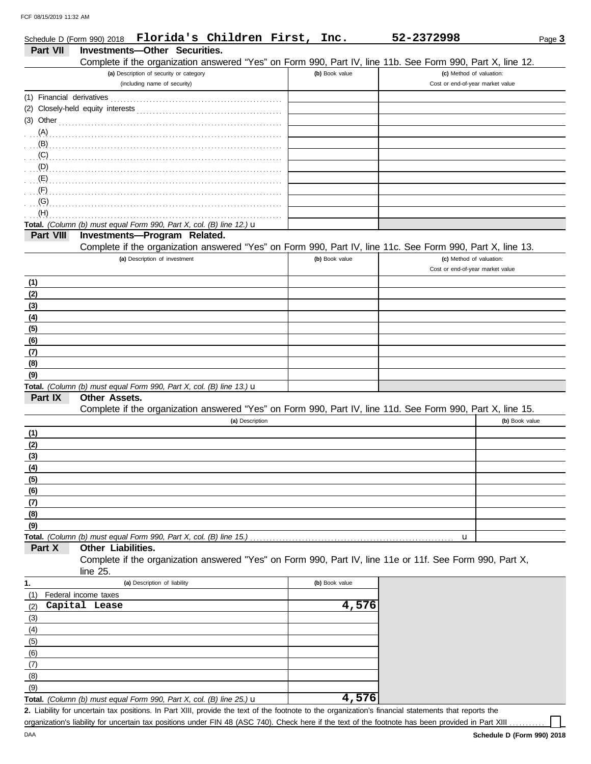|                           | Schedule D (Form 990) 2018 Florida's Children First, Inc.                                                  |                | 52-2372998                                                   | Page 3 |
|---------------------------|------------------------------------------------------------------------------------------------------------|----------------|--------------------------------------------------------------|--------|
| <b>Part VII</b>           | Investments-Other Securities.                                                                              |                |                                                              |        |
|                           | Complete if the organization answered "Yes" on Form 990, Part IV, line 11b. See Form 990, Part X, line 12. |                |                                                              |        |
|                           | (a) Description of security or category<br>(including name of security)                                    | (b) Book value | (c) Method of valuation:<br>Cost or end-of-year market value |        |
| (1) Financial derivatives |                                                                                                            |                |                                                              |        |
|                           |                                                                                                            |                |                                                              |        |
| $(3)$ Other               |                                                                                                            |                |                                                              |        |
| $(A)$ .                   |                                                                                                            |                |                                                              |        |
| (B)                       |                                                                                                            |                |                                                              |        |
| (C)                       |                                                                                                            |                |                                                              |        |
| (D)                       |                                                                                                            |                |                                                              |        |
| (E)                       |                                                                                                            |                |                                                              |        |
| (F)                       |                                                                                                            |                |                                                              |        |
| (G)                       |                                                                                                            |                |                                                              |        |
| (H)                       |                                                                                                            |                |                                                              |        |
|                           | Total. (Column (b) must equal Form 990, Part X, col. (B) line 12.) u                                       |                |                                                              |        |
| Part VIII                 | Investments-Program Related.                                                                               |                |                                                              |        |
|                           | Complete if the organization answered "Yes" on Form 990, Part IV, line 11c. See Form 990, Part X, line 13. |                |                                                              |        |
|                           | (a) Description of investment                                                                              | (b) Book value | (c) Method of valuation:                                     |        |
|                           |                                                                                                            |                | Cost or end-of-year market value                             |        |
| (1)                       |                                                                                                            |                |                                                              |        |
| (2)                       |                                                                                                            |                |                                                              |        |
| (3)                       |                                                                                                            |                |                                                              |        |
| (4)                       |                                                                                                            |                |                                                              |        |
| (5)<br>(6)                |                                                                                                            |                |                                                              |        |
| (7)                       |                                                                                                            |                |                                                              |        |
| (8)                       |                                                                                                            |                |                                                              |        |
| (9)                       |                                                                                                            |                |                                                              |        |
|                           | Total. (Column (b) must equal Form 990, Part X, col. (B) line 13.) u                                       |                |                                                              |        |
| Part IX                   | <b>Other Assets.</b>                                                                                       |                |                                                              |        |
|                           | Complete if the organization answered "Yes" on Form 990, Part IV, line 11d. See Form 990, Part X, line 15. |                |                                                              |        |
|                           | (a) Description                                                                                            |                | (b) Book value                                               |        |
| (1)                       |                                                                                                            |                |                                                              |        |
| (2)                       |                                                                                                            |                |                                                              |        |
| (3)                       |                                                                                                            |                |                                                              |        |
| (4)                       |                                                                                                            |                |                                                              |        |
| (5)                       |                                                                                                            |                |                                                              |        |
| (6)                       |                                                                                                            |                |                                                              |        |
| (7)                       |                                                                                                            |                |                                                              |        |
| (8)                       |                                                                                                            |                |                                                              |        |
| (9)                       |                                                                                                            |                |                                                              |        |
| Part X                    | Total. (Column (b) must equal Form 990, Part X, col. (B) line 15.)<br>Other Liabilities.                   |                | u                                                            |        |
|                           | Complete if the organization answered "Yes" on Form 990, Part IV, line 11e or 11f. See Form 990, Part X,   |                |                                                              |        |
|                           | line $25$ .                                                                                                |                |                                                              |        |
| 1.                        | (a) Description of liability                                                                               | (b) Book value |                                                              |        |
| (1)                       | Federal income taxes                                                                                       |                |                                                              |        |
| (2)                       | Capital Lease                                                                                              | 4,576          |                                                              |        |
| (3)                       |                                                                                                            |                |                                                              |        |
| (4)                       |                                                                                                            |                |                                                              |        |
| (5)                       |                                                                                                            |                |                                                              |        |
| (6)                       |                                                                                                            |                |                                                              |        |
| (7)                       |                                                                                                            |                |                                                              |        |
| (8)                       |                                                                                                            |                |                                                              |        |
| (9)                       |                                                                                                            |                |                                                              |        |
|                           | Total. (Column (b) must equal Form 990, Part X, col. (B) line 25.) $\mathbf u$                             | 4,576          |                                                              |        |

Liability for uncertain tax positions. In Part XIII, provide the text of the footnote to the organization's financial statements that reports the **2.** organization's liability for uncertain tax positions under FIN 48 (ASC 740). Check here if the text of the footnote has been provided in Part XIII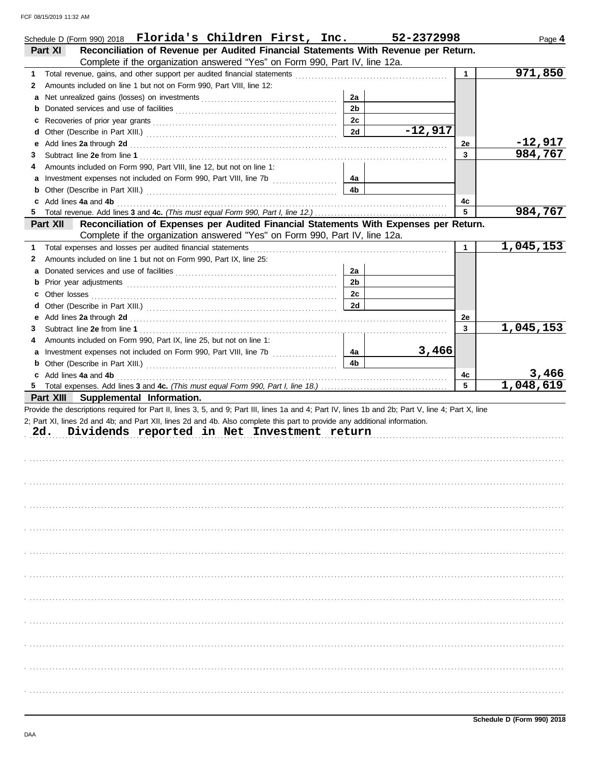|        | Schedule D (Form 990) 2018 Florida's Children First, Inc.                                                                                                                                                                                                                                                                              |                | 52-2372998 |              | Page 4               |
|--------|----------------------------------------------------------------------------------------------------------------------------------------------------------------------------------------------------------------------------------------------------------------------------------------------------------------------------------------|----------------|------------|--------------|----------------------|
|        | Reconciliation of Revenue per Audited Financial Statements With Revenue per Return.<br>Part XI                                                                                                                                                                                                                                         |                |            |              |                      |
|        | Complete if the organization answered "Yes" on Form 990, Part IV, line 12a.                                                                                                                                                                                                                                                            |                |            |              |                      |
| 1      |                                                                                                                                                                                                                                                                                                                                        |                |            | $\mathbf{1}$ | 971,850              |
| 2      | Amounts included on line 1 but not on Form 990, Part VIII, line 12:                                                                                                                                                                                                                                                                    |                |            |              |                      |
| а      |                                                                                                                                                                                                                                                                                                                                        | 2a             |            |              |                      |
| b      |                                                                                                                                                                                                                                                                                                                                        | 2 <sub>b</sub> |            |              |                      |
| c      |                                                                                                                                                                                                                                                                                                                                        | 2c             |            |              |                      |
| d      |                                                                                                                                                                                                                                                                                                                                        | 2d             | $-12,917$  |              |                      |
| е      | Add lines 2a through 2d [11] All and the contract of the contract of the contract of the contract of the contract of the contract of the contract of the contract of the contract of the contract of the contract of the contr                                                                                                         |                |            | 2e           | $-12,917$<br>984,767 |
| 3      |                                                                                                                                                                                                                                                                                                                                        |                |            | 3            |                      |
| 4      | Amounts included on Form 990, Part VIII, line 12, but not on line 1:                                                                                                                                                                                                                                                                   |                |            |              |                      |
| a      |                                                                                                                                                                                                                                                                                                                                        | 4а             |            |              |                      |
| b      |                                                                                                                                                                                                                                                                                                                                        | 4b             |            |              |                      |
| c      | Add lines 4a and 4b                                                                                                                                                                                                                                                                                                                    |                |            | 4с<br>5      | 984,767              |
|        | Reconciliation of Expenses per Audited Financial Statements With Expenses per Return.<br>Part XII                                                                                                                                                                                                                                      |                |            |              |                      |
|        | Complete if the organization answered "Yes" on Form 990, Part IV, line 12a.                                                                                                                                                                                                                                                            |                |            |              |                      |
| 1      | Total expenses and losses per audited financial statements                                                                                                                                                                                                                                                                             |                |            | 1            | 1,045,153            |
| 2      | Amounts included on line 1 but not on Form 990, Part IX, line 25:                                                                                                                                                                                                                                                                      |                |            |              |                      |
|        |                                                                                                                                                                                                                                                                                                                                        | 2a             |            |              |                      |
| а      |                                                                                                                                                                                                                                                                                                                                        | 2 <sub>b</sub> |            |              |                      |
| b<br>c |                                                                                                                                                                                                                                                                                                                                        | 2c             |            |              |                      |
| d      |                                                                                                                                                                                                                                                                                                                                        | 2d             |            |              |                      |
| е      |                                                                                                                                                                                                                                                                                                                                        |                |            | 2e           |                      |
| 3      | Add lines 2a through 2d [11] And The Contract of the Contract of the Contract of the Contract of the Contract of the Contract of the Contract of the Contract of the Contract of the Contract of the Contract of the Contract                                                                                                          |                |            | 3            | 1,045,153            |
| 4      | Amounts included on Form 990, Part IX, line 25, but not on line 1:                                                                                                                                                                                                                                                                     |                |            |              |                      |
| a      |                                                                                                                                                                                                                                                                                                                                        | 4a             | 3,466      |              |                      |
|        | <b>b</b> Other (Describe in Part XIII.) <b>CONSIDENT</b> 2014 12:2010 12:2010 12:2010 12:2010 12:2010 12:2010 12:2010 12:2010 12:2010 12:2010 12:2010 12:2010 12:2010 12:2010 12:2010 12:2010 12:2010 12:2010 12:2010 12:2010 12:2010 12                                                                                               | 4b             |            |              |                      |
|        | c Add lines 4a and 4b                                                                                                                                                                                                                                                                                                                  |                |            | 4с           | 3,466                |
|        |                                                                                                                                                                                                                                                                                                                                        |                |            |              |                      |
|        |                                                                                                                                                                                                                                                                                                                                        |                |            | 5            |                      |
|        | Part XIII Supplemental Information.                                                                                                                                                                                                                                                                                                    |                |            |              | 1,048,619            |
|        | Provide the descriptions required for Part II, lines 3, 5, and 9; Part III, lines 1a and 4; Part IV, lines 1b and 2b; Part V, line 4; Part X, line<br>2; Part XI, lines 2d and 4b; and Part XII, lines 2d and 4b. Also complete this part to provide any additional information.<br>Dividends reported in Net Investment return<br>2d. |                |            |              |                      |
|        |                                                                                                                                                                                                                                                                                                                                        |                |            |              |                      |
|        |                                                                                                                                                                                                                                                                                                                                        |                |            |              |                      |
|        |                                                                                                                                                                                                                                                                                                                                        |                |            |              |                      |
|        |                                                                                                                                                                                                                                                                                                                                        |                |            |              |                      |
|        |                                                                                                                                                                                                                                                                                                                                        |                |            |              |                      |
|        |                                                                                                                                                                                                                                                                                                                                        |                |            |              |                      |
|        |                                                                                                                                                                                                                                                                                                                                        |                |            |              |                      |
|        |                                                                                                                                                                                                                                                                                                                                        |                |            |              |                      |
|        |                                                                                                                                                                                                                                                                                                                                        |                |            |              |                      |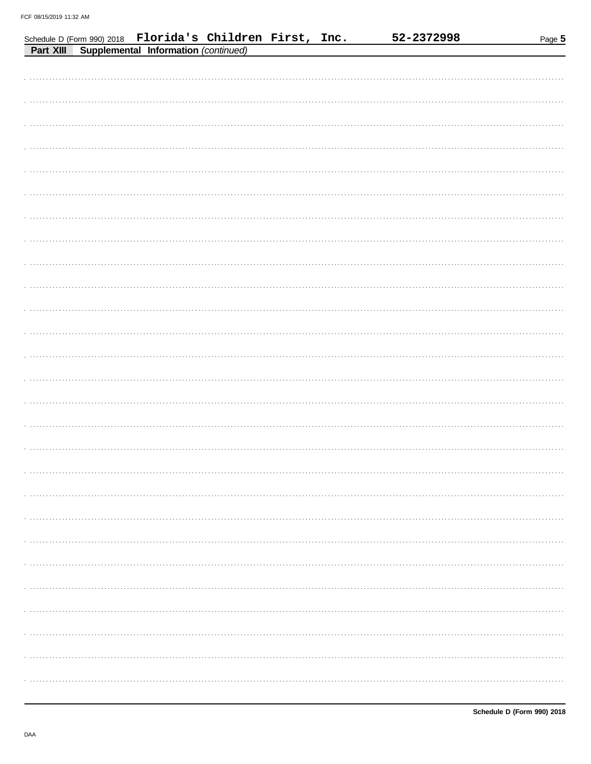|           | Schedule D (Form 990) 2018 Florida's Children First, Inc. |  | 52-2372998 | Page 5 |
|-----------|-----------------------------------------------------------|--|------------|--------|
| Part XIII | Supplemental Information (continued)                      |  |            |        |
|           |                                                           |  |            |        |
|           |                                                           |  |            |        |
|           |                                                           |  |            |        |
|           |                                                           |  |            |        |
|           |                                                           |  |            |        |
|           |                                                           |  |            |        |
|           |                                                           |  |            |        |
|           |                                                           |  |            |        |
|           |                                                           |  |            |        |
|           |                                                           |  |            |        |
|           |                                                           |  |            |        |
|           |                                                           |  |            |        |
|           |                                                           |  |            |        |
|           |                                                           |  |            |        |
|           |                                                           |  |            |        |
|           |                                                           |  |            |        |
|           |                                                           |  |            |        |
|           |                                                           |  |            |        |
|           |                                                           |  |            |        |
|           |                                                           |  |            |        |
|           |                                                           |  |            |        |
|           |                                                           |  |            |        |
|           |                                                           |  |            |        |
|           |                                                           |  |            |        |
|           |                                                           |  |            |        |
|           |                                                           |  |            |        |
|           |                                                           |  |            |        |
|           |                                                           |  |            |        |
|           |                                                           |  |            |        |
|           |                                                           |  |            |        |
|           |                                                           |  |            |        |
|           |                                                           |  |            |        |
|           |                                                           |  |            |        |
|           |                                                           |  |            |        |
|           |                                                           |  |            |        |
|           |                                                           |  |            |        |
|           |                                                           |  |            |        |
|           |                                                           |  |            |        |
|           |                                                           |  |            |        |
|           |                                                           |  |            |        |
|           |                                                           |  |            |        |
|           |                                                           |  |            |        |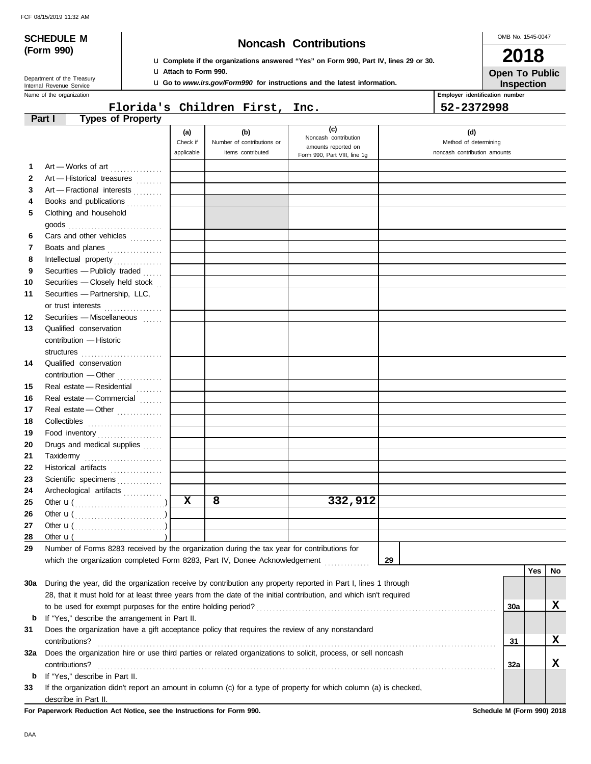**(Form 990)**

# **SCHEDULE M Noncash Contributions**

u **Complete if the organizations answered "Yes" on Form 990, Part IV, lines 29 or 30.**

u **Go to** *www.irs.gov/Form990* **for instructions and the latest information.**

OMB No. 1545-0047

| 2018                  |
|-----------------------|
| <b>Open To Public</b> |
| <b>Inspection</b>     |

Department of the Treasury<br>Internal Revenue Service

Name of the organization **Employer identification number Employer identification number** 

## **Florida's Children First, Inc. 52-2372998**

u **Attach to Form 990.**

| (c)<br>(b)<br>(d)<br>(a)<br>Noncash contribution<br>Check if<br>Number of contributions or<br>Method of determining<br>amounts reported on<br>applicable<br>items contributed<br>noncash contribution amounts<br>Form 990, Part VIII, line 1g<br>Art - Works of art<br>1.<br>2<br>Art - Historical treasures<br>Art - Fractional interests<br>3<br>Books and publications<br>4<br>Clothing and household<br>5<br>Cars and other vehicles<br>6<br>Boats and planes<br>7<br>8<br>9<br>Securities - Publicly traded $\ldots$<br>Securities - Closely held stock<br>10<br>Securities - Partnership, LLC,<br>11<br>or trust interests<br>12<br>Securities - Miscellaneous<br>13<br>Qualified conservation<br>contribution - Historic<br>structures<br>14<br>Qualified conservation<br>Real estate - Residential<br>15<br>16<br>Real estate - Commercial<br>17<br>Real estate - Other<br>18<br>19<br>Food inventory<br>20<br>Drugs and medical supplies<br>21<br>Taxidermy<br>22<br>Historical artifacts<br>23<br>Scientific specimens<br>24<br>Archeological artifacts<br>$\mathbf x$<br>8<br>332,912<br>25<br>26<br>27<br>28<br>Other $\mathbf{u}$ (<br>Number of Forms 8283 received by the organization during the tax year for contributions for<br>29<br>which the organization completed Form 8283, Part IV, Donee Acknowledgement<br>29<br>Yes<br>30a During the year, did the organization receive by contribution any property reported in Part I, lines 1 through<br>28, that it must hold for at least three years from the date of the initial contribution, and which isn't required<br>30a<br>If "Yes," describe the arrangement in Part II.<br>b<br>Does the organization have a gift acceptance policy that requires the review of any nonstandard<br>31<br>31<br>contributions?<br>Does the organization hire or use third parties or related organizations to solicit, process, or sell noncash<br>32a<br>contributions?<br>32a<br>If "Yes," describe in Part II.<br>b<br>If the organization didn't report an amount in column (c) for a type of property for which column (a) is checked,<br>33 | <b>Types of Property</b><br>Part I |  |  |  |  |     |
|----------------------------------------------------------------------------------------------------------------------------------------------------------------------------------------------------------------------------------------------------------------------------------------------------------------------------------------------------------------------------------------------------------------------------------------------------------------------------------------------------------------------------------------------------------------------------------------------------------------------------------------------------------------------------------------------------------------------------------------------------------------------------------------------------------------------------------------------------------------------------------------------------------------------------------------------------------------------------------------------------------------------------------------------------------------------------------------------------------------------------------------------------------------------------------------------------------------------------------------------------------------------------------------------------------------------------------------------------------------------------------------------------------------------------------------------------------------------------------------------------------------------------------------------------------------------------------------------------------------------------------------------------------------------------------------------------------------------------------------------------------------------------------------------------------------------------------------------------------------------------------------------------------------------------------------------------------------------------------------------------------------------------------------------------------------------------------------------------------------|------------------------------------|--|--|--|--|-----|
|                                                                                                                                                                                                                                                                                                                                                                                                                                                                                                                                                                                                                                                                                                                                                                                                                                                                                                                                                                                                                                                                                                                                                                                                                                                                                                                                                                                                                                                                                                                                                                                                                                                                                                                                                                                                                                                                                                                                                                                                                                                                                                                |                                    |  |  |  |  |     |
|                                                                                                                                                                                                                                                                                                                                                                                                                                                                                                                                                                                                                                                                                                                                                                                                                                                                                                                                                                                                                                                                                                                                                                                                                                                                                                                                                                                                                                                                                                                                                                                                                                                                                                                                                                                                                                                                                                                                                                                                                                                                                                                |                                    |  |  |  |  |     |
|                                                                                                                                                                                                                                                                                                                                                                                                                                                                                                                                                                                                                                                                                                                                                                                                                                                                                                                                                                                                                                                                                                                                                                                                                                                                                                                                                                                                                                                                                                                                                                                                                                                                                                                                                                                                                                                                                                                                                                                                                                                                                                                |                                    |  |  |  |  |     |
|                                                                                                                                                                                                                                                                                                                                                                                                                                                                                                                                                                                                                                                                                                                                                                                                                                                                                                                                                                                                                                                                                                                                                                                                                                                                                                                                                                                                                                                                                                                                                                                                                                                                                                                                                                                                                                                                                                                                                                                                                                                                                                                |                                    |  |  |  |  |     |
|                                                                                                                                                                                                                                                                                                                                                                                                                                                                                                                                                                                                                                                                                                                                                                                                                                                                                                                                                                                                                                                                                                                                                                                                                                                                                                                                                                                                                                                                                                                                                                                                                                                                                                                                                                                                                                                                                                                                                                                                                                                                                                                |                                    |  |  |  |  |     |
|                                                                                                                                                                                                                                                                                                                                                                                                                                                                                                                                                                                                                                                                                                                                                                                                                                                                                                                                                                                                                                                                                                                                                                                                                                                                                                                                                                                                                                                                                                                                                                                                                                                                                                                                                                                                                                                                                                                                                                                                                                                                                                                |                                    |  |  |  |  |     |
|                                                                                                                                                                                                                                                                                                                                                                                                                                                                                                                                                                                                                                                                                                                                                                                                                                                                                                                                                                                                                                                                                                                                                                                                                                                                                                                                                                                                                                                                                                                                                                                                                                                                                                                                                                                                                                                                                                                                                                                                                                                                                                                |                                    |  |  |  |  |     |
|                                                                                                                                                                                                                                                                                                                                                                                                                                                                                                                                                                                                                                                                                                                                                                                                                                                                                                                                                                                                                                                                                                                                                                                                                                                                                                                                                                                                                                                                                                                                                                                                                                                                                                                                                                                                                                                                                                                                                                                                                                                                                                                |                                    |  |  |  |  |     |
|                                                                                                                                                                                                                                                                                                                                                                                                                                                                                                                                                                                                                                                                                                                                                                                                                                                                                                                                                                                                                                                                                                                                                                                                                                                                                                                                                                                                                                                                                                                                                                                                                                                                                                                                                                                                                                                                                                                                                                                                                                                                                                                |                                    |  |  |  |  |     |
|                                                                                                                                                                                                                                                                                                                                                                                                                                                                                                                                                                                                                                                                                                                                                                                                                                                                                                                                                                                                                                                                                                                                                                                                                                                                                                                                                                                                                                                                                                                                                                                                                                                                                                                                                                                                                                                                                                                                                                                                                                                                                                                |                                    |  |  |  |  |     |
|                                                                                                                                                                                                                                                                                                                                                                                                                                                                                                                                                                                                                                                                                                                                                                                                                                                                                                                                                                                                                                                                                                                                                                                                                                                                                                                                                                                                                                                                                                                                                                                                                                                                                                                                                                                                                                                                                                                                                                                                                                                                                                                |                                    |  |  |  |  |     |
|                                                                                                                                                                                                                                                                                                                                                                                                                                                                                                                                                                                                                                                                                                                                                                                                                                                                                                                                                                                                                                                                                                                                                                                                                                                                                                                                                                                                                                                                                                                                                                                                                                                                                                                                                                                                                                                                                                                                                                                                                                                                                                                |                                    |  |  |  |  |     |
|                                                                                                                                                                                                                                                                                                                                                                                                                                                                                                                                                                                                                                                                                                                                                                                                                                                                                                                                                                                                                                                                                                                                                                                                                                                                                                                                                                                                                                                                                                                                                                                                                                                                                                                                                                                                                                                                                                                                                                                                                                                                                                                |                                    |  |  |  |  |     |
|                                                                                                                                                                                                                                                                                                                                                                                                                                                                                                                                                                                                                                                                                                                                                                                                                                                                                                                                                                                                                                                                                                                                                                                                                                                                                                                                                                                                                                                                                                                                                                                                                                                                                                                                                                                                                                                                                                                                                                                                                                                                                                                |                                    |  |  |  |  |     |
|                                                                                                                                                                                                                                                                                                                                                                                                                                                                                                                                                                                                                                                                                                                                                                                                                                                                                                                                                                                                                                                                                                                                                                                                                                                                                                                                                                                                                                                                                                                                                                                                                                                                                                                                                                                                                                                                                                                                                                                                                                                                                                                |                                    |  |  |  |  |     |
|                                                                                                                                                                                                                                                                                                                                                                                                                                                                                                                                                                                                                                                                                                                                                                                                                                                                                                                                                                                                                                                                                                                                                                                                                                                                                                                                                                                                                                                                                                                                                                                                                                                                                                                                                                                                                                                                                                                                                                                                                                                                                                                |                                    |  |  |  |  |     |
|                                                                                                                                                                                                                                                                                                                                                                                                                                                                                                                                                                                                                                                                                                                                                                                                                                                                                                                                                                                                                                                                                                                                                                                                                                                                                                                                                                                                                                                                                                                                                                                                                                                                                                                                                                                                                                                                                                                                                                                                                                                                                                                |                                    |  |  |  |  |     |
|                                                                                                                                                                                                                                                                                                                                                                                                                                                                                                                                                                                                                                                                                                                                                                                                                                                                                                                                                                                                                                                                                                                                                                                                                                                                                                                                                                                                                                                                                                                                                                                                                                                                                                                                                                                                                                                                                                                                                                                                                                                                                                                |                                    |  |  |  |  |     |
|                                                                                                                                                                                                                                                                                                                                                                                                                                                                                                                                                                                                                                                                                                                                                                                                                                                                                                                                                                                                                                                                                                                                                                                                                                                                                                                                                                                                                                                                                                                                                                                                                                                                                                                                                                                                                                                                                                                                                                                                                                                                                                                |                                    |  |  |  |  |     |
|                                                                                                                                                                                                                                                                                                                                                                                                                                                                                                                                                                                                                                                                                                                                                                                                                                                                                                                                                                                                                                                                                                                                                                                                                                                                                                                                                                                                                                                                                                                                                                                                                                                                                                                                                                                                                                                                                                                                                                                                                                                                                                                |                                    |  |  |  |  |     |
|                                                                                                                                                                                                                                                                                                                                                                                                                                                                                                                                                                                                                                                                                                                                                                                                                                                                                                                                                                                                                                                                                                                                                                                                                                                                                                                                                                                                                                                                                                                                                                                                                                                                                                                                                                                                                                                                                                                                                                                                                                                                                                                |                                    |  |  |  |  |     |
|                                                                                                                                                                                                                                                                                                                                                                                                                                                                                                                                                                                                                                                                                                                                                                                                                                                                                                                                                                                                                                                                                                                                                                                                                                                                                                                                                                                                                                                                                                                                                                                                                                                                                                                                                                                                                                                                                                                                                                                                                                                                                                                |                                    |  |  |  |  |     |
|                                                                                                                                                                                                                                                                                                                                                                                                                                                                                                                                                                                                                                                                                                                                                                                                                                                                                                                                                                                                                                                                                                                                                                                                                                                                                                                                                                                                                                                                                                                                                                                                                                                                                                                                                                                                                                                                                                                                                                                                                                                                                                                |                                    |  |  |  |  |     |
|                                                                                                                                                                                                                                                                                                                                                                                                                                                                                                                                                                                                                                                                                                                                                                                                                                                                                                                                                                                                                                                                                                                                                                                                                                                                                                                                                                                                                                                                                                                                                                                                                                                                                                                                                                                                                                                                                                                                                                                                                                                                                                                |                                    |  |  |  |  |     |
|                                                                                                                                                                                                                                                                                                                                                                                                                                                                                                                                                                                                                                                                                                                                                                                                                                                                                                                                                                                                                                                                                                                                                                                                                                                                                                                                                                                                                                                                                                                                                                                                                                                                                                                                                                                                                                                                                                                                                                                                                                                                                                                |                                    |  |  |  |  |     |
|                                                                                                                                                                                                                                                                                                                                                                                                                                                                                                                                                                                                                                                                                                                                                                                                                                                                                                                                                                                                                                                                                                                                                                                                                                                                                                                                                                                                                                                                                                                                                                                                                                                                                                                                                                                                                                                                                                                                                                                                                                                                                                                |                                    |  |  |  |  |     |
|                                                                                                                                                                                                                                                                                                                                                                                                                                                                                                                                                                                                                                                                                                                                                                                                                                                                                                                                                                                                                                                                                                                                                                                                                                                                                                                                                                                                                                                                                                                                                                                                                                                                                                                                                                                                                                                                                                                                                                                                                                                                                                                |                                    |  |  |  |  |     |
|                                                                                                                                                                                                                                                                                                                                                                                                                                                                                                                                                                                                                                                                                                                                                                                                                                                                                                                                                                                                                                                                                                                                                                                                                                                                                                                                                                                                                                                                                                                                                                                                                                                                                                                                                                                                                                                                                                                                                                                                                                                                                                                |                                    |  |  |  |  |     |
|                                                                                                                                                                                                                                                                                                                                                                                                                                                                                                                                                                                                                                                                                                                                                                                                                                                                                                                                                                                                                                                                                                                                                                                                                                                                                                                                                                                                                                                                                                                                                                                                                                                                                                                                                                                                                                                                                                                                                                                                                                                                                                                |                                    |  |  |  |  |     |
|                                                                                                                                                                                                                                                                                                                                                                                                                                                                                                                                                                                                                                                                                                                                                                                                                                                                                                                                                                                                                                                                                                                                                                                                                                                                                                                                                                                                                                                                                                                                                                                                                                                                                                                                                                                                                                                                                                                                                                                                                                                                                                                |                                    |  |  |  |  |     |
|                                                                                                                                                                                                                                                                                                                                                                                                                                                                                                                                                                                                                                                                                                                                                                                                                                                                                                                                                                                                                                                                                                                                                                                                                                                                                                                                                                                                                                                                                                                                                                                                                                                                                                                                                                                                                                                                                                                                                                                                                                                                                                                |                                    |  |  |  |  |     |
|                                                                                                                                                                                                                                                                                                                                                                                                                                                                                                                                                                                                                                                                                                                                                                                                                                                                                                                                                                                                                                                                                                                                                                                                                                                                                                                                                                                                                                                                                                                                                                                                                                                                                                                                                                                                                                                                                                                                                                                                                                                                                                                |                                    |  |  |  |  |     |
|                                                                                                                                                                                                                                                                                                                                                                                                                                                                                                                                                                                                                                                                                                                                                                                                                                                                                                                                                                                                                                                                                                                                                                                                                                                                                                                                                                                                                                                                                                                                                                                                                                                                                                                                                                                                                                                                                                                                                                                                                                                                                                                |                                    |  |  |  |  |     |
|                                                                                                                                                                                                                                                                                                                                                                                                                                                                                                                                                                                                                                                                                                                                                                                                                                                                                                                                                                                                                                                                                                                                                                                                                                                                                                                                                                                                                                                                                                                                                                                                                                                                                                                                                                                                                                                                                                                                                                                                                                                                                                                |                                    |  |  |  |  |     |
|                                                                                                                                                                                                                                                                                                                                                                                                                                                                                                                                                                                                                                                                                                                                                                                                                                                                                                                                                                                                                                                                                                                                                                                                                                                                                                                                                                                                                                                                                                                                                                                                                                                                                                                                                                                                                                                                                                                                                                                                                                                                                                                |                                    |  |  |  |  |     |
|                                                                                                                                                                                                                                                                                                                                                                                                                                                                                                                                                                                                                                                                                                                                                                                                                                                                                                                                                                                                                                                                                                                                                                                                                                                                                                                                                                                                                                                                                                                                                                                                                                                                                                                                                                                                                                                                                                                                                                                                                                                                                                                |                                    |  |  |  |  |     |
|                                                                                                                                                                                                                                                                                                                                                                                                                                                                                                                                                                                                                                                                                                                                                                                                                                                                                                                                                                                                                                                                                                                                                                                                                                                                                                                                                                                                                                                                                                                                                                                                                                                                                                                                                                                                                                                                                                                                                                                                                                                                                                                |                                    |  |  |  |  |     |
|                                                                                                                                                                                                                                                                                                                                                                                                                                                                                                                                                                                                                                                                                                                                                                                                                                                                                                                                                                                                                                                                                                                                                                                                                                                                                                                                                                                                                                                                                                                                                                                                                                                                                                                                                                                                                                                                                                                                                                                                                                                                                                                |                                    |  |  |  |  |     |
|                                                                                                                                                                                                                                                                                                                                                                                                                                                                                                                                                                                                                                                                                                                                                                                                                                                                                                                                                                                                                                                                                                                                                                                                                                                                                                                                                                                                                                                                                                                                                                                                                                                                                                                                                                                                                                                                                                                                                                                                                                                                                                                |                                    |  |  |  |  | No. |
|                                                                                                                                                                                                                                                                                                                                                                                                                                                                                                                                                                                                                                                                                                                                                                                                                                                                                                                                                                                                                                                                                                                                                                                                                                                                                                                                                                                                                                                                                                                                                                                                                                                                                                                                                                                                                                                                                                                                                                                                                                                                                                                |                                    |  |  |  |  |     |
|                                                                                                                                                                                                                                                                                                                                                                                                                                                                                                                                                                                                                                                                                                                                                                                                                                                                                                                                                                                                                                                                                                                                                                                                                                                                                                                                                                                                                                                                                                                                                                                                                                                                                                                                                                                                                                                                                                                                                                                                                                                                                                                |                                    |  |  |  |  |     |
|                                                                                                                                                                                                                                                                                                                                                                                                                                                                                                                                                                                                                                                                                                                                                                                                                                                                                                                                                                                                                                                                                                                                                                                                                                                                                                                                                                                                                                                                                                                                                                                                                                                                                                                                                                                                                                                                                                                                                                                                                                                                                                                |                                    |  |  |  |  | х   |
|                                                                                                                                                                                                                                                                                                                                                                                                                                                                                                                                                                                                                                                                                                                                                                                                                                                                                                                                                                                                                                                                                                                                                                                                                                                                                                                                                                                                                                                                                                                                                                                                                                                                                                                                                                                                                                                                                                                                                                                                                                                                                                                |                                    |  |  |  |  |     |
|                                                                                                                                                                                                                                                                                                                                                                                                                                                                                                                                                                                                                                                                                                                                                                                                                                                                                                                                                                                                                                                                                                                                                                                                                                                                                                                                                                                                                                                                                                                                                                                                                                                                                                                                                                                                                                                                                                                                                                                                                                                                                                                |                                    |  |  |  |  |     |
|                                                                                                                                                                                                                                                                                                                                                                                                                                                                                                                                                                                                                                                                                                                                                                                                                                                                                                                                                                                                                                                                                                                                                                                                                                                                                                                                                                                                                                                                                                                                                                                                                                                                                                                                                                                                                                                                                                                                                                                                                                                                                                                |                                    |  |  |  |  | X   |
|                                                                                                                                                                                                                                                                                                                                                                                                                                                                                                                                                                                                                                                                                                                                                                                                                                                                                                                                                                                                                                                                                                                                                                                                                                                                                                                                                                                                                                                                                                                                                                                                                                                                                                                                                                                                                                                                                                                                                                                                                                                                                                                |                                    |  |  |  |  |     |
|                                                                                                                                                                                                                                                                                                                                                                                                                                                                                                                                                                                                                                                                                                                                                                                                                                                                                                                                                                                                                                                                                                                                                                                                                                                                                                                                                                                                                                                                                                                                                                                                                                                                                                                                                                                                                                                                                                                                                                                                                                                                                                                |                                    |  |  |  |  | x   |
|                                                                                                                                                                                                                                                                                                                                                                                                                                                                                                                                                                                                                                                                                                                                                                                                                                                                                                                                                                                                                                                                                                                                                                                                                                                                                                                                                                                                                                                                                                                                                                                                                                                                                                                                                                                                                                                                                                                                                                                                                                                                                                                |                                    |  |  |  |  |     |
|                                                                                                                                                                                                                                                                                                                                                                                                                                                                                                                                                                                                                                                                                                                                                                                                                                                                                                                                                                                                                                                                                                                                                                                                                                                                                                                                                                                                                                                                                                                                                                                                                                                                                                                                                                                                                                                                                                                                                                                                                                                                                                                |                                    |  |  |  |  |     |
| describe in Part II.                                                                                                                                                                                                                                                                                                                                                                                                                                                                                                                                                                                                                                                                                                                                                                                                                                                                                                                                                                                                                                                                                                                                                                                                                                                                                                                                                                                                                                                                                                                                                                                                                                                                                                                                                                                                                                                                                                                                                                                                                                                                                           |                                    |  |  |  |  |     |

**For Paperwork Reduction Act Notice, see the Instructions for Form 990. Schedule M (Form 990) 2018**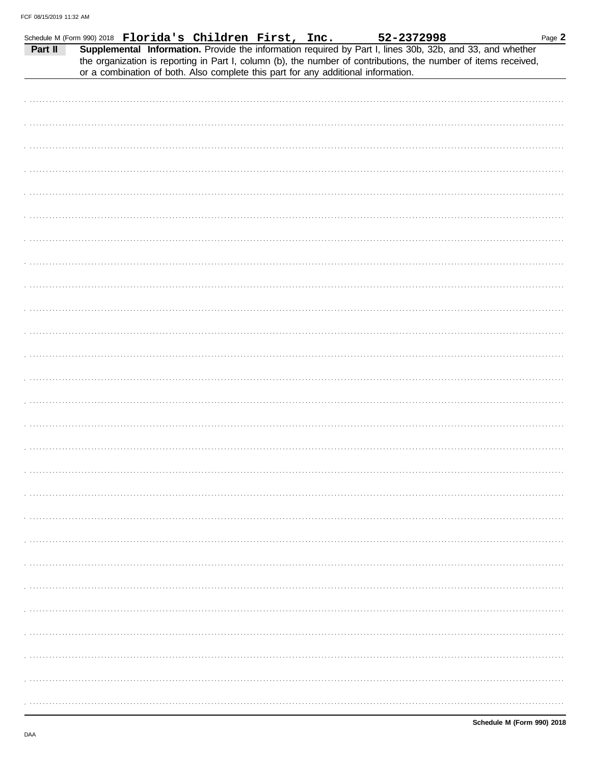|  |  |  |                                                                                                                                                                                           | Page 2 |
|--|--|--|-------------------------------------------------------------------------------------------------------------------------------------------------------------------------------------------|--------|
|  |  |  | Schedule M (Form 990) 2018 Florida's Children First, Inc. 52-2372998<br>Part II Supplemental Information. Provide the information required by Part I, lines 30b, 32b, and 33, and whether |        |
|  |  |  | the organization is reporting in Part I, column (b), the number of contributions, the number of items received,                                                                           |        |
|  |  |  | or a combination of both. Also complete this part for any additional information.                                                                                                         |        |
|  |  |  |                                                                                                                                                                                           |        |
|  |  |  |                                                                                                                                                                                           |        |
|  |  |  |                                                                                                                                                                                           |        |
|  |  |  |                                                                                                                                                                                           |        |
|  |  |  |                                                                                                                                                                                           |        |
|  |  |  |                                                                                                                                                                                           |        |
|  |  |  |                                                                                                                                                                                           |        |
|  |  |  |                                                                                                                                                                                           |        |
|  |  |  |                                                                                                                                                                                           |        |
|  |  |  |                                                                                                                                                                                           |        |
|  |  |  |                                                                                                                                                                                           |        |
|  |  |  |                                                                                                                                                                                           |        |
|  |  |  |                                                                                                                                                                                           |        |
|  |  |  |                                                                                                                                                                                           |        |
|  |  |  |                                                                                                                                                                                           |        |
|  |  |  |                                                                                                                                                                                           |        |
|  |  |  |                                                                                                                                                                                           |        |
|  |  |  |                                                                                                                                                                                           |        |
|  |  |  |                                                                                                                                                                                           |        |
|  |  |  |                                                                                                                                                                                           |        |
|  |  |  |                                                                                                                                                                                           |        |
|  |  |  |                                                                                                                                                                                           |        |
|  |  |  |                                                                                                                                                                                           |        |
|  |  |  |                                                                                                                                                                                           |        |
|  |  |  |                                                                                                                                                                                           |        |
|  |  |  |                                                                                                                                                                                           |        |
|  |  |  |                                                                                                                                                                                           |        |
|  |  |  |                                                                                                                                                                                           |        |
|  |  |  |                                                                                                                                                                                           |        |
|  |  |  |                                                                                                                                                                                           |        |
|  |  |  |                                                                                                                                                                                           |        |
|  |  |  |                                                                                                                                                                                           |        |
|  |  |  |                                                                                                                                                                                           |        |
|  |  |  |                                                                                                                                                                                           |        |
|  |  |  |                                                                                                                                                                                           |        |
|  |  |  |                                                                                                                                                                                           |        |
|  |  |  |                                                                                                                                                                                           |        |
|  |  |  |                                                                                                                                                                                           |        |
|  |  |  |                                                                                                                                                                                           |        |
|  |  |  |                                                                                                                                                                                           |        |
|  |  |  |                                                                                                                                                                                           |        |
|  |  |  |                                                                                                                                                                                           |        |
|  |  |  |                                                                                                                                                                                           |        |
|  |  |  |                                                                                                                                                                                           |        |
|  |  |  |                                                                                                                                                                                           |        |
|  |  |  |                                                                                                                                                                                           |        |
|  |  |  |                                                                                                                                                                                           |        |
|  |  |  |                                                                                                                                                                                           |        |
|  |  |  |                                                                                                                                                                                           |        |
|  |  |  |                                                                                                                                                                                           |        |
|  |  |  |                                                                                                                                                                                           |        |
|  |  |  |                                                                                                                                                                                           |        |
|  |  |  |                                                                                                                                                                                           |        |
|  |  |  |                                                                                                                                                                                           |        |
|  |  |  |                                                                                                                                                                                           |        |
|  |  |  |                                                                                                                                                                                           |        |
|  |  |  |                                                                                                                                                                                           |        |
|  |  |  |                                                                                                                                                                                           |        |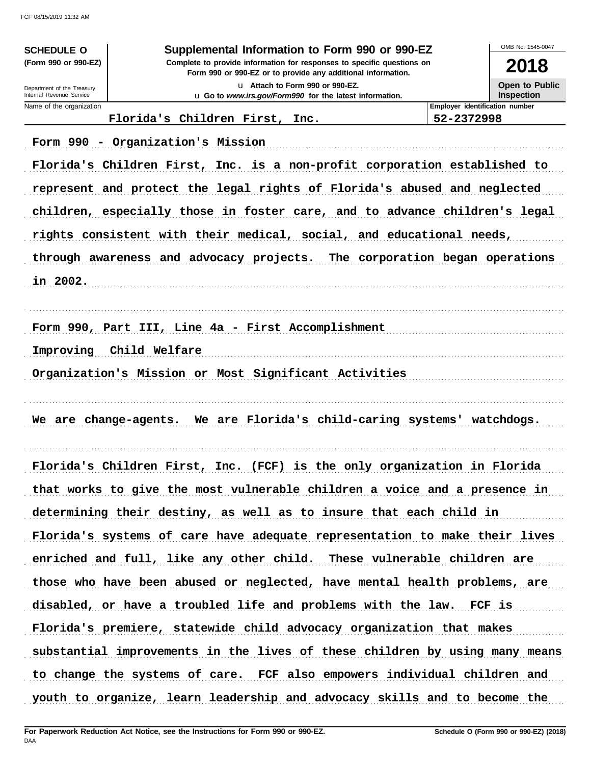| <b>SCHEDULE O</b>                                    | Supplemental Information to Form 990 or 990-EZ                                                                                         |                                  | OMB No. 1545-0047 |  |  |
|------------------------------------------------------|----------------------------------------------------------------------------------------------------------------------------------------|----------------------------------|-------------------|--|--|
| (Form 990 or 990-EZ)                                 | Complete to provide information for responses to specific questions on<br>Form 990 or 990-EZ or to provide any additional information. |                                  |                   |  |  |
| Department of the Treasury                           | Open to Public                                                                                                                         |                                  |                   |  |  |
| Internal Revenue Service<br>Name of the organization | u Go to www.irs.gov/Form990 for the latest information.                                                                                | Employer identification number   | <b>Inspection</b> |  |  |
|                                                      | Florida's Children First, Inc.                                                                                                         | 52-2372998                       |                   |  |  |
|                                                      | Form 990 - Organization's Mission                                                                                                      |                                  |                   |  |  |
|                                                      | Florida's Children First, Inc. is a non-profit corporation established to                                                              |                                  |                   |  |  |
|                                                      | represent and protect the legal rights of Florida's abused and neglected                                                               |                                  |                   |  |  |
|                                                      | children, especially those in foster care, and to advance children's legal                                                             |                                  |                   |  |  |
|                                                      | rights consistent with their medical, social, and educational needs,                                                                   |                                  |                   |  |  |
|                                                      | through awareness and advocacy projects.                                                                                               | The corporation began operations |                   |  |  |
|                                                      |                                                                                                                                        |                                  |                   |  |  |
| in 2002.                                             |                                                                                                                                        |                                  |                   |  |  |
|                                                      |                                                                                                                                        |                                  |                   |  |  |
|                                                      | Form 990, Part III, Line 4a - First Accomplishment                                                                                     |                                  |                   |  |  |
| Improving                                            | Child Welfare                                                                                                                          |                                  |                   |  |  |
|                                                      | Organization's Mission or Most Significant Activities                                                                                  |                                  |                   |  |  |
|                                                      |                                                                                                                                        |                                  |                   |  |  |
| We are change-agents.                                | We are Florida's child-caring systems' watchdogs.                                                                                      |                                  |                   |  |  |
|                                                      |                                                                                                                                        |                                  |                   |  |  |
|                                                      | Florida's Children First, Inc. (FCF) is the only organization in Florida                                                               |                                  |                   |  |  |
|                                                      | that works to give the most vulnerable children a voice and a presence in                                                              |                                  |                   |  |  |
|                                                      | determining their destiny, as well as to insure that each child in                                                                     |                                  |                   |  |  |
|                                                      | Florida's systems of care have adequate representation to make their lives                                                             |                                  |                   |  |  |
|                                                      | enriched and full, like any other child. These vulnerable children are                                                                 |                                  |                   |  |  |
|                                                      | those who have been abused or neglected, have mental health problems, are                                                              |                                  |                   |  |  |
|                                                      | disabled, or have a troubled life and problems with the law. FCF is                                                                    |                                  |                   |  |  |
|                                                      | Florida's premiere, statewide child advocacy organization that makes                                                                   |                                  |                   |  |  |
|                                                      | substantial improvements in the lives of these children by using many means                                                            |                                  |                   |  |  |
|                                                      | to change the systems of care. FCF also empowers individual children and                                                               |                                  |                   |  |  |
|                                                      | youth to organize, learn leadership and advocacy skills and to become the                                                              |                                  |                   |  |  |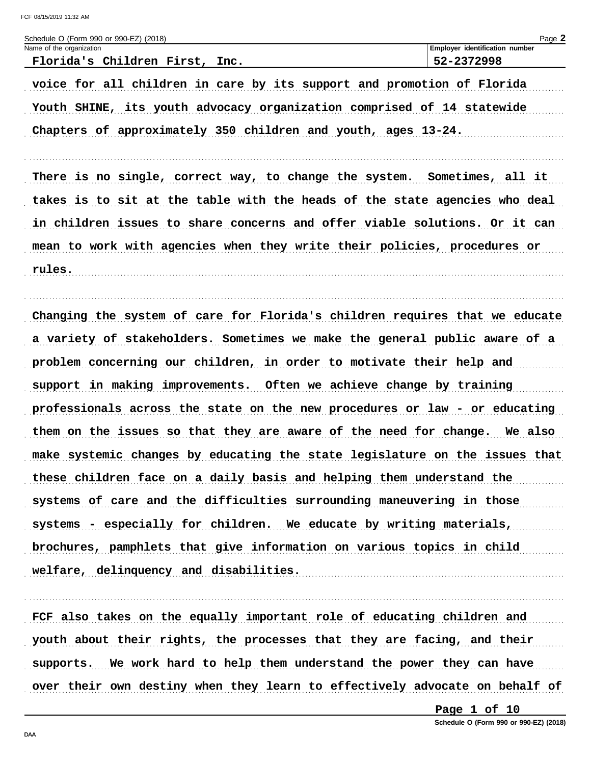| Schedule O (Form 990 or 990-EZ) (2018)                                      | Page 2                         |
|-----------------------------------------------------------------------------|--------------------------------|
| Name of the organization                                                    | Employer identification number |
| Florida's Children First, Inc.                                              | 52-2372998                     |
| voice for all children in care by its support and promotion of Florida      |                                |
| Youth SHINE, its youth advocacy organization comprised of 14 statewide      |                                |
| Chapters of approximately 350 children and youth, ages 13-24.               |                                |
| There is no single, correct way, to change the system. Sometimes, all it    |                                |
| takes is to sit at the table with the heads of the state agencies who deal  |                                |
| in children issues to share concerns and offer viable solutions. Or it can  |                                |
| mean to work with agencies when they write their policies, procedures or    |                                |
| rules.                                                                      |                                |
|                                                                             |                                |
| Changing the system of care for Florida's children requires that we educate |                                |
| a variety of stakeholders. Sometimes we make the general public aware of a  |                                |
| problem concerning our children, in order to motivate their help and        |                                |
| support in making improvements. Often we achieve change by training         |                                |
| professionals across the state on the new procedures or law - or educating  |                                |
| them on the issues so that they are aware of the need for change. We also   |                                |
| make systemic changes by educating the state legislature on the issues that |                                |
| these children face on a daily basis and helping them understand the        |                                |
| systems of care and the difficulties surrounding maneuvering in those       |                                |
| systems - especially for children. We educate by writing materials,         |                                |
| brochures, pamphlets that give information on various topics in child       |                                |
| welfare, delinquency and disabilities.                                      |                                |
|                                                                             |                                |

FCF also takes on the equally important role of educating children and youth about their rights, the processes that they are facing, and their supports. We work hard to help them understand the power they can have over their own destiny when they learn to effectively advocate on behalf of

Page 1 of 10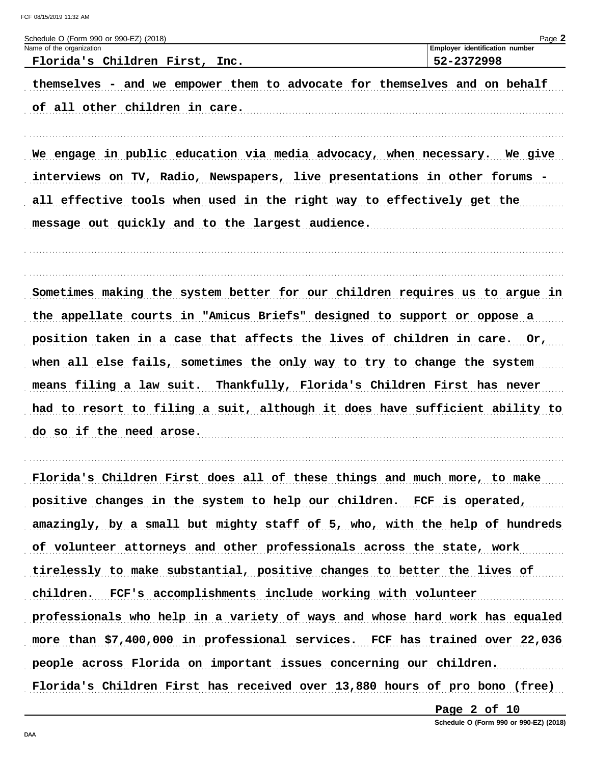| Schedule O (Form 990 or 990-EZ) (2018)                                                                      | Page 2                         |
|-------------------------------------------------------------------------------------------------------------|--------------------------------|
| Name of the organization                                                                                    | Employer identification number |
| Florida's Children First, Inc.                                                                              | 52-2372998                     |
| themselves - and we empower them to advocate for themselves and on behalf<br>of all other children in care. |                                |
| We engage in public education via media advocacy, when necessary. We give                                   |                                |
| interviews on TV, Radio, Newspapers, live presentations in other forums -                                   |                                |
| all effective tools when used in the right way to effectively get the                                       |                                |
| message out quickly and to the largest audience.                                                            |                                |
| Sometimes making the system better for our children requires us to argue in                                 |                                |
| the appellate courts in "Amicus Briefs" designed to support or oppose a                                     |                                |
| position taken in a case that affects the lives of children in care. Or,                                    |                                |
| when all else fails, sometimes the only way to try to change the system                                     |                                |
| means filing a law suit. Thankfully, Florida's Children First has never                                     |                                |
| had to resort to filing a suit, although it does have sufficient ability to                                 |                                |
| do so if the need arose.                                                                                    |                                |
|                                                                                                             |                                |

Florida's Children First does all of these things and much more, to make positive changes in the system to help our children. FCF is operated, amazingly, by a small but mighty staff of 5, who, with the help of hundreds of volunteer attorneys and other professionals across the state, work tirelessly to make substantial, positive changes to better the lives of children. FCF's accomplishments include working with volunteer professionals who help in a variety of ways and whose hard work has equaled more than \$7,400,000 in professional services. FCF has trained over 22,036 people across Florida on important issues concerning our children. Florida's Children First has received over 13,880 hours of pro bono (free)

Page 2 of 10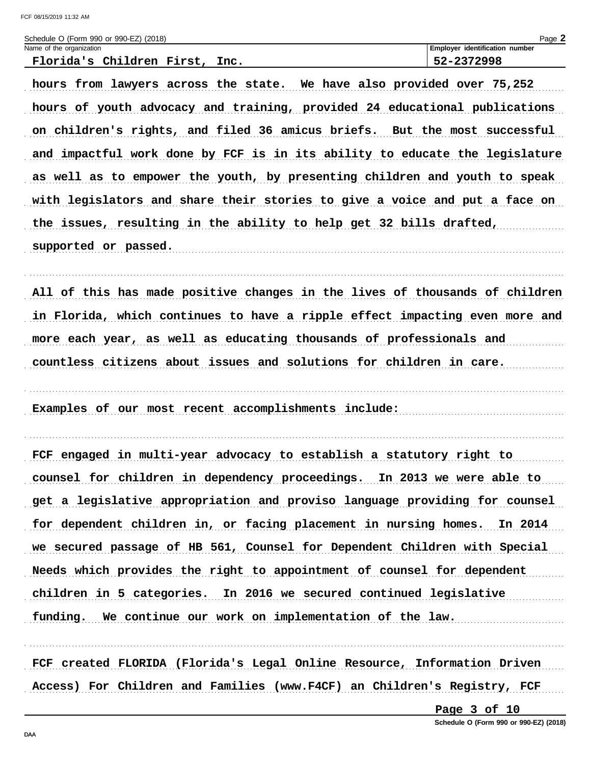| FCF 08/15/2019 11:32 AM                                                     |                                          |
|-----------------------------------------------------------------------------|------------------------------------------|
| Schedule O (Form 990 or 990-EZ) (2018)<br>Name of the organization          | Page 2<br>Employer identification number |
| Florida's Children First, Inc.                                              | 52-2372998                               |
| hours from lawyers across the state. We have also provided over 75,252      |                                          |
| hours of youth advocacy and training, provided 24 educational publications  |                                          |
| on children's rights, and filed 36 amicus briefs. But the most successful   |                                          |
| and impactful work done by FCF is in its ability to educate the legislature |                                          |
| as well as to empower the youth, by presenting children and youth to speak  |                                          |
| with legislators and share their stories to give a voice and put a face on  |                                          |
| the issues, resulting in the ability to help get 32 bills drafted,          |                                          |
| supported or passed.                                                        |                                          |
|                                                                             |                                          |
| All of this has made positive changes in the lives of thousands of children |                                          |
| in Florida, which continues to have a ripple effect impacting even more and |                                          |
| more each year, as well as educating thousands of professionals and         |                                          |
| countless citizens about issues and solutions for children in care.         |                                          |
|                                                                             |                                          |
| Examples of our most recent accomplishments include:                        |                                          |
|                                                                             |                                          |
| FCF engaged in multi-year advocacy to establish a statutory right to        |                                          |
| counsel for children in dependency proceedings. In 2013 we were able to     |                                          |
| get a legislative appropriation and proviso language providing for counsel  |                                          |
| for dependent children in, or facing placement in nursing homes. In 2014    |                                          |
| we secured passage of HB 561, Counsel for Dependent Children with Special   |                                          |
| Needs which provides the right to appointment of counsel for dependent      |                                          |
| children in 5 categories. In 2016 we secured continued legislative          |                                          |
| funding. We continue our work on implementation of the law.                 |                                          |

FCF created FLORIDA (Florida's Legal Online Resource, Information Driven Access) For Children and Families (www.F4CF) an Children's Registry, FCF

Page 3 of 10

Schedule O (Form 990 or 990-EZ) (2018)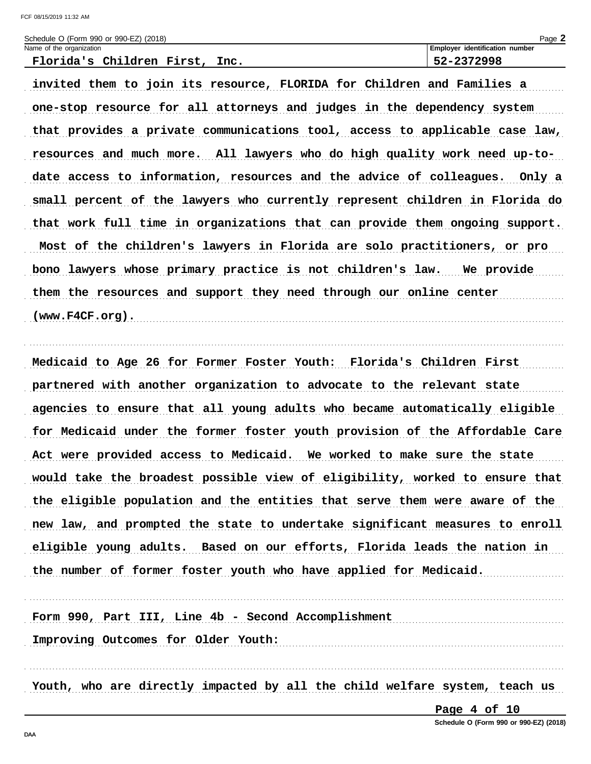Schodule O (Form 000 or 000 EZ) (2018)

| Scribute O (Form as O or sac-EZ) (2010) |                                       | raye <b>z</b> |
|-----------------------------------------|---------------------------------------|---------------|
| Name of the organization                | <b>Employer identification number</b> |               |
| Florida's Children First, Inc.          | 52-2372998                            |               |
|                                         |                                       |               |

invited them to join its resource, FLORIDA for Children and Families a one-stop resource for all attorneys and judges in the dependency system that provides a private communications tool, access to applicable case law, resources and much more. All lawyers who do high quality work need up-todate access to information, resources and the advice of colleagues. Only a small percent of the lawyers who currently represent children in Florida do that work full time in organizations that can provide them ongoing support. Most of the children's lawyers in Florida are solo practitioners, or pro bono lawyers whose primary practice is not children's law. We provide them the resources and support they need through our online center (www.F4CF.org).

Medicaid to Age 26 for Former Foster Youth: Florida's Children First partnered with another organization to advocate to the relevant state agencies to ensure that all young adults who became automatically eligible for Medicaid under the former foster youth provision of the Affordable Care Act were provided access to Medicaid. We worked to make sure the state would take the broadest possible view of eligibility, worked to ensure that the eligible population and the entities that serve them were aware of the new law, and prompted the state to undertake significant measures to enroll eligible young adults. Based on our efforts, Florida leads the nation in the number of former foster youth who have applied for Medicaid.

Form 990, Part III, Line 4b - Second Accomplishment

Improving Outcomes for Older Youth:

Youth, who are directly impacted by all the child welfare system, teach us

Page 4 of 10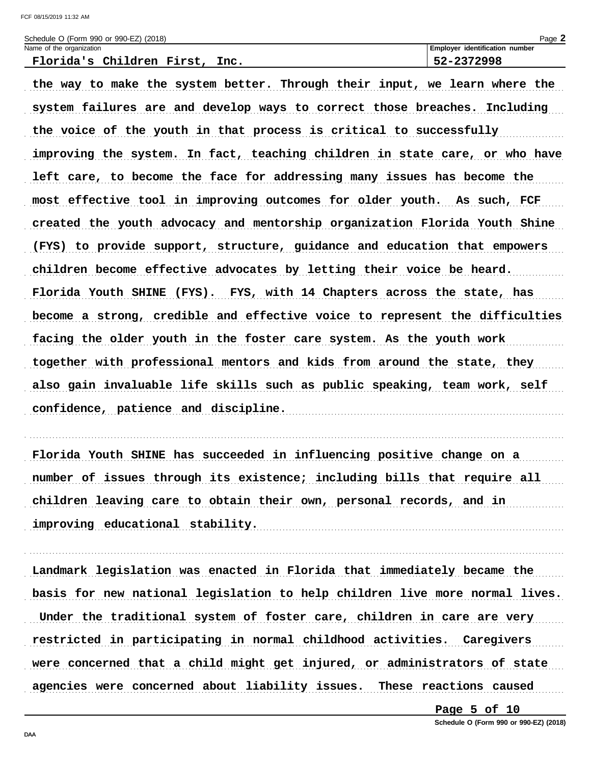| Schedule O (Form 990 or 990-EZ) (2018) | Page 2                                |
|----------------------------------------|---------------------------------------|
| Name of the organization               | <b>Employer identification number</b> |
| Florida's Children First, 7<br>Inc.    | 52-2372998                            |

the way to make the system better. Through their input, we learn where the system failures are and develop ways to correct those breaches. Including the voice of the youth in that process is critical to successfully improving the system. In fact, teaching children in state care, or who have left care, to become the face for addressing many issues has become the most effective tool in improving outcomes for older youth. As such, FCF created the youth advocacy and mentorship organization Florida Youth Shine (FYS) to provide support, structure, guidance and education that empowers children become effective advocates by letting their voice be heard. Florida Youth SHINE (FYS). FYS, with 14 Chapters across the state, has become a strong, credible and effective voice to represent the difficulties facing the older youth in the foster care system. As the youth work together with professional mentors and kids from around the state, they also gain invaluable life skills such as public speaking, team work, self confidence, patience and discipline.

Florida Youth SHINE has succeeded in influencing positive change on a number of issues through its existence; including bills that require all children leaving care to obtain their own, personal records, and in improving educational stability.

Landmark legislation was enacted in Florida that immediately became the basis for new national legislation to help children live more normal lives. Under the traditional system of foster care, children in care are very restricted in participating in normal childhood activities. Caregivers were concerned that a child might get injured, or administrators of state agencies were concerned about liability issues. These reactions caused

Page  $5$  of  $10$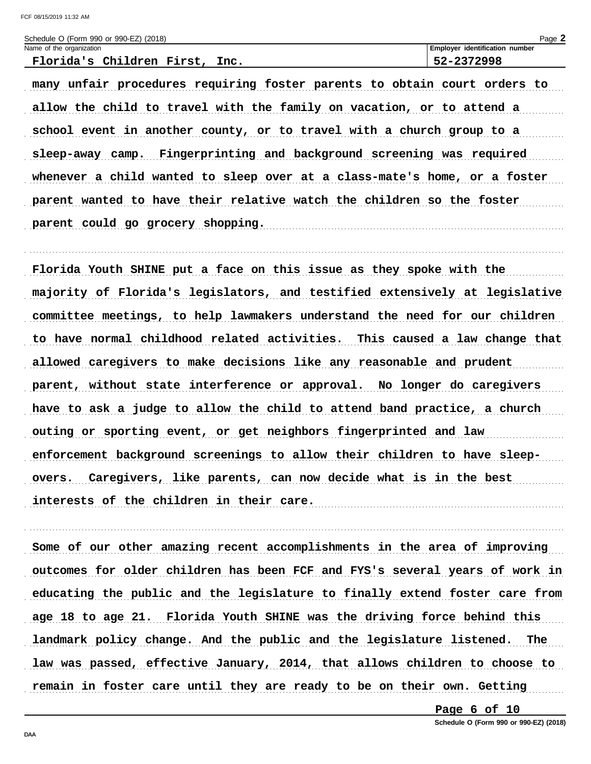| Schedule O (Form 990 or 990-EZ) (2018) | $P$ aqe $\blacktriangle$              |
|----------------------------------------|---------------------------------------|
| Name of the organization               | <b>Employer identification number</b> |
| Florida's Children First,<br>Inc.      | 52-2372998                            |
|                                        |                                       |

many unfair procedures requiring foster parents to obtain court orders to allow the child to travel with the family on vacation, or to attend a school event in another county, or to travel with a church group to a sleep-away camp. Fingerprinting and background screening was required whenever a child wanted to sleep over at a class-mate's home, or a foster parent wanted to have their relative watch the children so the foster parent could go grocery shopping.

Florida Youth SHINE put a face on this issue as they spoke with the majority of Florida's legislators, and testified extensively at legislative committee meetings, to help lawmakers understand the need for our children to have normal childhood related activities. This caused a law change that allowed caregivers to make decisions like any reasonable and prudent parent, without state interference or approval. No longer do caregivers have to ask a judge to allow the child to attend band practice, a church outing or sporting event, or get neighbors fingerprinted and law enforcement background screenings to allow their children to have sleepovers. Caregivers, like parents, can now decide what is in the best interests of the children in their care.

Some of our other amazing recent accomplishments in the area of improving outcomes for older children has been FCF and FYS's several years of work in educating the public and the legislature to finally extend foster care from age 18 to age 21. Florida Youth SHINE was the driving force behind this landmark policy change. And the public and the legislature listened. The law was passed, effective January, 2014, that allows children to choose to remain in foster care until they are ready to be on their own. Getting

Page  $6$  of  $10$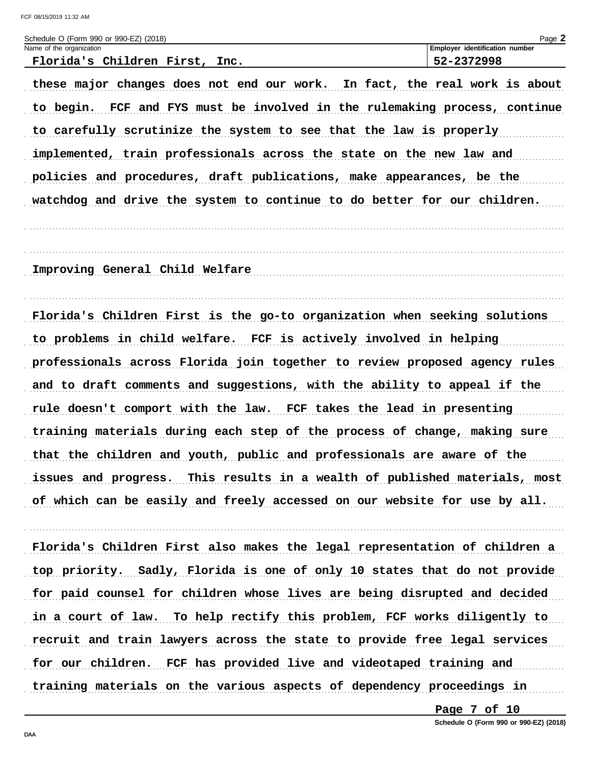FCF 08/15/2019 11:32 AM

| Schedule O (Form 990 or 990-EZ) (2018)                                     | Page 2                         |
|----------------------------------------------------------------------------|--------------------------------|
| Name of the organization                                                   | Employer identification number |
| Florida's Children First, Inc.                                             | 52-2372998                     |
| these major changes does not end our work. In fact, the real work is about |                                |
| to begin. FCF and FYS must be involved in the rulemaking process, continue |                                |
| to carefully scrutinize the system to see that the law is properly         |                                |

implemented, train professionals across the state on the new law and policies and procedures, draft publications, make appearances, be the watchdog and drive the system to continue to do better for our children.

Improving General Child Welfare

Florida's Children First is the go-to organization when seeking solutions to problems in child welfare. FCF is actively involved in helping professionals across Florida join together to review proposed agency rules and to draft comments and suggestions, with the ability to appeal if the rule doesn't comport with the law. FCF takes the lead in presenting training materials during each step of the process of change, making sure that the children and youth, public and professionals are aware of the issues and progress. This results in a wealth of published materials, most of which can be easily and freely accessed on our website for use by all.

Florida's Children First also makes the legal representation of children a top priority. Sadly, Florida is one of only 10 states that do not provide for paid counsel for children whose lives are being disrupted and decided in a court of law. To help rectify this problem, FCF works diligently to recruit and train lawyers across the state to provide free legal services for our children. FCF has provided live and videotaped training and training materials on the various aspects of dependency proceedings in

Page 7 of 10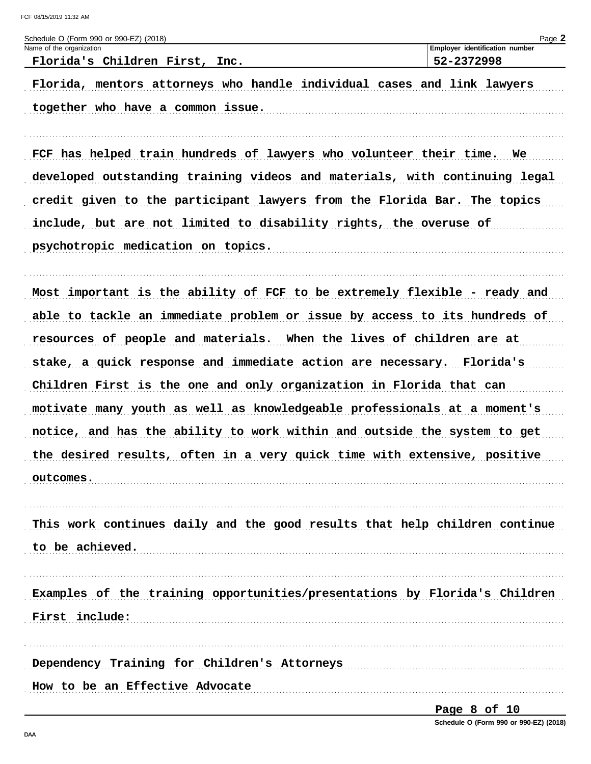| Schedule O (Form 990 or 990-EZ) (2018)                                     | Page 2                                       |
|----------------------------------------------------------------------------|----------------------------------------------|
| Name of the organization<br>Florida's Children First, Inc.                 | Employer identification number<br>52-2372998 |
| Florida, mentors attorneys who handle individual cases and link lawyers    |                                              |
| together who have a common issue.                                          |                                              |
|                                                                            |                                              |
| FCF has helped train hundreds of lawyers who volunteer their time. We      |                                              |
| developed outstanding training videos and materials, with continuing legal |                                              |
| credit given to the participant lawyers from the Florida Bar. The topics   |                                              |
| include, but are not limited to disability rights, the overuse of          |                                              |
| psychotropic medication on topics.                                         |                                              |
|                                                                            |                                              |
| Most important is the ability of FCF to be extremely flexible - ready and  |                                              |
| able to tackle an immediate problem or issue by access to its hundreds of  |                                              |
| resources of people and materials. When the lives of children are at       |                                              |
| stake, a quick response and immediate action are necessary. Florida's      |                                              |
| Children First is the one and only organization in Florida that can        |                                              |
| motivate many youth as well as knowledgeable professionals at a moment's   |                                              |
| notice, and has the ability to work within and outside the system to get   |                                              |
| the desired results, often in a very quick time with extensive, positive   |                                              |
| outcomes.                                                                  |                                              |
| This work continues daily and the good results that help children continue |                                              |
| to be achieved.                                                            |                                              |
|                                                                            |                                              |
| Examples of the training opportunities/presentations by Florida's Children |                                              |
| First include:                                                             |                                              |
| Dependency Training for Children's Attorneys                               |                                              |
| How to be an Effective Advocate                                            |                                              |
|                                                                            | Page 8 of 10                                 |

Schedule O (Form 990 or 990-EZ) (2018)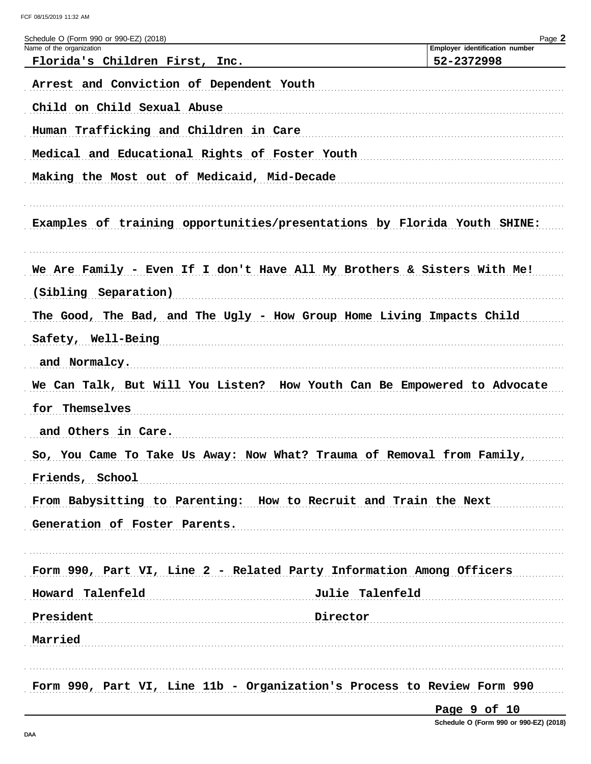FCF 08/15/2019 11:32 AM

| Schedule O (Form 990 or 990-EZ) (2018)<br>Name of the organization       | Page 2<br>Employer identification number |
|--------------------------------------------------------------------------|------------------------------------------|
| Florida's Children First, Inc.                                           | 52-2372998                               |
| Arrest and Conviction of Dependent Youth                                 |                                          |
| Child on Child Sexual Abuse                                              |                                          |
| Human Trafficking and Children in Care                                   |                                          |
| Medical and Educational Rights of Foster Youth                           |                                          |
| Making the Most out of Medicaid, Mid-Decade                              |                                          |
|                                                                          |                                          |
| Examples of training opportunities/presentations by Florida Youth SHINE: |                                          |
|                                                                          |                                          |
| We Are Family - Even If I don't Have All My Brothers & Sisters With Me!  |                                          |
| (Sibling Separation)                                                     |                                          |
| The Good, The Bad, and The Ugly - How Group Home Living Impacts Child    |                                          |
| Safety, Well-Being                                                       |                                          |
| and Normalcy.                                                            |                                          |
| We Can Talk, But Will You Listen? How Youth Can Be Empowered to Advocate |                                          |
| for Themselves                                                           |                                          |
| and Others in Care.                                                      |                                          |
| So, You Came To Take Us Away: Now What? Trauma of Removal from Family,   |                                          |
| Friends, School                                                          |                                          |
| From Babysitting to Parenting: How to Recruit and Train the Next         |                                          |
| Generation of Foster Parents.                                            |                                          |
|                                                                          |                                          |
| Form 990, Part VI, Line 2 - Related Party Information Among Officers     |                                          |
| Julie Talenfeld<br>Howard Talenfeld                                      |                                          |
| President<br>Director                                                    |                                          |
| Married                                                                  |                                          |
|                                                                          |                                          |
| Form 990, Part VI, Line 11b - Organization's Process to Review Form 990  |                                          |
|                                                                          |                                          |

Page 9 of 10

Schedule O (Form 990 or 990-EZ) (2018)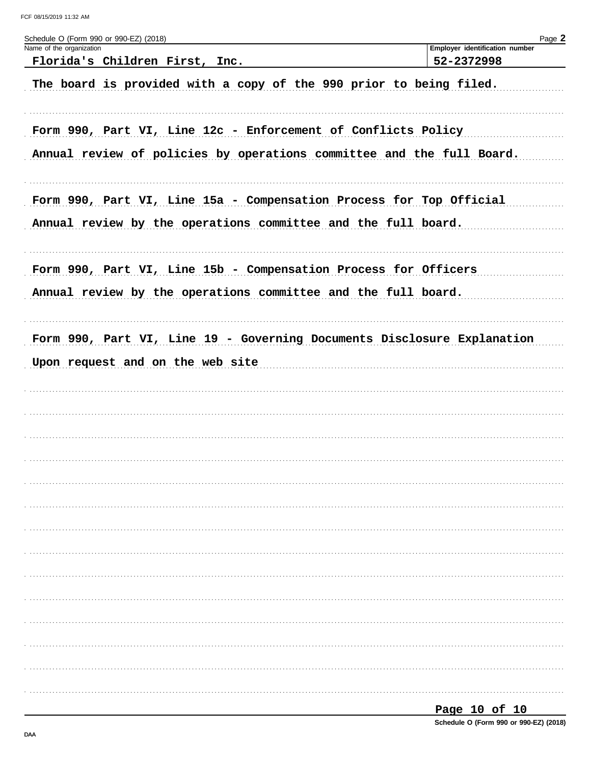| Schedule O (Form 990 or 990-EZ) (2018)                                  | Page 2                                       |
|-------------------------------------------------------------------------|----------------------------------------------|
| Name of the organization<br>Florida's Children First, Inc.              | Employer identification number<br>52-2372998 |
|                                                                         |                                              |
| The board is provided with a copy of the 990 prior to being filed.      |                                              |
|                                                                         |                                              |
|                                                                         |                                              |
| Form 990, Part VI, Line 12c - Enforcement of Conflicts Policy           |                                              |
| Annual review of policies by operations committee and the full Board.   |                                              |
|                                                                         |                                              |
|                                                                         |                                              |
| Form 990, Part VI, Line 15a - Compensation Process for Top Official     |                                              |
| Annual review by the operations committee and the full board.           |                                              |
|                                                                         |                                              |
|                                                                         |                                              |
| Form 990, Part VI, Line 15b - Compensation Process for Officers         |                                              |
| Annual review by the operations committee and the full board.           |                                              |
|                                                                         |                                              |
| Form 990, Part VI, Line 19 - Governing Documents Disclosure Explanation |                                              |
|                                                                         |                                              |
| Upon request and on the web site                                        |                                              |
|                                                                         |                                              |
|                                                                         |                                              |
|                                                                         |                                              |
|                                                                         |                                              |
|                                                                         |                                              |
|                                                                         |                                              |
|                                                                         |                                              |
|                                                                         |                                              |
|                                                                         |                                              |
|                                                                         |                                              |
|                                                                         |                                              |
|                                                                         |                                              |
|                                                                         |                                              |
|                                                                         |                                              |
|                                                                         |                                              |
|                                                                         |                                              |
|                                                                         |                                              |
|                                                                         |                                              |
|                                                                         |                                              |

| -<br>- |  |  |
|--------|--|--|
|        |  |  |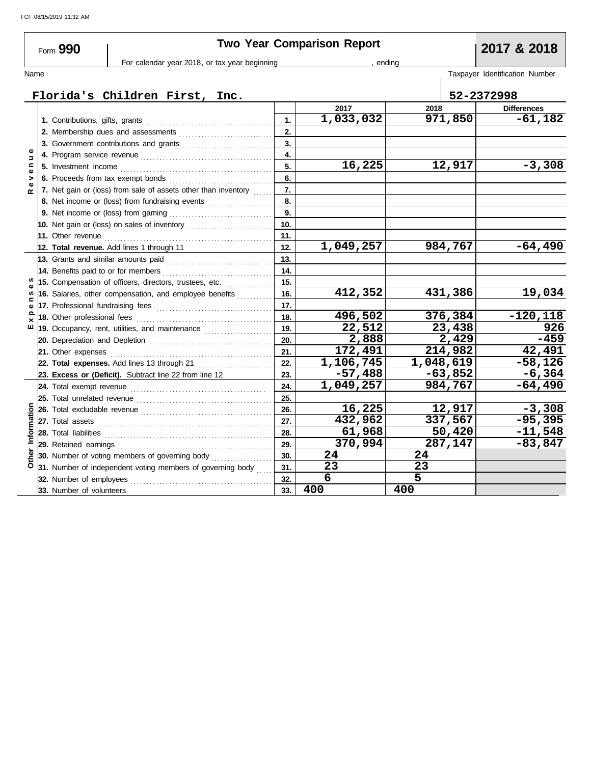| Form 990       |  |                             |                                                                                                                                                                                                                                      |                                               | <b>Two Year Comparison Report</b> |     |           | 2017 & 2018    |                     |                                |
|----------------|--|-----------------------------|--------------------------------------------------------------------------------------------------------------------------------------------------------------------------------------------------------------------------------------|-----------------------------------------------|-----------------------------------|-----|-----------|----------------|---------------------|--------------------------------|
|                |  |                             |                                                                                                                                                                                                                                      | For calendar year 2018, or tax year beginning | , ending                          |     |           |                |                     |                                |
| Name           |  |                             |                                                                                                                                                                                                                                      |                                               |                                   |     |           |                |                     | Taxpayer Identification Number |
|                |  |                             | Florida's Children First, Inc.                                                                                                                                                                                                       |                                               |                                   |     |           |                |                     | 52-2372998                     |
|                |  |                             |                                                                                                                                                                                                                                      |                                               |                                   |     | 2017      | 2018           |                     | <b>Differences</b>             |
|                |  |                             |                                                                                                                                                                                                                                      |                                               |                                   | 1.  | 1,033,032 |                | 971,850             | $-61,182$                      |
|                |  |                             | 2. Membership dues and assessments                                                                                                                                                                                                   |                                               |                                   | 2.  |           |                |                     |                                |
|                |  |                             |                                                                                                                                                                                                                                      |                                               |                                   | 3.  |           |                |                     |                                |
| Ξ              |  |                             |                                                                                                                                                                                                                                      |                                               |                                   | 4.  |           |                |                     |                                |
| $\blacksquare$ |  |                             |                                                                                                                                                                                                                                      |                                               |                                   | 5.  | 16,225    |                | 12,917              | $-3,308$                       |
| $\bullet$<br>> |  |                             | 6. Proceeds from tax exempt bonds                                                                                                                                                                                                    |                                               |                                   | 6.  |           |                |                     |                                |
| $\sim$         |  |                             | 7. Net gain or (loss) from sale of assets other than inventory                                                                                                                                                                       |                                               |                                   | 7.  |           |                |                     |                                |
|                |  |                             | 8. Net income or (loss) from fundraising events                                                                                                                                                                                      |                                               |                                   | 8.  |           |                |                     |                                |
|                |  |                             |                                                                                                                                                                                                                                      |                                               |                                   | 9.  |           |                |                     |                                |
|                |  |                             | 10. Net gain or (loss) on sales of inventory [11] [11] Net gain or (loss)                                                                                                                                                            |                                               |                                   | 10. |           |                |                     |                                |
|                |  |                             | 11. Other revenue <b>constant of the Constant of the Constant of the Constant of the Constant of the Constant of the Constant of the Constant of the Constant of the Constant of the Constant of the Constant of the Constant of</b> |                                               |                                   | 11. |           |                |                     |                                |
|                |  |                             | 12. Total revenue. Add lines 1 through 11                                                                                                                                                                                            |                                               |                                   | 12. | 1,049,257 |                | 984,767             | $-64,490$                      |
|                |  |                             | 13. Grants and similar amounts paid                                                                                                                                                                                                  |                                               |                                   | 13. |           |                |                     |                                |
|                |  |                             | 14. Benefits paid to or for members                                                                                                                                                                                                  |                                               |                                   | 14. |           |                |                     |                                |
|                |  |                             | 15. Compensation of officers, directors, trustees, etc.                                                                                                                                                                              |                                               |                                   | 15. |           |                |                     |                                |
| w              |  |                             | 16. Salaries, other compensation, and employee benefits                                                                                                                                                                              |                                               |                                   | 16. | 412,352   |                | 431,386             | 19,034                         |
| Ф              |  |                             |                                                                                                                                                                                                                                      |                                               |                                   | 17. |           |                |                     |                                |
| ≏<br>×         |  | 18. Other professional fees |                                                                                                                                                                                                                                      |                                               |                                   | 18. | 496,502   |                | 376,384             | $-120,118$                     |
| ш              |  |                             | 19. Occupancy, rent, utilities, and maintenance <i>maintering</i>                                                                                                                                                                    |                                               |                                   | 19. | 22,512    |                | $\overline{23,438}$ | 926                            |
|                |  |                             |                                                                                                                                                                                                                                      |                                               |                                   | 20. | 2,888     |                | 2,429               | $-459$                         |
|                |  | 21. Other expenses          |                                                                                                                                                                                                                                      |                                               |                                   | 21. | 172,491   |                | 214,982             | 42,491                         |
|                |  |                             | 22. Total expenses. Add lines 13 through 21                                                                                                                                                                                          |                                               |                                   | 22. | 1,106,745 |                | 1,048,619           | $-58,126$                      |
|                |  |                             | 23. Excess or (Deficit). Subtract line 22 from line 12                                                                                                                                                                               |                                               |                                   | 23. | $-57,488$ |                | $-63,852$           | $-6,364$                       |
|                |  |                             |                                                                                                                                                                                                                                      |                                               |                                   | 24. | 1,049,257 |                | 984,767             | $-64,490$                      |
|                |  |                             |                                                                                                                                                                                                                                      |                                               |                                   | 25. |           |                |                     |                                |
|                |  |                             |                                                                                                                                                                                                                                      |                                               |                                   | 26. | 16,225    |                | 12,917              | $-3,308$                       |
|                |  |                             |                                                                                                                                                                                                                                      |                                               |                                   | 27. | 432,962   |                | 337,567             | $-95,395$                      |
| Information    |  | 28. Total liabilities       |                                                                                                                                                                                                                                      |                                               |                                   | 28. | 61,968    |                | 50,420              | $-11,548$                      |
|                |  |                             |                                                                                                                                                                                                                                      |                                               |                                   | 29. | 370,994   |                | 287,147             | $-83,847$                      |
| Other          |  |                             | <b>30.</b> Number of voting members of governing body <i>mimimimimi</i>                                                                                                                                                              |                                               |                                   | 30. | 24        | 24             |                     |                                |
|                |  |                             | 31. Number of independent voting members of governing body                                                                                                                                                                           |                                               |                                   | 31. | 23        | 23             |                     |                                |
|                |  | 32. Number of employees     |                                                                                                                                                                                                                                      |                                               |                                   | 32. | 6         | $\overline{5}$ |                     |                                |
|                |  | 33. Number of volunteers    |                                                                                                                                                                                                                                      |                                               |                                   | 33. | 400       | 400            |                     |                                |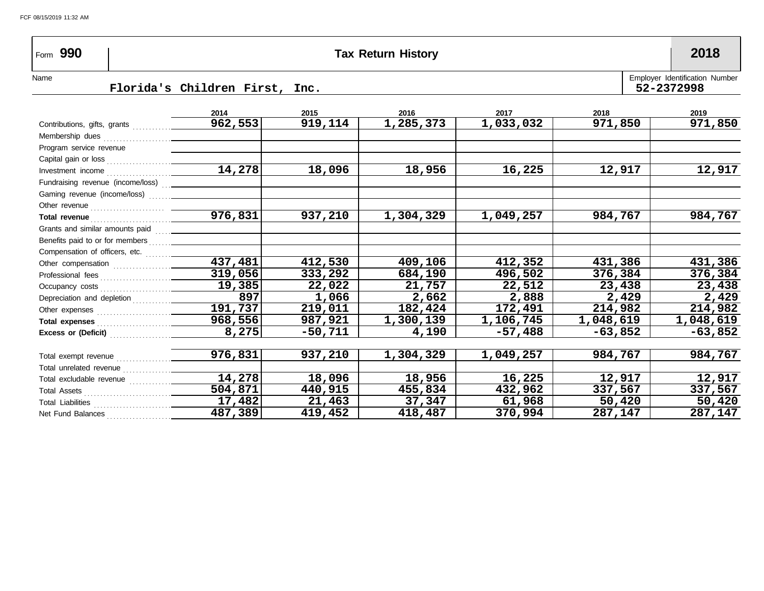# Form **990 Tax Return History 2018**

Name Florida's Children First, Inc. First Employer Identification Number Employer Identification Number Florida's Children First, Inc.

|                                                                                                                                                                                                                                | 2014                 | 2015    | 2016      | 2017      | 2018      | 2019      |
|--------------------------------------------------------------------------------------------------------------------------------------------------------------------------------------------------------------------------------|----------------------|---------|-----------|-----------|-----------|-----------|
|                                                                                                                                                                                                                                | 962,553              | 919,114 | 1,285,373 | 1,033,032 | 971,850   | 971,850   |
|                                                                                                                                                                                                                                |                      |         |           |           |           |           |
| Program service revenue                                                                                                                                                                                                        |                      |         |           |           |           |           |
|                                                                                                                                                                                                                                |                      |         |           |           |           |           |
|                                                                                                                                                                                                                                | 14,278               | 18,096  | 18,956    | 16,225    | 12,917    | 12,917    |
| Fundraising revenue (income/loss)  ________________                                                                                                                                                                            |                      |         |           |           |           |           |
|                                                                                                                                                                                                                                |                      |         |           |           |           |           |
|                                                                                                                                                                                                                                |                      |         |           |           |           |           |
|                                                                                                                                                                                                                                | $\overline{976,831}$ | 937,210 | 1,304,329 | 1,049,257 | 984,767   | 984,767   |
|                                                                                                                                                                                                                                |                      |         |           |           |           |           |
|                                                                                                                                                                                                                                |                      |         |           |           |           |           |
|                                                                                                                                                                                                                                |                      |         |           |           |           |           |
| Other compensation [1] contained a set of the compensation and set of the contact of the contact of the contact of the contact of the contact of the contact of the contact of the contact of the contact of the contact of th | 437,481              | 412,530 | 409,106   | 412,352   | 431,386   | 431,386   |
|                                                                                                                                                                                                                                | 319,056              | 333,292 | 684,190   | 496,502   | 376,384   | 376,384   |
|                                                                                                                                                                                                                                | 19,385               | 22,022  | 21,757    | 22,512    | 23,438    | 23,438    |
|                                                                                                                                                                                                                                | 897                  | 1,066   | 2,662     | 2,888     | 2,429     | 2,429     |
|                                                                                                                                                                                                                                | 191,737              | 219,011 | 182,424   | 172,491   | 214,982   | 214,982   |
|                                                                                                                                                                                                                                | 968,556              | 987,921 | 1,300,139 | 1,106,745 | 1,048,619 | 1,048,619 |
| Excess or (Deficit)                                                                                                                                                                                                            | 8,275                | -50,711 | 4,190     | $-57,488$ | $-63,852$ | $-63,852$ |
|                                                                                                                                                                                                                                |                      |         |           |           |           |           |
| Total exempt revenue                                                                                                                                                                                                           | 976,831              | 937,210 | 1,304,329 | 1,049,257 | 984,767   | 984,767   |
| Total unrelated revenue                                                                                                                                                                                                        |                      |         |           |           |           |           |
|                                                                                                                                                                                                                                | 14,278               | 18,096  | 18,956    | 16,225    | 12,917    | 12,917    |
|                                                                                                                                                                                                                                | 504,871              | 440,915 | 455,834   | 432,962   | 337,567   | 337,567   |
|                                                                                                                                                                                                                                | 17,482               | 21,463  | 37,347    | 61,968    | 50,420    | 50,420    |
|                                                                                                                                                                                                                                | 487,389              | 419,452 | 418,487   | 370,994   | 287,147   | 287,147   |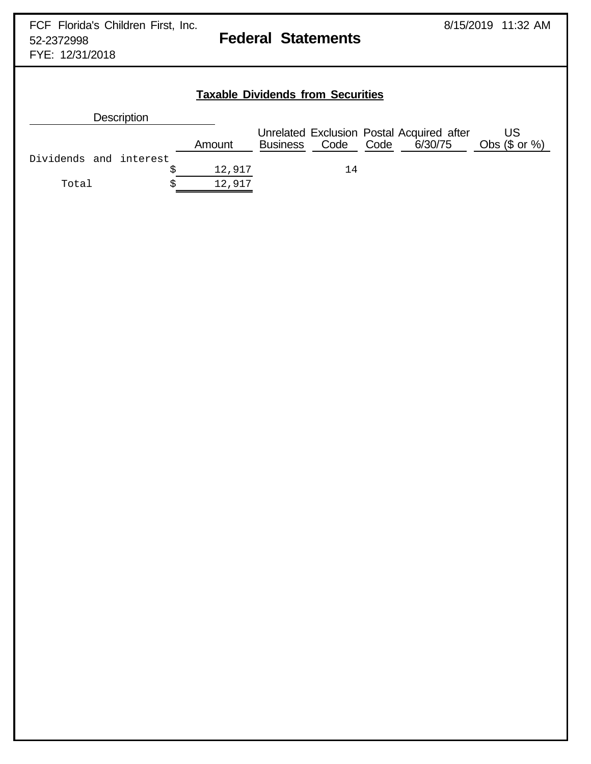FYE: 12/31/2018

## **Taxable Dividends from Securities**

|                        | <b>Description</b> |        |                 |           |                                                      |                        |
|------------------------|--------------------|--------|-----------------|-----------|------------------------------------------------------|------------------------|
|                        |                    | Amount | <b>Business</b> | Code Code | Unrelated Exclusion Postal Acquired after<br>6/30/75 | US<br>Obs $(\$$ or $%$ |
| Dividends and interest |                    |        |                 |           |                                                      |                        |
|                        |                    | 12,917 |                 | 14        |                                                      |                        |
| Total                  |                    | 12,917 |                 |           |                                                      |                        |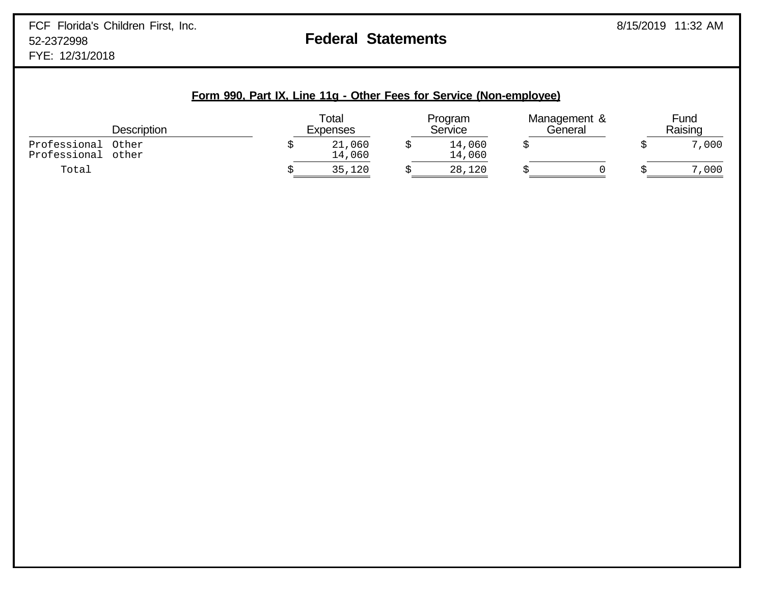| Form 990, Part IX, Line 11g - Other Fees for Service (Non-employee) |  |
|---------------------------------------------------------------------|--|
|---------------------------------------------------------------------|--|

|                              | <b>Description</b> | Total<br>Expenses | Program<br>Service | Management &<br>General | Fund<br>Raising |
|------------------------------|--------------------|-------------------|--------------------|-------------------------|-----------------|
| Professional<br>Professional | Other<br>other     | 21,060<br>14,060  | 14,060<br>14,060   |                         | 7,000           |
| Total                        |                    | 35,120            | 28,120             |                         | 7,000           |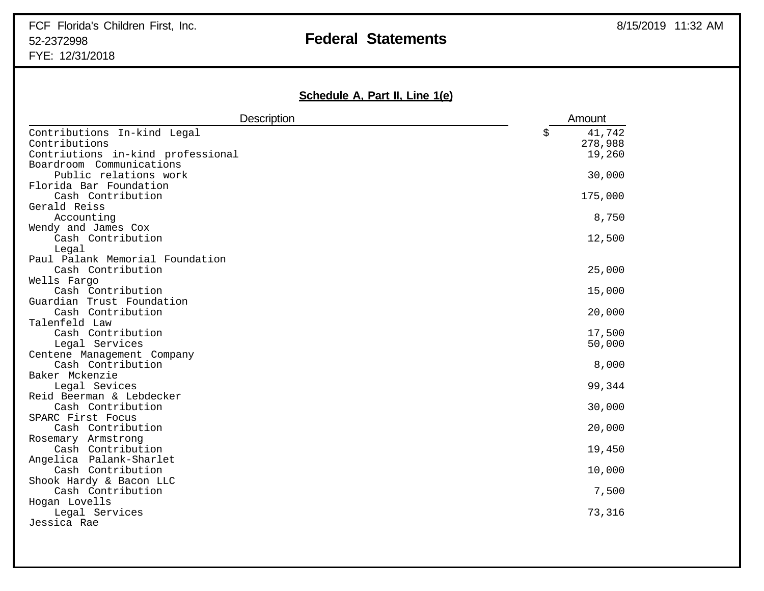# FCF Florida's Children First, Inc. **Exercise 2018** 11:32 AM 52-2372998 **Federal Statements**

FYE: 12/31/2018

## **Schedule A, Part II, Line 1(e)**

| <b>Description</b>                           | Amount                  |
|----------------------------------------------|-------------------------|
| Contributions In-kind Legal<br>Contributions | \$<br>41,742<br>278,988 |
| Contriutions in-kind professional            | 19,260                  |
| Boardroom Communications                     |                         |
| Public relations work                        | 30,000                  |
| Florida Bar Foundation                       |                         |
| Cash Contribution                            | 175,000                 |
| Gerald Reiss                                 |                         |
| Accounting                                   | 8,750                   |
| Wendy and James Cox                          |                         |
| Cash Contribution                            | 12,500                  |
| Legal<br>Paul Palank Memorial Foundation     |                         |
| Cash Contribution                            | 25,000                  |
| Wells Fargo                                  |                         |
| Cash Contribution                            | 15,000                  |
| Guardian Trust Foundation                    |                         |
| Cash Contribution                            | 20,000                  |
| Talenfeld Law                                |                         |
| Cash Contribution                            | 17,500                  |
| Legal Services                               | 50,000                  |
| Centene Management Company                   |                         |
| Cash Contribution                            | 8,000                   |
| Baker Mckenzie                               |                         |
| Legal Sevices                                | 99,344                  |
| Reid Beerman & Lebdecker                     |                         |
| Cash Contribution                            | 30,000                  |
| SPARC First Focus                            |                         |
| Cash Contribution                            | 20,000                  |
| Rosemary Armstrong<br>Cash Contribution      | 19,450                  |
| Angelica Palank-Sharlet                      |                         |
| Cash Contribution                            | 10,000                  |
| Shook Hardy & Bacon LLC                      |                         |
| Cash Contribution                            | 7,500                   |
| Hogan Lovells                                |                         |
| Legal Services                               | 73,316                  |
| Jessica Rae                                  |                         |